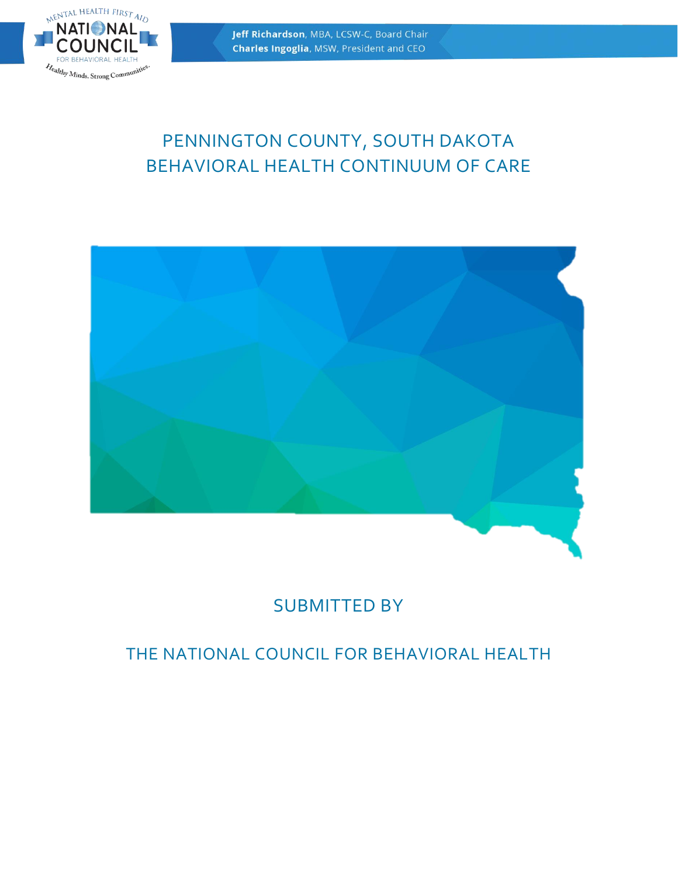

# PENNINGTON COUNTY, SOUTH DAKOTA BEHAVIORAL HEALTH CONTINUUM OF CARE



# SUBMITTED BY

# THE NATIONAL COUNCIL FOR BEHAVIORAL HEALTH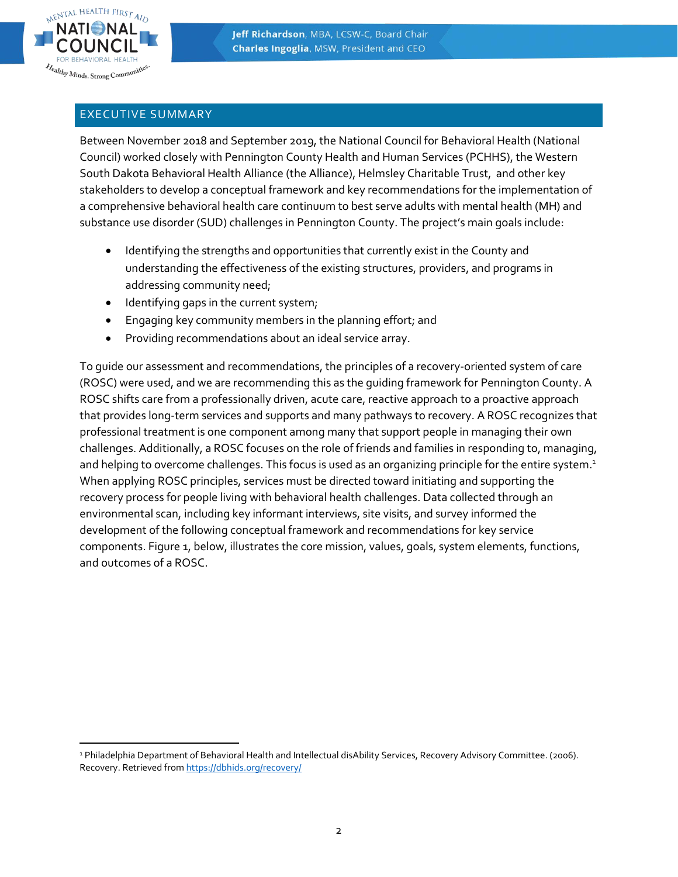

# EXECUTIVE SUMMARY

Between November 2018 and September 2019, the National Council for Behavioral Health (National Council) worked closely with Pennington County Health and Human Services (PCHHS), the Western South Dakota Behavioral Health Alliance (the Alliance), Helmsley Charitable Trust, and other key stakeholders to develop a conceptual framework and key recommendations for the implementation of a comprehensive behavioral health care continuum to best serve adults with mental health (MH) and substance use disorder (SUD) challenges in Pennington County. The project's main goals include:

- Identifying the strengths and opportunities that currently exist in the County and understanding the effectiveness of the existing structures, providers, and programs in addressing community need;
- Identifying gaps in the current system;
- Engaging key community members in the planning effort; and
- Providing recommendations about an ideal service array.

To guide our assessment and recommendations, the principles of a recovery-oriented system of care (ROSC) were used, and we are recommending this as the guiding framework for Pennington County. A ROSC shifts care from a professionally driven, acute care, reactive approach to a proactive approach that provides long-term services and supports and many pathways to recovery. A ROSC recognizes that professional treatment is one component among many that support people in managing their own challenges. Additionally, a ROSC focuses on the role of friends and families in responding to, managing, and helping to overcome challenges. This focus is used as an organizing principle for the entire system.<sup>1</sup> When applying ROSC principles, services must be directed toward initiating and supporting the recovery process for people living with behavioral health challenges. Data collected through an environmental scan, including key informant interviews, site visits, and survey informed the development of the following conceptual framework and recommendations for key service components. Figure 1, below, illustrates the core mission, values, goals, system elements, functions, and outcomes of a ROSC.

 <sup>1</sup> Philadelphia Department of Behavioral Health and Intellectual disAbility Services, Recovery Advisory Committee. (2006). Recovery. Retrieved fro[m https://dbhids.org/recovery/](https://dbhids.org/recovery/)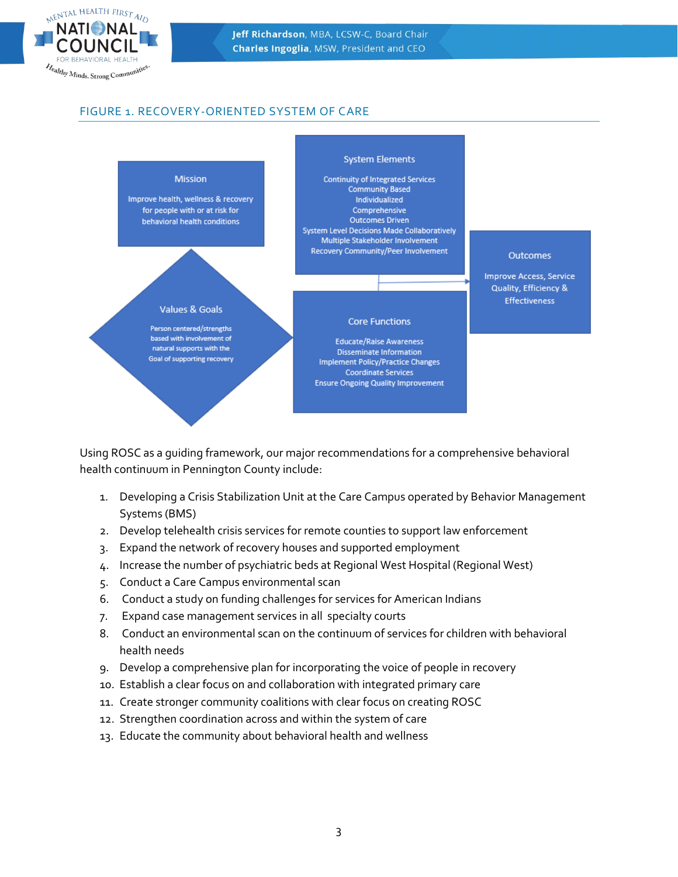

# FIGURE 1. RECOVERY-ORIENTED SYSTEM OF CARE



Using ROSC as a guiding framework, our major recommendations for a comprehensive behavioral health continuum in Pennington County include:

- 1. Developing a Crisis Stabilization Unit at the Care Campus operated by Behavior Management Systems (BMS)
- 2. Develop telehealth crisis services for remote counties to support law enforcement
- 3. Expand the network of recovery houses and supported employment
- 4. Increase the number of psychiatric beds at Regional West Hospital (Regional West)
- 5. Conduct a Care Campus environmental scan
- 6. Conduct a study on funding challenges for services for American Indians
- 7. Expand case management services in all specialty courts
- 8. Conduct an environmental scan on the continuum of services for children with behavioral health needs
- 9. Develop a comprehensive plan for incorporating the voice of people in recovery
- 10. Establish a clear focus on and collaboration with integrated primary care
- 11. Create stronger community coalitions with clear focus on creating ROSC
- 12. Strengthen coordination across and within the system of care
- 13. Educate the community about behavioral health and wellness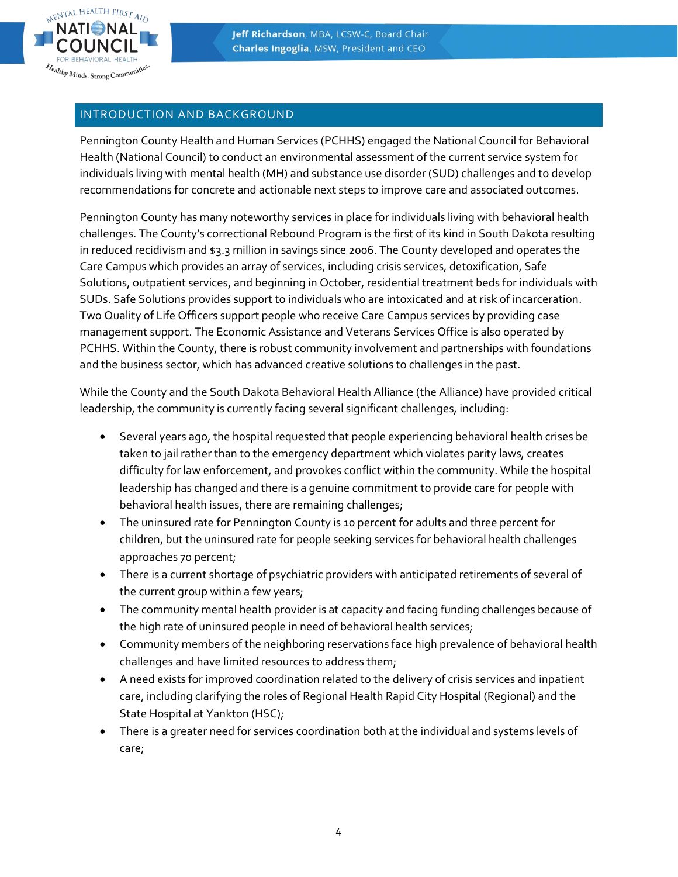

## INTRODUCTION AND BACKGROUND

Pennington County Health and Human Services (PCHHS) engaged the National Council for Behavioral Health (National Council) to conduct an environmental assessment of the current service system for individuals living with mental health (MH) and substance use disorder (SUD) challenges and to develop recommendations for concrete and actionable next steps to improve care and associated outcomes.

Pennington County has many noteworthy services in place for individuals living with behavioral health challenges. The County's correctional Rebound Program is the first of its kind in South Dakota resulting in reduced recidivism and \$3.3 million in savings since 2006. The County developed and operates the Care Campus which provides an array of services, including crisis services, detoxification, Safe Solutions, outpatient services, and beginning in October, residential treatment beds for individuals with SUDs. Safe Solutions provides support to individuals who are intoxicated and at risk of incarceration. Two Quality of Life Officers support people who receive Care Campus services by providing case management support. The Economic Assistance and Veterans Services Office is also operated by PCHHS. Within the County, there is robust community involvement and partnerships with foundations and the business sector, which has advanced creative solutions to challenges in the past.

While the County and the South Dakota Behavioral Health Alliance (the Alliance) have provided critical leadership, the community is currently facing several significant challenges, including:

- Several years ago, the hospital requested that people experiencing behavioral health crises be taken to jail rather than to the emergency department which violates parity laws, creates difficulty for law enforcement, and provokes conflict within the community. While the hospital leadership has changed and there is a genuine commitment to provide care for people with behavioral health issues, there are remaining challenges;
- The uninsured rate for Pennington County is 10 percent for adults and three percent for children, but the uninsured rate for people seeking services for behavioral health challenges approaches 70 percent;
- There is a current shortage of psychiatric providers with anticipated retirements of several of the current group within a few years;
- The community mental health provider is at capacity and facing funding challenges because of the high rate of uninsured people in need of behavioral health services;
- Community members of the neighboring reservations face high prevalence of behavioral health challenges and have limited resources to address them;
- A need exists for improved coordination related to the delivery of crisis services and inpatient care, including clarifying the roles of Regional Health Rapid City Hospital (Regional) and the State Hospital at Yankton (HSC);
- There is a greater need for services coordination both at the individual and systems levels of care;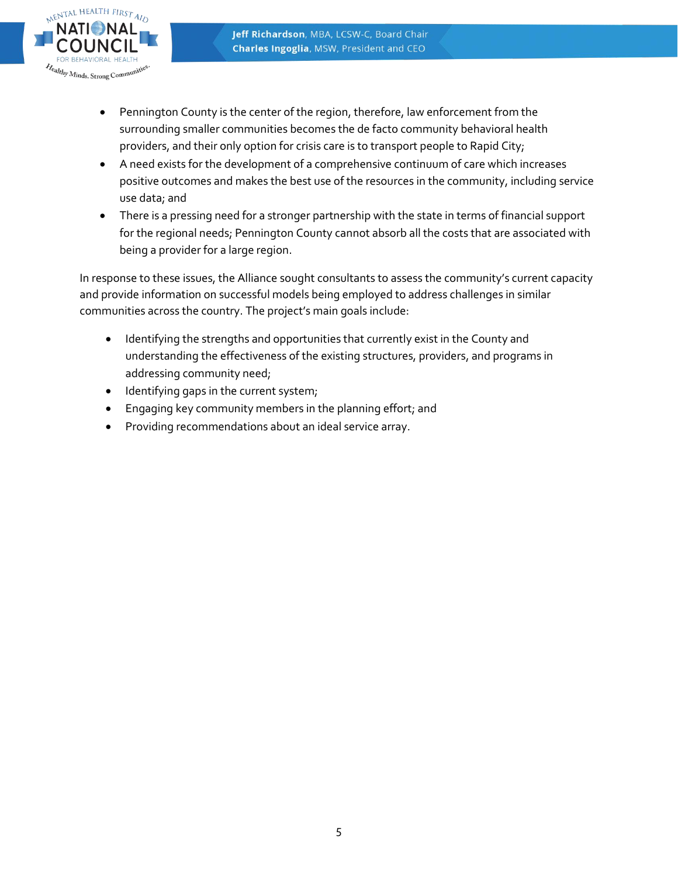

- Pennington County is the center of the region, therefore, law enforcement from the surrounding smaller communities becomes the de facto community behavioral health providers, and their only option for crisis care is to transport people to Rapid City;
- A need exists for the development of a comprehensive continuum of care which increases positive outcomes and makes the best use of the resources in the community, including service use data; and
- There is a pressing need for a stronger partnership with the state in terms of financial support for the regional needs; Pennington County cannot absorb all the costs that are associated with being a provider for a large region.

In response to these issues, the Alliance sought consultants to assess the community's current capacity and provide information on successful models being employed to address challenges in similar communities across the country. The project's main goals include:

- Identifying the strengths and opportunities that currently exist in the County and understanding the effectiveness of the existing structures, providers, and programs in addressing community need;
- Identifying gaps in the current system;
- Engaging key community members in the planning effort; and
- Providing recommendations about an ideal service array.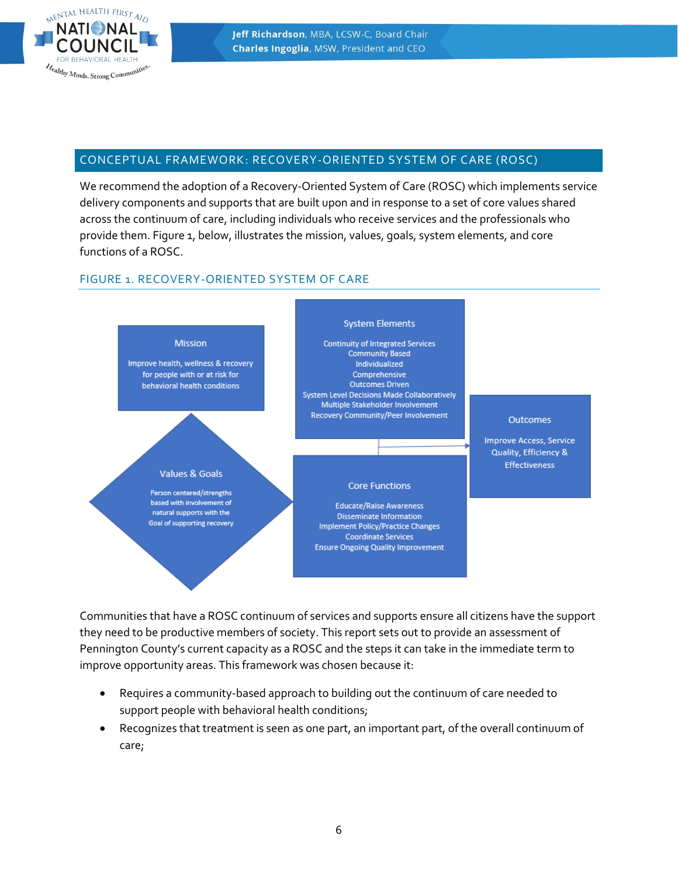

# CONCEPTUAL FRAMEWORK: RECOVERY-ORIENTED SYSTEM OF CARE (ROSC)

We recommend the adoption of a Recovery-Oriented System of Care (ROSC) which implements service delivery components and supports that are built upon and in response to a set of core values shared across the continuum of care, including individuals who receive services and the professionals who provide them. Figure 1, below, illustrates the mission, values, goals, system elements, and core functions of a ROSC.

# FIGURE 1. RECOVERY-ORIENTED SYSTEM OF CARE



Communities that have a ROSC continuum of services and supports ensure all citizens have the support they need to be productive members of society. This report sets out to provide an assessment of Pennington County's current capacity as a ROSC and the steps it can take in the immediate term to improve opportunity areas. This framework was chosen because it:

- Requires a community-based approach to building out the continuum of care needed to support people with behavioral health conditions;
- Recognizes that treatment is seen as one part, an important part, of the overall continuum of care;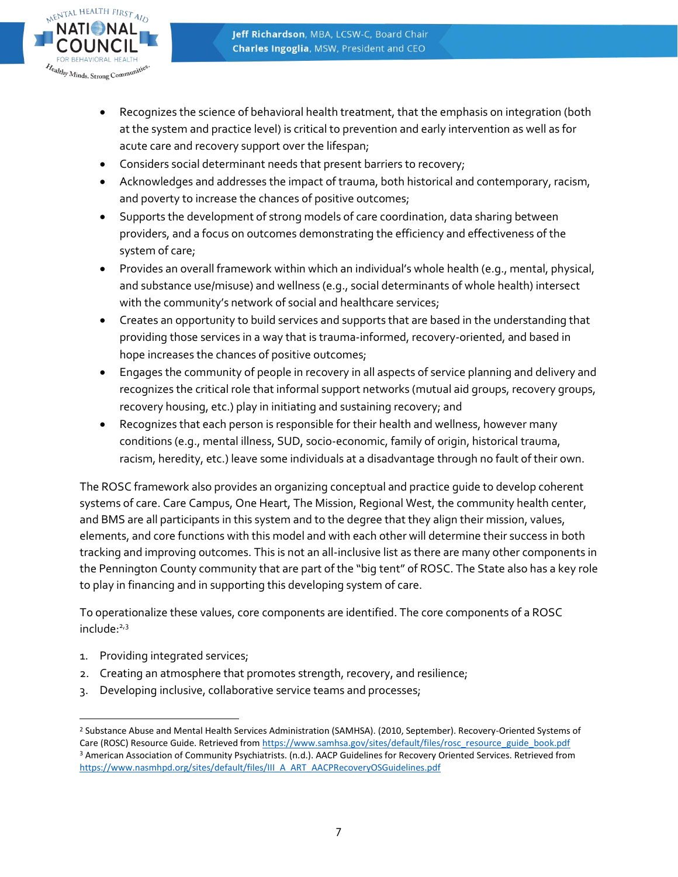

- Recognizes the science of behavioral health treatment, that the emphasis on integration (both at the system and practice level) is critical to prevention and early intervention as well as for acute care and recovery support over the lifespan;
- Considers social determinant needs that present barriers to recovery;
- Acknowledges and addresses the impact of trauma, both historical and contemporary, racism, and poverty to increase the chances of positive outcomes;
- Supports the development of strong models of care coordination, data sharing between providers, and a focus on outcomes demonstrating the efficiency and effectiveness of the system of care;
- Provides an overall framework within which an individual's whole health (e.g., mental, physical, and substance use/misuse) and wellness (e.g., social determinants of whole health) intersect with the community's network of social and healthcare services;
- Creates an opportunity to build services and supports that are based in the understanding that providing those services in a way that is trauma-informed, recovery-oriented, and based in hope increases the chances of positive outcomes;
- Engages the community of people in recovery in all aspects of service planning and delivery and recognizes the critical role that informal support networks (mutual aid groups, recovery groups, recovery housing, etc.) play in initiating and sustaining recovery; and
- Recognizes that each person is responsible for their health and wellness, however many conditions (e.g., mental illness, SUD, socio-economic, family of origin, historical trauma, racism, heredity, etc.) leave some individuals at a disadvantage through no fault of their own.

The ROSC framework also provides an organizing conceptual and practice guide to develop coherent systems of care. Care Campus, One Heart, The Mission, Regional West, the community health center, and BMS are all participants in this system and to the degree that they align their mission, values, elements, and core functions with this model and with each other will determine their success in both tracking and improving outcomes. This is not an all-inclusive list as there are many other components in the Pennington County community that are part of the "big tent" of ROSC. The State also has a key role to play in financing and in supporting this developing system of care.

To operationalize these values, core components are identified. The core components of a ROSC include: 2,3

- 1. Providing integrated services;
- 2. Creating an atmosphere that promotes strength, recovery, and resilience;
- 3. Developing inclusive, collaborative service teams and processes;

 $\overline{a}$ <sup>2</sup> Substance Abuse and Mental Health Services Administration (SAMHSA). (2010, September). Recovery-Oriented Systems of Care (ROSC) Resource Guide. Retrieved from [https://www.samhsa.gov/sites/default/files/rosc\\_resource\\_guide\\_book.pdf](https://www.samhsa.gov/sites/default/files/rosc_resource_guide_book.pdf) <sup>3</sup> American Association of Community Psychiatrists. (n.d.). AACP Guidelines for Recovery Oriented Services. Retrieved from [https://www.nasmhpd.org/sites/default/files/III\\_A\\_ART\\_AACPRecoveryOSGuidelines.pdf](https://www.nasmhpd.org/sites/default/files/III_A_ART_AACPRecoveryOSGuidelines.pdf)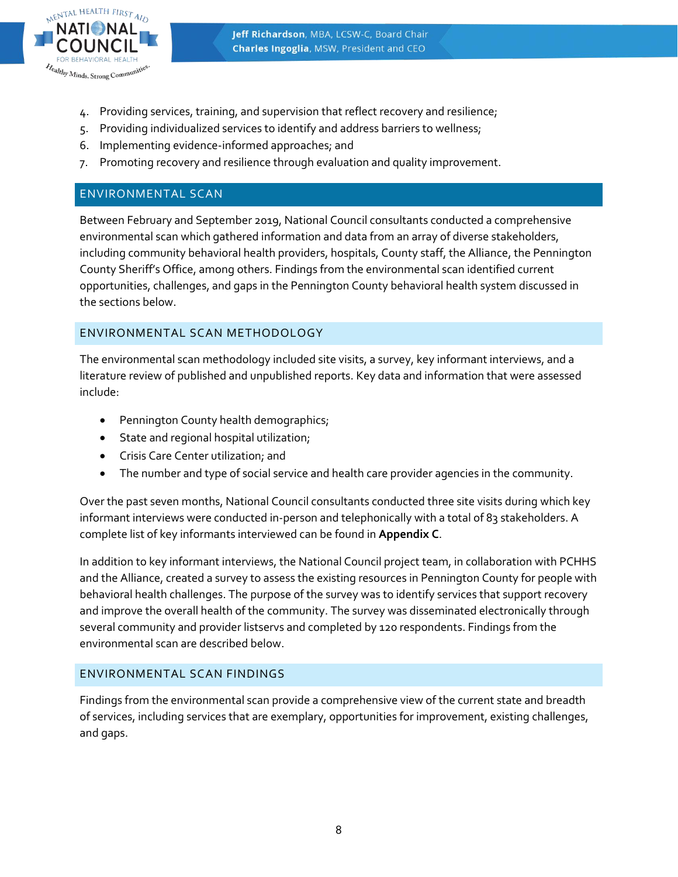

- 4. Providing services, training, and supervision that reflect recovery and resilience;
- 5. Providing individualized services to identify and address barriers to wellness;
- 6. Implementing evidence-informed approaches; and
- 7. Promoting recovery and resilience through evaluation and quality improvement.

# ENVIRONMENTAL SCAN

Between February and September 2019, National Council consultants conducted a comprehensive environmental scan which gathered information and data from an array of diverse stakeholders, including community behavioral health providers, hospitals, County staff, the Alliance, the Pennington County Sheriff's Office, among others. Findings from the environmental scan identified current opportunities, challenges, and gaps in the Pennington County behavioral health system discussed in the sections below.

# ENVIRONMENTAL SCAN METHODOLOGY

The environmental scan methodology included site visits, a survey, key informant interviews, and a literature review of published and unpublished reports. Key data and information that were assessed include:

- Pennington County health demographics;
- State and regional hospital utilization;
- Crisis Care Center utilization; and
- The number and type of social service and health care provider agencies in the community.

Over the past seven months, National Council consultants conducted three site visits during which key informant interviews were conducted in-person and telephonically with a total of 83 stakeholders. A complete list of key informants interviewed can be found in **Appendix C**.

In addition to key informant interviews, the National Council project team, in collaboration with PCHHS and the Alliance, created a survey to assess the existing resources in Pennington County for people with behavioral health challenges. The purpose of the survey was to identify services that support recovery and improve the overall health of the community. The survey was disseminated electronically through several community and provider listservs and completed by 120 respondents. Findings from the environmental scan are described below.

#### ENVIRONMENTAL SCAN FINDINGS

Findings from the environmental scan provide a comprehensive view of the current state and breadth of services, including services that are exemplary, opportunities for improvement, existing challenges, and gaps.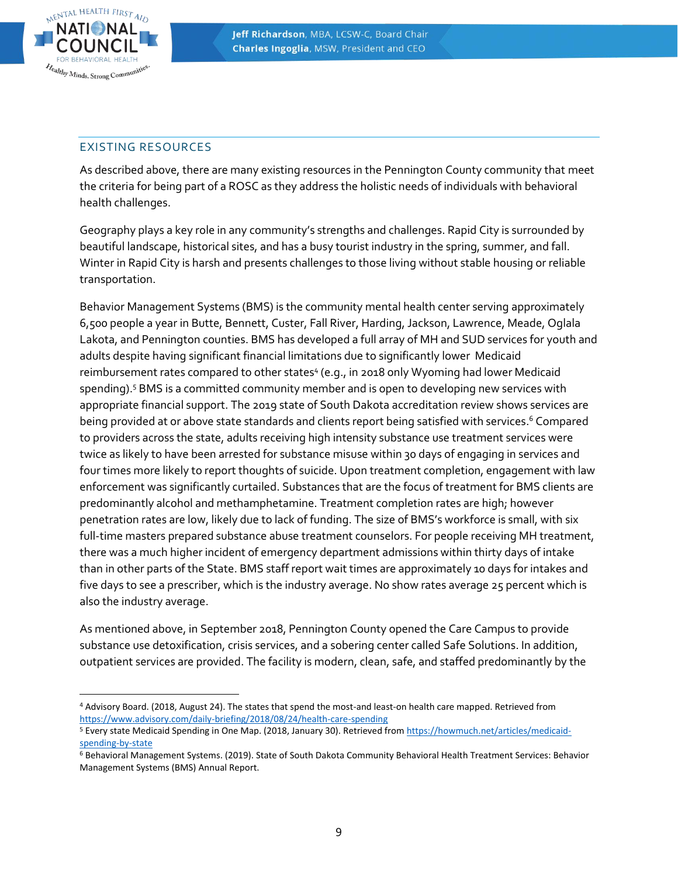

#### EXISTING RESOURCES

As described above, there are many existing resources in the Pennington County community that meet the criteria for being part of a ROSC as they address the holistic needs of individuals with behavioral health challenges.

Geography plays a key role in any community's strengths and challenges. Rapid City is surrounded by beautiful landscape, historical sites, and has a busy tourist industry in the spring, summer, and fall. Winter in Rapid City is harsh and presents challenges to those living without stable housing or reliable transportation.

Behavior Management Systems (BMS) is the community mental health center serving approximately 6,500 people a year in Butte, Bennett, Custer, Fall River, Harding, Jackson, Lawrence, Meade, Oglala Lakota, and Pennington counties. BMS has developed a full array of MH and SUD services for youth and adults despite having significant financial limitations due to significantly lower Medicaid reimbursement rates compared to other states<sup>4</sup> (e.g., in 2018 only Wyoming had lower Medicaid spending).<sup>5</sup> BMS is a committed community member and is open to developing new services with appropriate financial support. The 2019 state of South Dakota accreditation review shows services are being provided at or above state standards and clients report being satisfied with services. <sup>6</sup> Compared to providers across the state, adults receiving high intensity substance use treatment services were twice as likely to have been arrested for substance misuse within 30 days of engaging in services and four times more likely to report thoughts of suicide. Upon treatment completion, engagement with law enforcement was significantly curtailed. Substances that are the focus of treatment for BMS clients are predominantly alcohol and methamphetamine. Treatment completion rates are high; however penetration rates are low, likely due to lack of funding. The size of BMS's workforce is small, with six full-time masters prepared substance abuse treatment counselors. For people receiving MH treatment, there was a much higher incident of emergency department admissions within thirty days of intake than in other parts of the State. BMS staff report wait times are approximately 10 days for intakes and five days to see a prescriber, which is the industry average. No show rates average 25 percent which is also the industry average.

As mentioned above, in September 2018, Pennington County opened the Care Campus to provide substance use detoxification, crisis services, and a sobering center called Safe Solutions. In addition, outpatient services are provided. The facility is modern, clean, safe, and staffed predominantly by the

 <sup>4</sup> Advisory Board. (2018, August 24). The states that spend the most-and least-on health care mapped. Retrieved from <https://www.advisory.com/daily-briefing/2018/08/24/health-care-spending>

<sup>5</sup> Every state Medicaid Spending in One Map. (2018, January 30). Retrieved fro[m https://howmuch.net/articles/medicaid](https://howmuch.net/articles/medicaid-spending-by-state)[spending-by-state](https://howmuch.net/articles/medicaid-spending-by-state)

<sup>6</sup> Behavioral Management Systems. (2019). State of South Dakota Community Behavioral Health Treatment Services: Behavior Management Systems (BMS) Annual Report.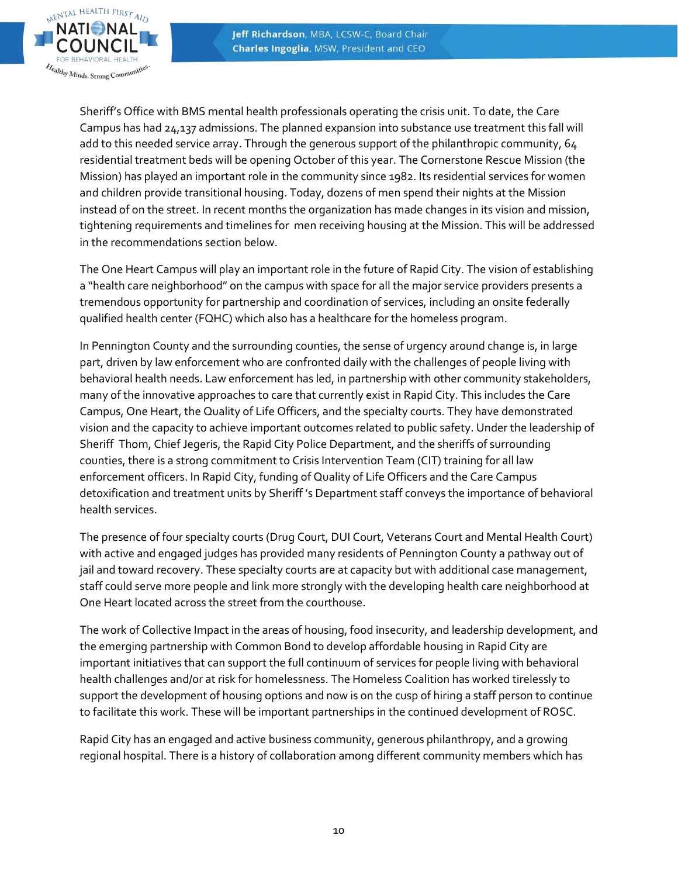

Sheriff's Office with BMS mental health professionals operating the crisis unit. To date, the Care Campus has had 24,137 admissions. The planned expansion into substance use treatment this fall will add to this needed service array. Through the generous support of the philanthropic community, 64 residential treatment beds will be opening October of this year. The Cornerstone Rescue Mission (the Mission) has played an important role in the community since 1982. Its residential services for women and children provide transitional housing. Today, dozens of men spend their nights at the Mission instead of on the street. In recent months the organization has made changes in its vision and mission, tightening requirements and timelines for men receiving housing at the Mission. This will be addressed in the recommendations section below.

The One Heart Campus will play an important role in the future of Rapid City. The vision of establishing a "health care neighborhood" on the campus with space for all the major service providers presents a tremendous opportunity for partnership and coordination of services, including an onsite federally qualified health center (FQHC) which also has a healthcare for the homeless program.

In Pennington County and the surrounding counties, the sense of urgency around change is, in large part, driven by law enforcement who are confronted daily with the challenges of people living with behavioral health needs. Law enforcement has led, in partnership with other community stakeholders, many of the innovative approaches to care that currently exist in Rapid City. This includes the Care Campus, One Heart, the Quality of Life Officers, and the specialty courts. They have demonstrated vision and the capacity to achieve important outcomes related to public safety. Under the leadership of Sheriff Thom, Chief Jegeris, the Rapid City Police Department, and the sheriffs of surrounding counties, there is a strong commitment to Crisis Intervention Team (CIT) training for all law enforcement officers. In Rapid City, funding of Quality of Life Officers and the Care Campus detoxification and treatment units by Sheriff 's Department staff conveys the importance of behavioral health services.

The presence of four specialty courts (Drug Court, DUI Court, Veterans Court and Mental Health Court) with active and engaged judges has provided many residents of Pennington County a pathway out of jail and toward recovery. These specialty courts are at capacity but with additional case management, staff could serve more people and link more strongly with the developing health care neighborhood at One Heart located across the street from the courthouse.

The work of Collective Impact in the areas of housing, food insecurity, and leadership development, and the emerging partnership with Common Bond to develop affordable housing in Rapid City are important initiatives that can support the full continuum of services for people living with behavioral health challenges and/or at risk for homelessness. The Homeless Coalition has worked tirelessly to support the development of housing options and now is on the cusp of hiring a staff person to continue to facilitate this work. These will be important partnerships in the continued development of ROSC.

Rapid City has an engaged and active business community, generous philanthropy, and a growing regional hospital. There is a history of collaboration among different community members which has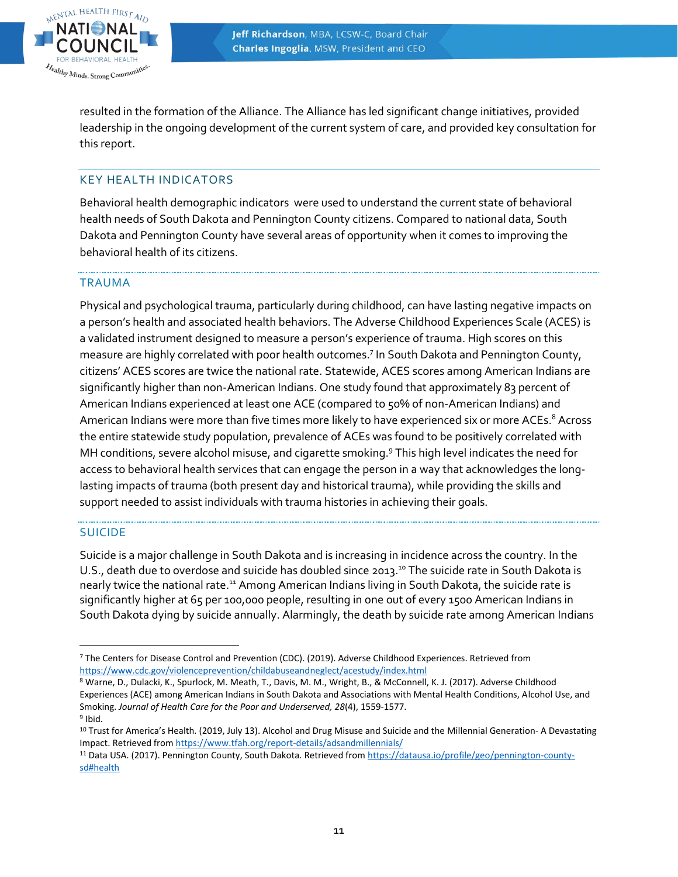

resulted in the formation of the Alliance. The Alliance has led significant change initiatives, provided leadership in the ongoing development of the current system of care, and provided key consultation for this report.

# KEY HEALTH INDICATORS

Behavioral health demographic indicators were used to understand the current state of behavioral health needs of South Dakota and Pennington County citizens. Compared to national data, South Dakota and Pennington County have several areas of opportunity when it comes to improving the behavioral health of its citizens.

#### TRAUMA

Physical and psychological trauma, particularly during childhood, can have lasting negative impacts on a person's health and associated health behaviors. The Adverse Childhood Experiences Scale (ACES) is a validated instrument designed to measure a person's experience of trauma. High scores on this measure are highly correlated with poor health outcomes.<sup>7</sup> In South Dakota and Pennington County, citizens' ACES scores are twice the national rate. Statewide, ACES scores among American Indians are significantly higher than non-American Indians. One study found that approximately 83 percent of American Indians experienced at least one ACE (compared to 50% of non-American Indians) and American Indians were more than five times more likely to have experienced six or more ACEs.<sup>8</sup> Across the entire statewide study population, prevalence of ACEs was found to be positively correlated with MH conditions, severe alcohol misuse, and cigarette smoking.<sup>9</sup> This high level indicates the need for access to behavioral health services that can engage the person in a way that acknowledges the longlasting impacts of trauma (both present day and historical trauma), while providing the skills and support needed to assist individuals with trauma histories in achieving their goals.

#### SUICIDE

Suicide is a major challenge in South Dakota and is increasing in incidence across the country. In the U.S., death due to overdose and suicide has doubled since 2013.<sup>10</sup> The suicide rate in South Dakota is nearly twice the national rate.<sup>11</sup> Among American Indians living in South Dakota, the suicide rate is significantly higher at 65 per 100,000 people, resulting in one out of every 1500 American Indians in South Dakota dying by suicide annually. Alarmingly, the death by suicide rate among American Indians

 $\overline{a}$ <sup>7</sup> The Centers for Disease Control and Prevention (CDC). (2019). Adverse Childhood Experiences. Retrieved from <https://www.cdc.gov/violenceprevention/childabuseandneglect/acestudy/index.html>

<sup>8</sup> Warne, D., Dulacki, K., Spurlock, M. Meath, T., Davis, M. M., Wright, B., & McConnell, K. J. (2017). Adverse Childhood Experiences (ACE) among American Indians in South Dakota and Associations with Mental Health Conditions, Alcohol Use, and Smoking. *Journal of Health Care for the Poor and Underserved, 28*(4), 1559-1577. <sup>9</sup> Ibid.

<sup>10</sup> Trust for America's Health. (2019, July 13). Alcohol and Drug Misuse and Suicide and the Millennial Generation- A Devastating Impact. Retrieved from<https://www.tfah.org/report-details/adsandmillennials/>

<sup>11</sup> Data USA. (2017). Pennington County, South Dakota. Retrieved fro[m https://datausa.io/profile/geo/pennington-county](https://datausa.io/profile/geo/pennington-county-sd#health)[sd#health](https://datausa.io/profile/geo/pennington-county-sd#health)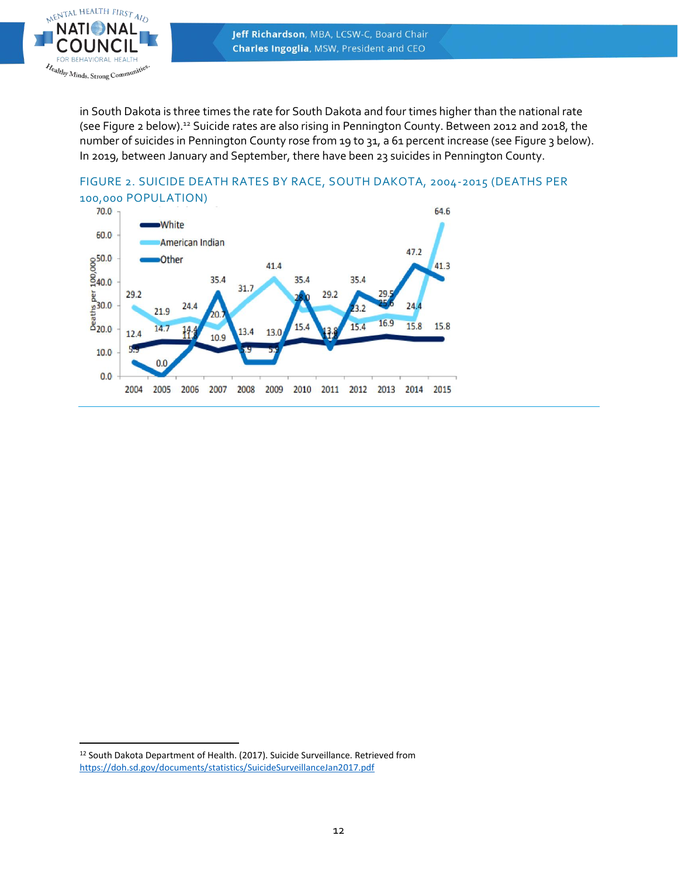

in South Dakota is three times the rate for South Dakota and four times higher than the national rate (see Figure 2 below).<sup>12</sup> Suicide rates are also rising in Pennington County. Between 2012 and 2018, the number of suicides in Pennington County rose from 19 to 31, a 61 percent increase (see Figure 3 below). In 2019, between January and September, there have been 23 suicides in Pennington County.





<sup>12</sup> South Dakota Department of Health. (2017). Suicide Surveillance. Retrieved from <https://doh.sd.gov/documents/statistics/SuicideSurveillanceJan2017.pdf>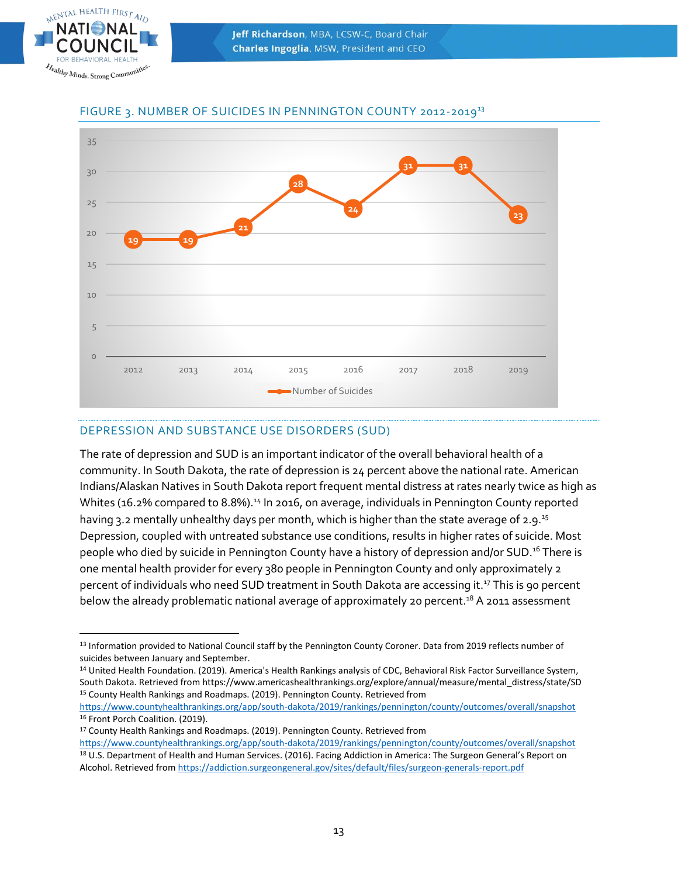



# FIGURE 3. NUMBER OF SUICIDES IN PENNINGTON COUNTY 2012-2019 13

# DEPRESSION AND SUBSTANCE USE DISORDERS (SUD)

The rate of depression and SUD is an important indicator of the overall behavioral health of a community. In South Dakota, the rate of depression is 24 percent above the national rate. American Indians/Alaskan Natives in South Dakota report frequent mental distress at rates nearly twice as high as Whites (16.2% compared to 8.8%).<sup>14</sup> In 2016, on average, individuals in Pennington County reported having 3.2 mentally unhealthy days per month, which is higher than the state average of 2.9.<sup>15</sup> Depression, coupled with untreated substance use conditions, results in higher rates of suicide. Most people who died by suicide in Pennington County have a history of depression and/or SUD.<sup>16</sup> There is one mental health provider for every 380 people in Pennington County and only approximately 2 percent of individuals who need SUD treatment in South Dakota are accessing it. <sup>17</sup> This is 90 percent below the already problematic national average of approximately 20 percent.<sup>18</sup> A 2011 assessment

<sup>13</sup> Information provided to National Council staff by the Pennington County Coroner. Data from 2019 reflects number of suicides between January and September.

<sup>&</sup>lt;sup>14</sup> United Health Foundation. (2019). America's Health Rankings analysis of CDC, Behavioral Risk Factor Surveillance System, South Dakota. Retrieved from https://www.americashealthrankings.org/explore/annual/measure/mental\_distress/state/SD <sup>15</sup> County Health Rankings and Roadmaps. (2019). Pennington County. Retrieved from

<https://www.countyhealthrankings.org/app/south-dakota/2019/rankings/pennington/county/outcomes/overall/snapshot> 16 Front Porch Coalition. (2019).

<sup>17</sup> County Health Rankings and Roadmaps. (2019). Pennington County. Retrieved from <https://www.countyhealthrankings.org/app/south-dakota/2019/rankings/pennington/county/outcomes/overall/snapshot> <sup>18</sup> U.S. Department of Health and Human Services. (2016). Facing Addiction in America: The Surgeon General's Report on Alcohol. Retrieved from<https://addiction.surgeongeneral.gov/sites/default/files/surgeon-generals-report.pdf>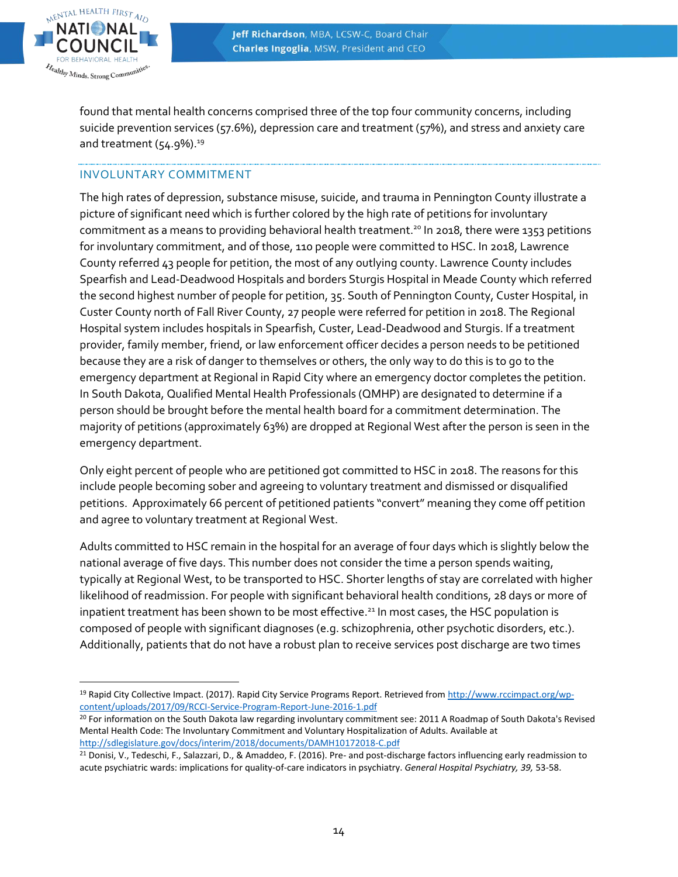

 $\overline{a}$ 

found that mental health concerns comprised three of the top four community concerns, including suicide prevention services (57.6%), depression care and treatment (57%), and stress and anxiety care and treatment  $(54.9\%)$ .<sup>19</sup>

## INVOLUNTARY COMMITMENT

The high rates of depression, substance misuse, suicide, and trauma in Pennington County illustrate a picture of significant need which is further colored by the high rate of petitions for involuntary commitment as a means to providing behavioral health treatment. <sup>20</sup> In 2018, there were 1353 petitions for involuntary commitment, and of those, 110 people were committed to HSC. In 2018, Lawrence County referred 43 people for petition, the most of any outlying county. Lawrence County includes Spearfish and Lead-Deadwood Hospitals and borders Sturgis Hospital in Meade County which referred the second highest number of people for petition, 35. South of Pennington County, Custer Hospital, in Custer County north of Fall River County, 27 people were referred for petition in 2018. The Regional Hospital system includes hospitals in Spearfish, Custer, Lead-Deadwood and Sturgis. If a treatment provider, family member, friend, or law enforcement officer decides a person needs to be petitioned because they are a risk of danger to themselves or others, the only way to do this is to go to the emergency department at Regional in Rapid City where an emergency doctor completes the petition. In South Dakota, Qualified Mental Health Professionals (QMHP) are designated to determine if a person should be brought before the mental health board for a commitment determination. The majority of petitions (approximately 63%) are dropped at Regional West after the person is seen in the emergency department.

Only eight percent of people who are petitioned got committed to HSC in 2018. The reasons for this include people becoming sober and agreeing to voluntary treatment and dismissed or disqualified petitions. Approximately 66 percent of petitioned patients "convert" meaning they come off petition and agree to voluntary treatment at Regional West.

Adults committed to HSC remain in the hospital for an average of four days which is slightly below the national average of five days. This number does not consider the time a person spends waiting, typically at Regional West, to be transported to HSC. Shorter lengths of stay are correlated with higher likelihood of readmission. For people with significant behavioral health conditions, 28 days or more of inpatient treatment has been shown to be most effective.<sup>21</sup> In most cases, the HSC population is composed of people with significant diagnoses (e.g. schizophrenia, other psychotic disorders, etc.). Additionally, patients that do not have a robust plan to receive services post discharge are two times

<sup>&</sup>lt;sup>19</sup> Rapid City Collective Impact. (2017). Rapid City Service Programs Report. Retrieved fro[m http://www.rccimpact.org/wp](http://www.rccimpact.org/wp-content/uploads/2017/09/RCCI-Service-Program-Report-June-2016-1.pdf)[content/uploads/2017/09/RCCI-Service-Program-Report-June-2016-1.pdf](http://www.rccimpact.org/wp-content/uploads/2017/09/RCCI-Service-Program-Report-June-2016-1.pdf)

<sup>&</sup>lt;sup>20</sup> For information on the South Dakota law regarding involuntary commitment see: 2011 A Roadmap of South Dakota's Revised Mental Health Code: The Involuntary Commitment and Voluntary Hospitalization of Adults. Available at <http://sdlegislature.gov/docs/interim/2018/documents/DAMH10172018-C.pdf>

<sup>&</sup>lt;sup>21</sup> Donisi, V., Tedeschi, F., Salazzari, D., & Amaddeo, F. (2016). Pre- and post-discharge factors influencing early readmission to acute psychiatric wards: implications for quality-of-care indicators in psychiatry. *General Hospital Psychiatry, 39,* 53-58.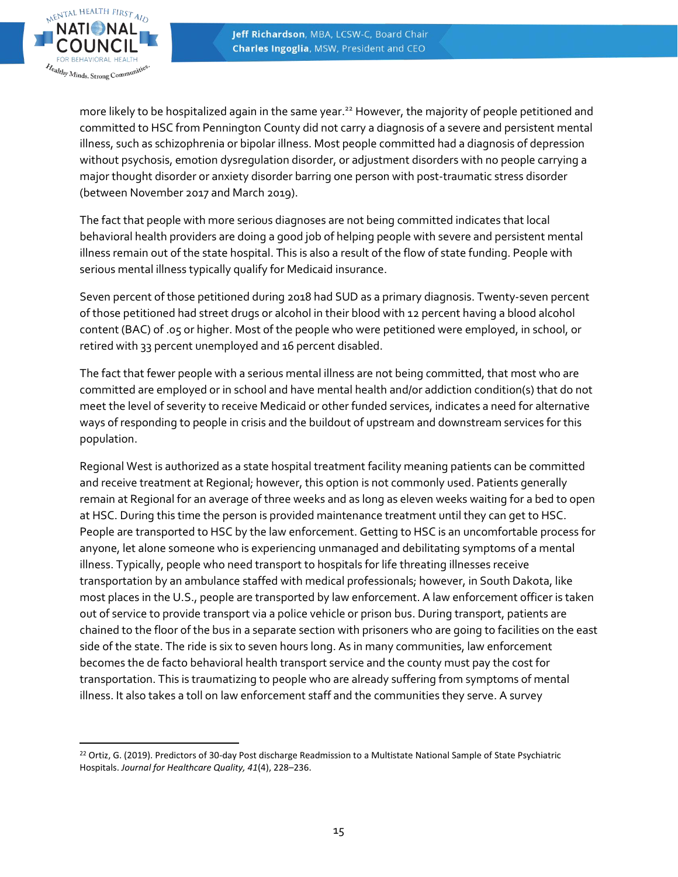

more likely to be hospitalized again in the same year. <sup>22</sup> However, the majority of people petitioned and committed to HSC from Pennington County did not carry a diagnosis of a severe and persistent mental illness, such as schizophrenia or bipolar illness. Most people committed had a diagnosis of depression without psychosis, emotion dysregulation disorder, or adjustment disorders with no people carrying a major thought disorder or anxiety disorder barring one person with post-traumatic stress disorder (between November 2017 and March 2019).

The fact that people with more serious diagnoses are not being committed indicates that local behavioral health providers are doing a good job of helping people with severe and persistent mental illness remain out of the state hospital. This is also a result of the flow of state funding. People with serious mental illness typically qualify for Medicaid insurance.

Seven percent of those petitioned during 2018 had SUD as a primary diagnosis. Twenty-seven percent of those petitioned had street drugs or alcohol in their blood with 12 percent having a blood alcohol content (BAC) of .05 or higher. Most of the people who were petitioned were employed, in school, or retired with 33 percent unemployed and 16 percent disabled.

The fact that fewer people with a serious mental illness are not being committed, that most who are committed are employed or in school and have mental health and/or addiction condition(s) that do not meet the level of severity to receive Medicaid or other funded services, indicates a need for alternative ways of responding to people in crisis and the buildout of upstream and downstream services for this population.

Regional West is authorized as a state hospital treatment facility meaning patients can be committed and receive treatment at Regional; however, this option is not commonly used. Patients generally remain at Regional for an average of three weeks and as long as eleven weeks waiting for a bed to open at HSC. During this time the person is provided maintenance treatment until they can get to HSC. People are transported to HSC by the law enforcement. Getting to HSC is an uncomfortable process for anyone, let alone someone who is experiencing unmanaged and debilitating symptoms of a mental illness. Typically, people who need transport to hospitals for life threating illnesses receive transportation by an ambulance staffed with medical professionals; however, in South Dakota, like most places in the U.S., people are transported by law enforcement. A law enforcement officer is taken out of service to provide transport via a police vehicle or prison bus. During transport, patients are chained to the floor of the bus in a separate section with prisoners who are going to facilities on the east side of the state. The ride is six to seven hours long. As in many communities, law enforcement becomes the de facto behavioral health transport service and the county must pay the cost for transportation. This is traumatizing to people who are already suffering from symptoms of mental illness. It also takes a toll on law enforcement staff and the communities they serve. A survey

 <sup>22</sup> Ortiz, G. (2019). Predictors of 30-day Post discharge Readmission to a Multistate National Sample of State Psychiatric Hospitals. *Journal for Healthcare Quality, 41*(4), 228–236.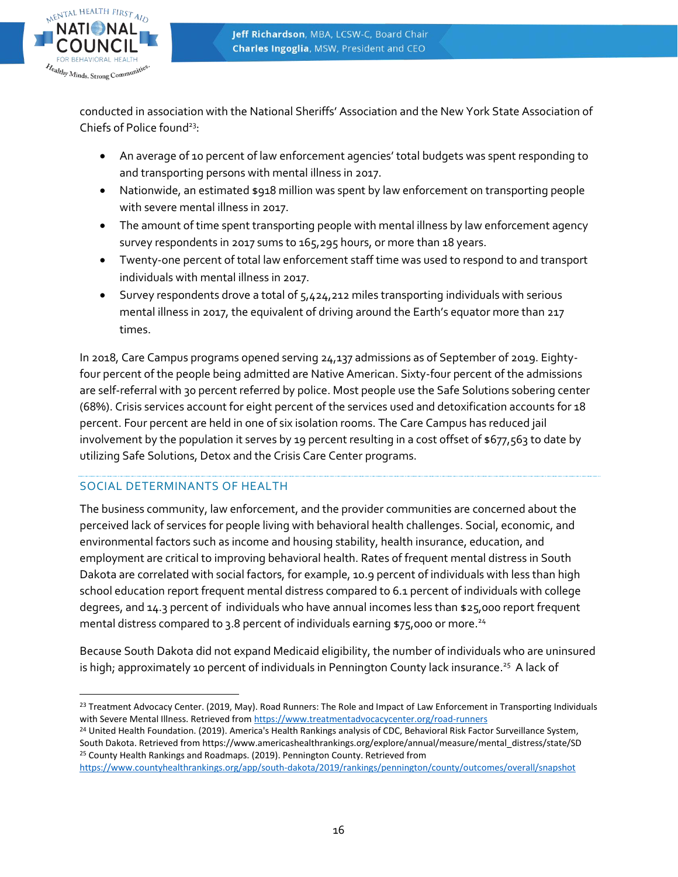

conducted in association with the National Sheriffs' Association and the New York State Association of Chiefs of Police found<sup>23</sup>:

- An average of 10 percent of law enforcement agencies' total budgets was spent responding to and transporting persons with mental illness in 2017.
- Nationwide, an estimated \$918 million was spent by law enforcement on transporting people with severe mental illness in 2017.
- The amount of time spent transporting people with mental illness by law enforcement agency survey respondents in 2017 sums to 165,295 hours, or more than 18 years.
- Twenty-one percent of total law enforcement staff time was used to respond to and transport individuals with mental illness in 2017.
- Survey respondents drove a total of 5,424,212 miles transporting individuals with serious mental illness in 2017, the equivalent of driving around the Earth's equator more than 217 times.

In 2018, Care Campus programs opened serving 24,137 admissions as of September of 2019. Eightyfour percent of the people being admitted are Native American. Sixty-four percent of the admissions are self-referral with 30 percent referred by police. Most people use the Safe Solutions sobering center (68%). Crisis services account for eight percent of the services used and detoxification accounts for 18 percent. Four percent are held in one of six isolation rooms. The Care Campus has reduced jail involvement by the population it serves by 19 percent resulting in a cost offset of \$677,563 to date by utilizing Safe Solutions, Detox and the Crisis Care Center programs.

# SOCIAL DETERMINANTS OF HEALTH

The business community, law enforcement, and the provider communities are concerned about the perceived lack of services for people living with behavioral health challenges. Social, economic, and environmental factors such as income and housing stability, health insurance, education, and employment are critical to improving behavioral health. Rates of frequent mental distress in South Dakota are correlated with social factors, for example, 10.9 percent of individuals with less than high school education report frequent mental distress compared to 6.1 percent of individuals with college degrees, and 14.3 percent of individuals who have annual incomes less than \$25,000 report frequent mental distress compared to 3.8 percent of individuals earning \$75,000 or more.<sup>24</sup>

Because South Dakota did not expand Medicaid eligibility, the number of individuals who are uninsured is high; approximately 10 percent of individuals in Pennington County lack insurance.<sup>25</sup> A lack of

 <sup>23</sup> Treatment Advocacy Center. (2019, May). Road Runners: The Role and Impact of Law Enforcement in Transporting Individuals with Severe Mental Illness. Retrieved fro[m https://www.treatmentadvocacycenter.org/road-runners](https://www.treatmentadvocacycenter.org/road-runners)

<sup>&</sup>lt;sup>24</sup> United Health Foundation. (2019). America's Health Rankings analysis of CDC, Behavioral Risk Factor Surveillance System, South Dakota. Retrieved from https://www.americashealthrankings.org/explore/annual/measure/mental\_distress/state/SD <sup>25</sup> County Health Rankings and Roadmaps. (2019). Pennington County. Retrieved from

<https://www.countyhealthrankings.org/app/south-dakota/2019/rankings/pennington/county/outcomes/overall/snapshot>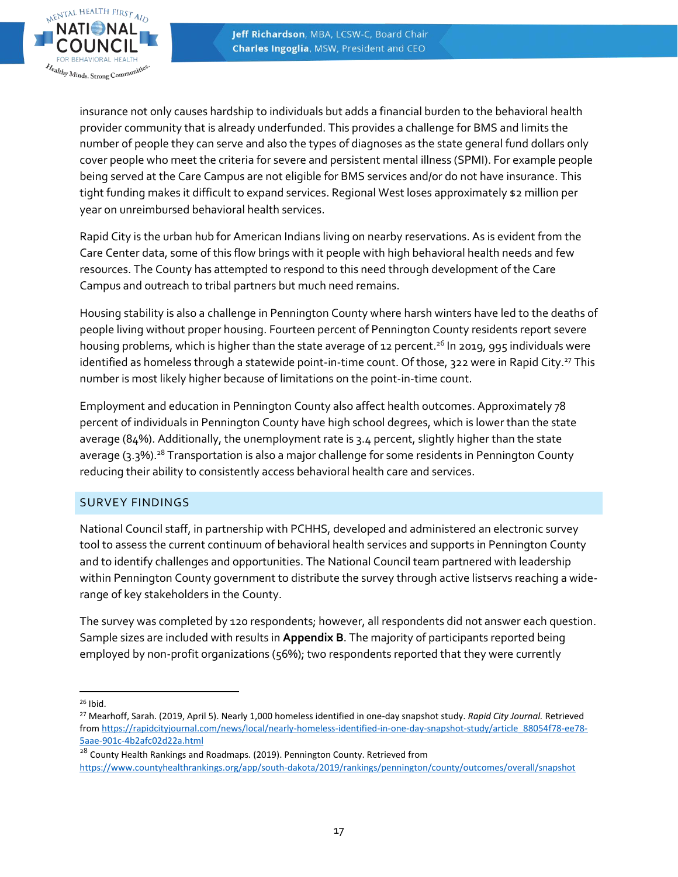

insurance not only causes hardship to individuals but adds a financial burden to the behavioral health provider community that is already underfunded. This provides a challenge for BMS and limits the number of people they can serve and also the types of diagnoses as the state general fund dollars only cover people who meet the criteria for severe and persistent mental illness (SPMI). For example people being served at the Care Campus are not eligible for BMS services and/or do not have insurance. This tight funding makes it difficult to expand services. Regional West loses approximately \$2 million per year on unreimbursed behavioral health services.

Rapid City is the urban hub for American Indians living on nearby reservations. As is evident from the Care Center data, some of this flow brings with it people with high behavioral health needs and few resources. The County has attempted to respond to this need through development of the Care Campus and outreach to tribal partners but much need remains.

Housing stability is also a challenge in Pennington County where harsh winters have led to the deaths of people living without proper housing. Fourteen percent of Pennington County residents report severe housing problems, which is higher than the state average of 12 percent. <sup>26</sup> In 2019, 995 individuals were identified as homeless through a statewide point-in-time count. Of those, 322 were in Rapid City.<sup>27</sup> This number is most likely higher because of limitations on the point-in-time count.

Employment and education in Pennington County also affect health outcomes. Approximately 78 percent of individuals in Pennington County have high school degrees, which is lower than the state average (84%). Additionally, the unemployment rate is 3.4 percent, slightly higher than the state average (3.3%).<sup>28</sup> Transportation is also a major challenge for some residents in Pennington County reducing their ability to consistently access behavioral health care and services.

#### SURVEY FINDINGS

National Council staff, in partnership with PCHHS, developed and administered an electronic survey tool to assess the current continuum of behavioral health services and supports in Pennington County and to identify challenges and opportunities. The National Council team partnered with leadership within Pennington County government to distribute the survey through active listservs reaching a widerange of key stakeholders in the County.

The survey was completed by 120 respondents; however, all respondents did not answer each question. Sample sizes are included with results in **Appendix B**. The majority of participants reported being employed by non-profit organizations (56%); two respondents reported that they were currently

 <sup>26</sup> Ibid.

 $28$  County Health Rankings and Roadmaps. (2019). Pennington County. Retrieved from <https://www.countyhealthrankings.org/app/south-dakota/2019/rankings/pennington/county/outcomes/overall/snapshot>

<sup>27</sup> Mearhoff, Sarah. (2019, April 5). Nearly 1,000 homeless identified in one-day snapshot study. *Rapid City Journal.* Retrieved from [https://rapidcityjournal.com/news/local/nearly-homeless-identified-in-one-day-snapshot-study/article\\_88054f78-ee78-](https://rapidcityjournal.com/news/local/nearly-homeless-identified-in-one-day-snapshot-study/article_88054f78-ee78-5aae-901c-4b2afc02d22a.html) [5aae-901c-4b2afc02d22a.html](https://rapidcityjournal.com/news/local/nearly-homeless-identified-in-one-day-snapshot-study/article_88054f78-ee78-5aae-901c-4b2afc02d22a.html)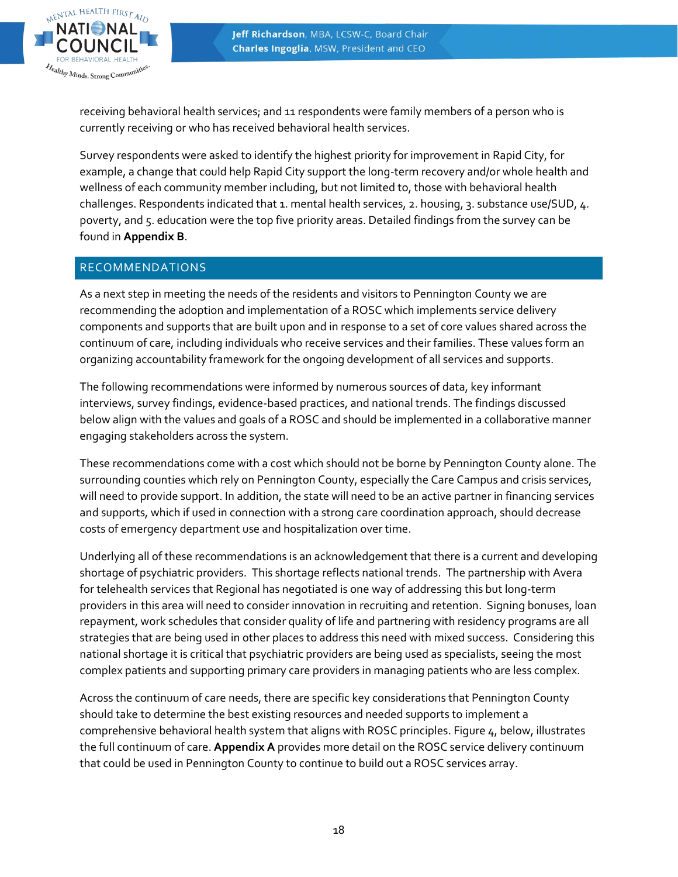

receiving behavioral health services; and 11 respondents were family members of a person who is currently receiving or who has received behavioral health services.

Survey respondents were asked to identify the highest priority for improvement in Rapid City, for example, a change that could help Rapid City support the long-term recovery and/or whole health and wellness of each community member including, but not limited to, those with behavioral health challenges. Respondents indicated that 1. mental health services, 2. housing, 3. substance use/SUD, 4. poverty, and 5. education were the top five priority areas. Detailed findings from the survey can be found in **Appendix B**.

# RECOMMENDATIONS

As a next step in meeting the needs of the residents and visitors to Pennington County we are recommending the adoption and implementation of a ROSC which implements service delivery components and supports that are built upon and in response to a set of core values shared across the continuum of care, including individuals who receive services and their families. These values form an organizing accountability framework for the ongoing development of all services and supports.

The following recommendations were informed by numerous sources of data, key informant interviews, survey findings, evidence-based practices, and national trends. The findings discussed below align with the values and goals of a ROSC and should be implemented in a collaborative manner engaging stakeholders across the system.

These recommendations come with a cost which should not be borne by Pennington County alone. The surrounding counties which rely on Pennington County, especially the Care Campus and crisis services, will need to provide support. In addition, the state will need to be an active partner in financing services and supports, which if used in connection with a strong care coordination approach, should decrease costs of emergency department use and hospitalization over time.

Underlying all of these recommendations is an acknowledgement that there is a current and developing shortage of psychiatric providers. This shortage reflects national trends. The partnership with Avera for telehealth services that Regional has negotiated is one way of addressing this but long-term providers in this area will need to consider innovation in recruiting and retention. Signing bonuses, loan repayment, work schedules that consider quality of life and partnering with residency programs are all strategies that are being used in other places to address this need with mixed success. Considering this national shortage it is critical that psychiatric providers are being used as specialists, seeing the most complex patients and supporting primary care providers in managing patients who are less complex.

Across the continuum of care needs, there are specific key considerations that Pennington County should take to determine the best existing resources and needed supports to implement a comprehensive behavioral health system that aligns with ROSC principles. Figure 4, below, illustrates the full continuum of care. **Appendix A** provides more detail on the ROSC service delivery continuum that could be used in Pennington County to continue to build out a ROSC services array.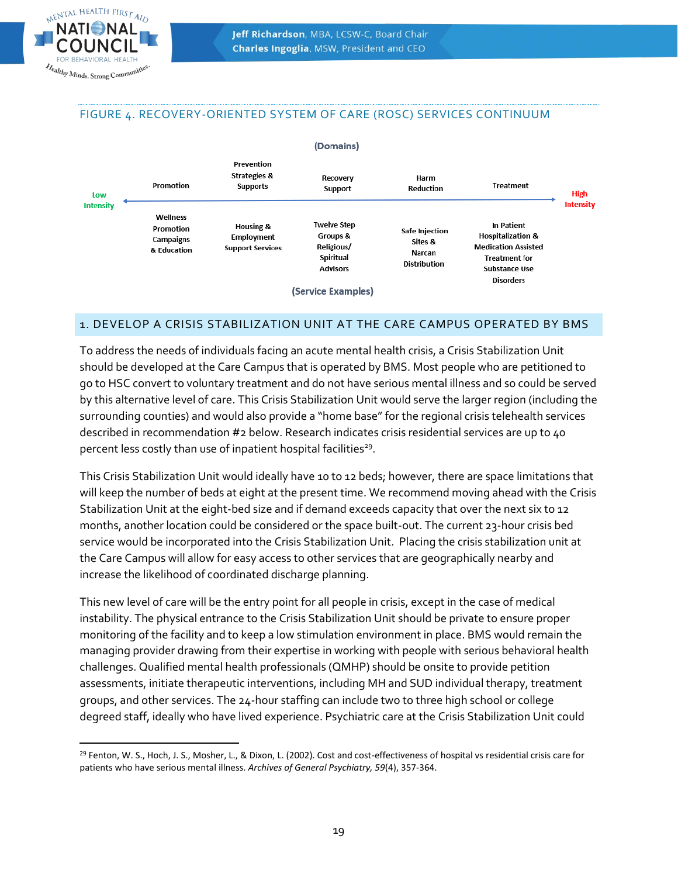#### FIGURE 4. RECOVERY-ORIENTED SYSTEM OF CARE (ROSC) SERVICES CONTINUUM



#### 1. DEVELOP A CRISIS STABILIZATION UNIT AT THE CARE CAMPUS OPERATED BY BMS

To address the needs of individuals facing an acute mental health crisis, a Crisis Stabilization Unit should be developed at the Care Campus that is operated by BMS. Most people who are petitioned to go to HSC convert to voluntary treatment and do not have serious mental illness and so could be served by this alternative level of care. This Crisis Stabilization Unit would serve the larger region (including the surrounding counties) and would also provide a "home base"for the regional crisis telehealth services described in recommendation #2 below. Research indicates crisis residential services are up to 40 percent less costly than use of inpatient hospital facilities<sup>29</sup>.

This Crisis Stabilization Unit would ideally have 10 to 12 beds; however, there are space limitations that will keep the number of beds at eight at the present time. We recommend moving ahead with the Crisis Stabilization Unit at the eight-bed size and if demand exceeds capacity that over the next six to 12 months, another location could be considered or the space built-out. The current 23-hour crisis bed service would be incorporated into the Crisis Stabilization Unit. Placing the crisis stabilization unit at the Care Campus will allow for easy access to other services that are geographically nearby and increase the likelihood of coordinated discharge planning.

This new level of care will be the entry point for all people in crisis, except in the case of medical instability. The physical entrance to the Crisis Stabilization Unit should be private to ensure proper monitoring of the facility and to keep a low stimulation environment in place. BMS would remain the managing provider drawing from their expertise in working with people with serious behavioral health challenges. Qualified mental health professionals (QMHP) should be onsite to provide petition assessments, initiate therapeutic interventions, including MH and SUD individual therapy, treatment groups, and other services. The 24-hour staffing can include two to three high school or college degreed staff, ideally who have lived experience. Psychiatric care at the Crisis Stabilization Unit could

 <sup>29</sup> Fenton, W. S., Hoch, J. S., Mosher, L., & Dixon, L. (2002). Cost and cost-effectiveness of hospital vs residential crisis care for patients who have serious mental illness. *Archives of General Psychiatry, 59*(4), 357-364.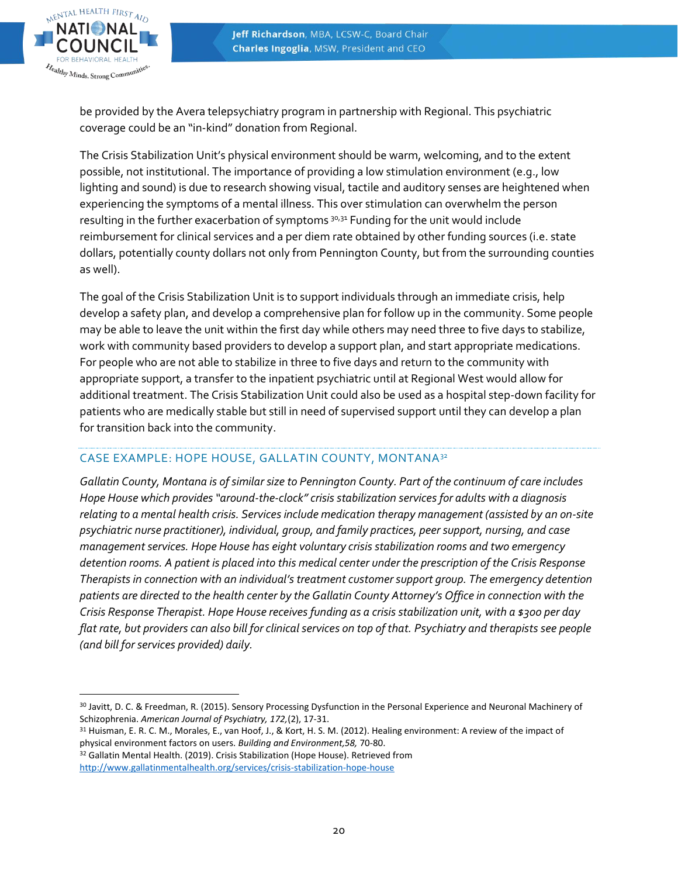

be provided by the Avera telepsychiatry program in partnership with Regional. This psychiatric coverage could be an "in-kind" donation from Regional.

The Crisis Stabilization Unit's physical environment should be warm, welcoming, and to the extent possible, not institutional. The importance of providing a low stimulation environment (e.g., low lighting and sound) is due to research showing visual, tactile and auditory senses are heightened when experiencing the symptoms of a mental illness. This over stimulation can overwhelm the person resulting in the further exacerbation of symptoms  $3^{0,31}$  Funding for the unit would include reimbursement for clinical services and a per diem rate obtained by other funding sources (i.e. state dollars, potentially county dollars not only from Pennington County, but from the surrounding counties as well).

The goal of the Crisis Stabilization Unit is to support individuals through an immediate crisis, help develop a safety plan, and develop a comprehensive plan for follow up in the community. Some people may be able to leave the unit within the first day while others may need three to five days to stabilize, work with community based providers to develop a support plan, and start appropriate medications. For people who are not able to stabilize in three to five days and return to the community with appropriate support, a transfer to the inpatient psychiatric until at Regional West would allow for additional treatment. The Crisis Stabilization Unit could also be used as a hospital step-down facility for patients who are medically stable but still in need of supervised support until they can develop a plan for transition back into the community.

#### CASE EXAMPLE: HOPE HOUSE, GALLATIN COUNTY, MONTANA<sup>32</sup>

*Gallatin County, Montana is of similar size to Pennington County. Part of the continuum of care includes Hope House which provides "around-the-clock" crisis stabilization services for adults with a diagnosis relating to a mental health crisis. Services include medication therapy management (assisted by an on-site psychiatric nurse practitioner), individual, group, and family practices, peer support, nursing, and case management services. Hope House has eight voluntary crisis stabilization rooms and two emergency detention rooms. A patient is placed into this medical center under the prescription of the Crisis Response Therapists in connection with an individual's treatment customer support group. The emergency detention patients are directed to the health center by the Gallatin County Attorney's Office in connection with the Crisis Response Therapist. Hope House receives funding as a crisis stabilization unit, with a \$300 per day flat rate, but providers can also bill for clinical services on top of that. Psychiatry and therapists see people (and bill for services provided) daily.*

<sup>30</sup> Javitt, D. C. & Freedman, R. (2015). Sensory Processing Dysfunction in the Personal Experience and Neuronal Machinery of Schizophrenia. *American Journal of Psychiatry, 172,*(2), 17-31.

<sup>31</sup> Huisman, E. R. C. M., Morales, E., van Hoof, J., & Kort, H. S. M. (2012). Healing environment: A review of the impact of physical environment factors on users. *Building and Environment,58,* 70-80.

<sup>&</sup>lt;sup>32</sup> Gallatin Mental Health. (2019). Crisis Stabilization (Hope House). Retrieved from <http://www.gallatinmentalhealth.org/services/crisis-stabilization-hope-house>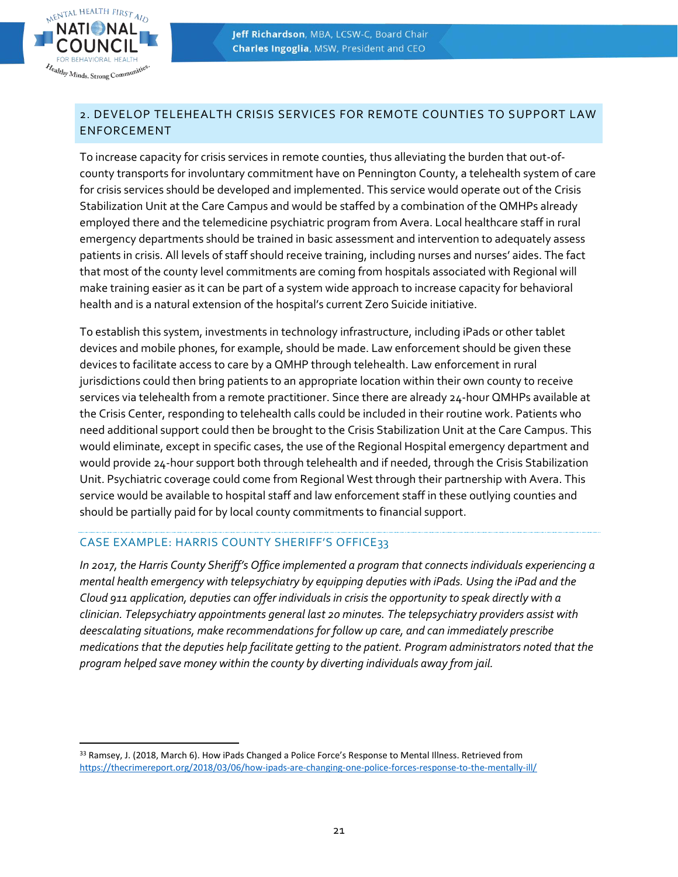

# 2. DEVELOP TELEHEALTH CRISIS SERVICES FOR REMOTE COUNTIES TO SUPPORT LAW ENFORCEMENT

To increase capacity for crisis services in remote counties, thus alleviating the burden that out-ofcounty transports for involuntary commitment have on Pennington County, a telehealth system of care for crisis services should be developed and implemented. This service would operate out of the Crisis Stabilization Unit at the Care Campus and would be staffed by a combination of the QMHPs already employed there and the telemedicine psychiatric program from Avera. Local healthcare staff in rural emergency departments should be trained in basic assessment and intervention to adequately assess patients in crisis. All levels of staff should receive training, including nurses and nurses' aides. The fact that most of the county level commitments are coming from hospitals associated with Regional will make training easier as it can be part of a system wide approach to increase capacity for behavioral health and is a natural extension of the hospital's current Zero Suicide initiative.

To establish this system, investments in technology infrastructure, including iPads or other tablet devices and mobile phones, for example, should be made. Law enforcement should be given these devices to facilitate access to care by a QMHP through telehealth. Law enforcement in rural jurisdictions could then bring patients to an appropriate location within their own county to receive services via telehealth from a remote practitioner. Since there are already 24-hour QMHPs available at the Crisis Center, responding to telehealth calls could be included in their routine work. Patients who need additional support could then be brought to the Crisis Stabilization Unit at the Care Campus. This would eliminate, except in specific cases, the use of the Regional Hospital emergency department and would provide 24-hour support both through telehealth and if needed, through the Crisis Stabilization Unit. Psychiatric coverage could come from Regional West through their partnership with Avera. This service would be available to hospital staff and law enforcement staff in these outlying counties and should be partially paid for by local county commitments to financial support.

# CASE EXAMPLE: HARRIS COUNTY SHERIFF'S OFFICE33

*In 2017, the Harris County Sheriff's Office implemented a program that connects individuals experiencing a mental health emergency with telepsychiatry by equipping deputies with iPads. Using the iPad and the Cloud 911 application, deputies can offer individuals in crisis the opportunity to speak directly with a clinician. Telepsychiatry appointments general last 20 minutes. The telepsychiatry providers assist with deescalating situations, make recommendations for follow up care, and can immediately prescribe medications that the deputies help facilitate getting to the patient. Program administrators noted that the program helped save money within the county by diverting individuals away from jail.*

<sup>33</sup> Ramsey, J. (2018, March 6). How iPads Changed a Police Force's Response to Mental Illness. Retrieved from <https://thecrimereport.org/2018/03/06/how-ipads-are-changing-one-police-forces-response-to-the-mentally-ill/>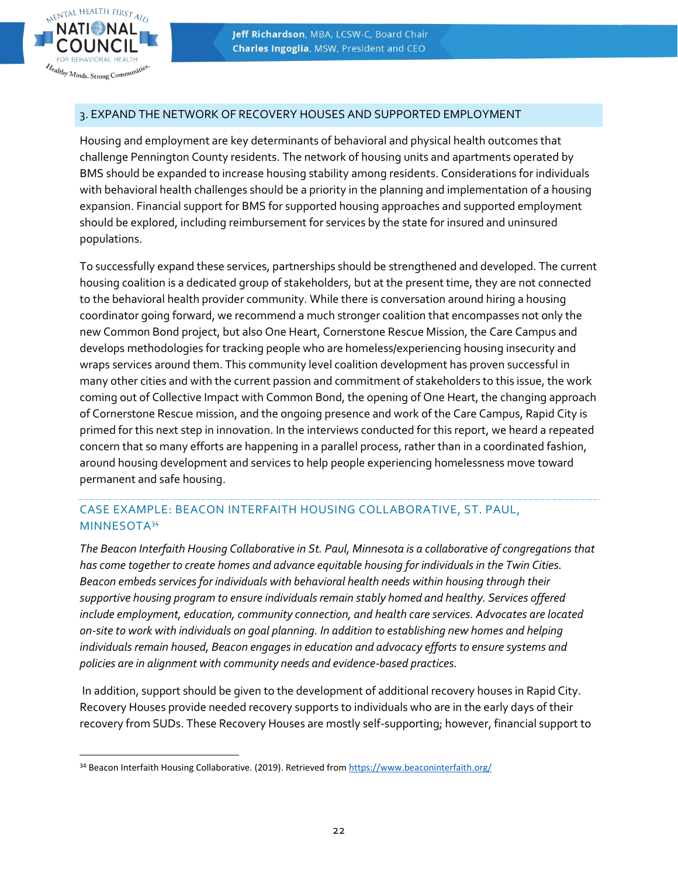

#### 3. EXPAND THE NETWORK OF RECOVERY HOUSES AND SUPPORTED EMPLOYMENT

Housing and employment are key determinants of behavioral and physical health outcomes that challenge Pennington County residents. The network of housing units and apartments operated by BMS should be expanded to increase housing stability among residents. Considerations for individuals with behavioral health challenges should be a priority in the planning and implementation of a housing expansion. Financial support for BMS for supported housing approaches and supported employment should be explored, including reimbursement for services by the state for insured and uninsured populations.

To successfully expand these services, partnerships should be strengthened and developed. The current housing coalition is a dedicated group of stakeholders, but at the present time, they are not connected to the behavioral health provider community. While there is conversation around hiring a housing coordinator going forward, we recommend a much stronger coalition that encompasses not only the new Common Bond project, but also One Heart, Cornerstone Rescue Mission, the Care Campus and develops methodologies for tracking people who are homeless/experiencing housing insecurity and wraps services around them. This community level coalition development has proven successful in many other cities and with the current passion and commitment of stakeholders to this issue, the work coming out of Collective Impact with Common Bond, the opening of One Heart, the changing approach of Cornerstone Rescue mission, and the ongoing presence and work of the Care Campus, Rapid City is primed for this next step in innovation. In the interviews conducted for this report, we heard a repeated concern that so many efforts are happening in a parallel process, rather than in a coordinated fashion, around housing development and services to help people experiencing homelessness move toward permanent and safe housing.

# CASE EXAMPLE: BEACON INTERFAITH HOUSING COLLABORATIVE, ST. PAUL, MINNESOTA<sup>34</sup>

*The Beacon Interfaith Housing Collaborative in St. Paul, Minnesota is a collaborative of congregations that has come together to create homes and advance equitable housing for individuals in the Twin Cities. Beacon embeds services for individuals with behavioral health needs within housing through their supportive housing program to ensure individuals remain stably homed and healthy. Services offered include employment, education, community connection, and health care services. Advocates are located on-site to work with individuals on goal planning. In addition to establishing new homes and helping individuals remain housed, Beacon engages in education and advocacy efforts to ensure systems and policies are in alignment with community needs and evidence-based practices.*

In addition, support should be given to the development of additional recovery houses in Rapid City. Recovery Houses provide needed recovery supports to individuals who are in the early days of their recovery from SUDs. These Recovery Houses are mostly self-supporting; however, financial support to

<sup>34</sup> Beacon Interfaith Housing Collaborative. (2019). Retrieved fro[m https://www.beaconinterfaith.org/](https://www.beaconinterfaith.org/)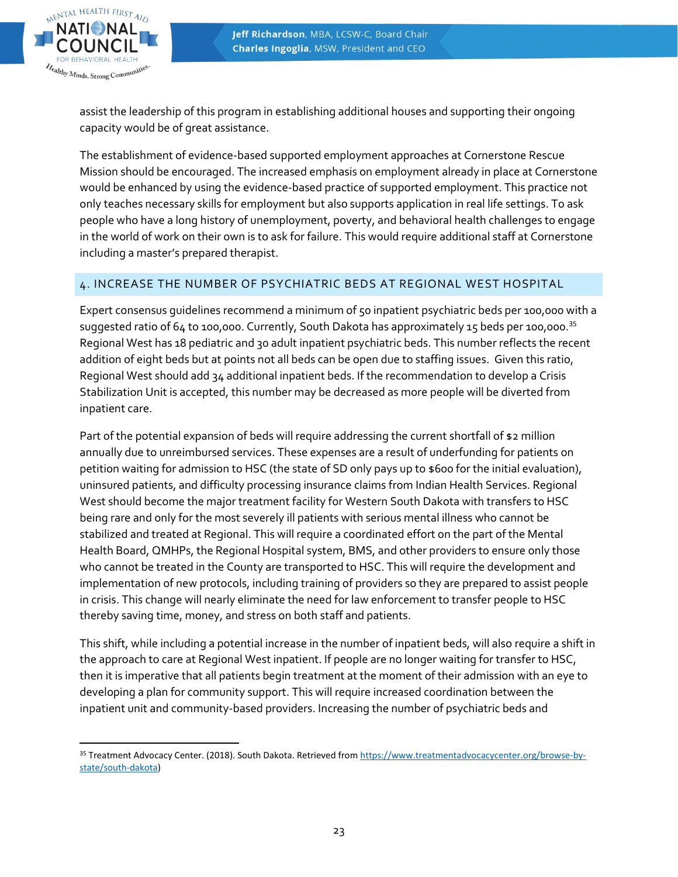

assist the leadership of this program in establishing additional houses and supporting their ongoing capacity would be of great assistance.

The establishment of evidence-based supported employment approaches at Cornerstone Rescue Mission should be encouraged. The increased emphasis on employment already in place at Cornerstone would be enhanced by using the evidence-based practice of supported employment. This practice not only teaches necessary skills for employment but also supports application in real life settings. To ask people who have a long history of unemployment, poverty, and behavioral health challenges to engage in the world of work on their own is to ask for failure. This would require additional staff at Cornerstone including a master's prepared therapist.

# 4. INCREASE THE NUMBER OF PSYCHIATRIC BEDS AT REGIONAL WEST HOSPITAL

Expert consensus guidelines recommend a minimum of 50 inpatient psychiatric beds per 100,000 with a suggested ratio of 64 to 100,000. Currently, South Dakota has approximately 15 beds per 100,000.<sup>35</sup> Regional West has 18 pediatric and 30 adult inpatient psychiatric beds. This number reflects the recent addition of eight beds but at points not all beds can be open due to staffing issues. Given this ratio, Regional West should add 34 additional inpatient beds. If the recommendation to develop a Crisis Stabilization Unit is accepted, this number may be decreased as more people will be diverted from inpatient care.

Part of the potential expansion of beds will require addressing the current shortfall of \$2 million annually due to unreimbursed services. These expenses are a result of underfunding for patients on petition waiting for admission to HSC (the state of SD only pays up to \$600 for the initial evaluation), uninsured patients, and difficulty processing insurance claims from Indian Health Services. Regional West should become the major treatment facility for Western South Dakota with transfers to HSC being rare and only for the most severely ill patients with serious mental illness who cannot be stabilized and treated at Regional. This will require a coordinated effort on the part of the Mental Health Board, QMHPs, the Regional Hospital system, BMS, and other providers to ensure only those who cannot be treated in the County are transported to HSC. This will require the development and implementation of new protocols, including training of providers so they are prepared to assist people in crisis. This change will nearly eliminate the need for law enforcement to transfer people to HSC thereby saving time, money, and stress on both staff and patients.

This shift, while including a potential increase in the number of inpatient beds, will also require a shift in the approach to care at Regional West inpatient. If people are no longer waiting for transfer to HSC, then it is imperative that all patients begin treatment at the moment of their admission with an eye to developing a plan for community support. This will require increased coordination between the inpatient unit and community-based providers. Increasing the number of psychiatric beds and

 35 Treatment Advocacy Center. (2018). South Dakota. Retrieved fro[m https://www.treatmentadvocacycenter.org/browse-by](https://www.treatmentadvocacycenter.org/browse-by-state/south-dakota)[state/south-dakota\)](https://www.treatmentadvocacycenter.org/browse-by-state/south-dakota)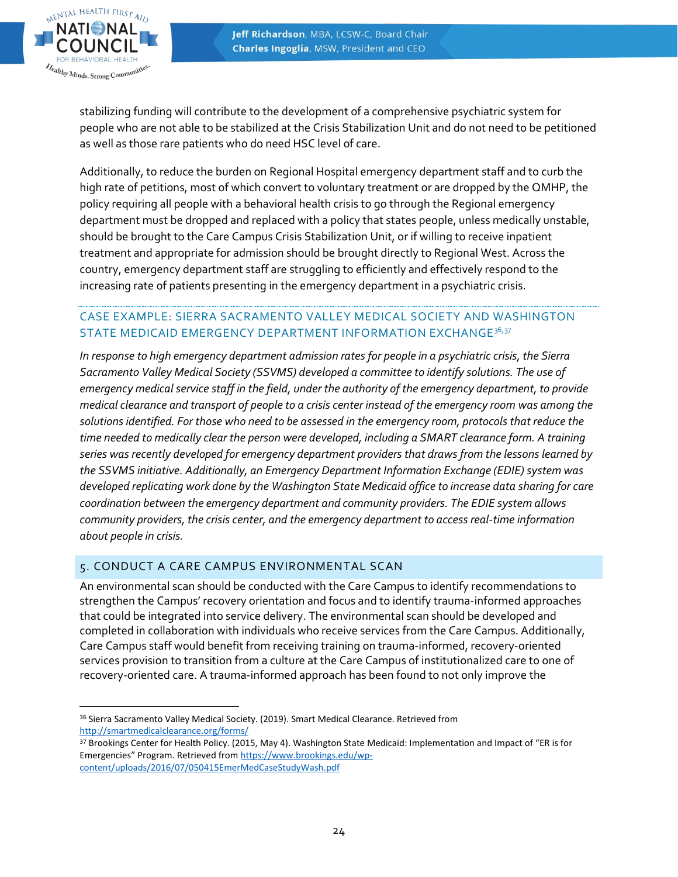

stabilizing funding will contribute to the development of a comprehensive psychiatric system for people who are not able to be stabilized at the Crisis Stabilization Unit and do not need to be petitioned as well as those rare patients who do need HSC level of care.

Additionally, to reduce the burden on Regional Hospital emergency department staff and to curb the high rate of petitions, most of which convert to voluntary treatment or are dropped by the QMHP, the policy requiring all people with a behavioral health crisis to go through the Regional emergency department must be dropped and replaced with a policy that states people, unless medically unstable, should be brought to the Care Campus Crisis Stabilization Unit, or if willing to receive inpatient treatment and appropriate for admission should be brought directly to Regional West. Across the country, emergency department staff are struggling to efficiently and effectively respond to the increasing rate of patients presenting in the emergency department in a psychiatric crisis.

# CASE EXAMPLE: SIERRA SACRAMENTO VALLEY MEDICAL SOCIETY AND WASHINGTON STATE MEDICAID EMERGENCY DEPARTMENT INFORMATION EXCHANGE<sup>36,37</sup>

*In response to high emergency department admission rates for people in a psychiatric crisis, the Sierra Sacramento Valley Medical Society (SSVMS) developed a committee to identify solutions. The use of emergency medical service staff in the field, under the authority of the emergency department, to provide medical clearance and transport of people to a crisis center instead of the emergency room was among the solutions identified. For those who need to be assessed in the emergency room, protocols that reduce the time needed to medically clear the person were developed, including a SMART clearance form. A training series was recently developed for emergency department providers that draws from the lessons learned by*  the SSVMS initiative. Additionally, an Emergency Department Information Exchange (EDIE) system was *developed replicating work done by the Washington State Medicaid office to increase data sharing for care coordination between the emergency department and community providers. The EDIE system allows community providers, the crisis center, and the emergency department to access real-time information about people in crisis.*

# 5. CONDUCT A CARE CAMPUS ENVIRONMENTAL SCAN

An environmental scan should be conducted with the Care Campus to identify recommendations to strengthen the Campus' recovery orientation and focus and to identify trauma-informed approaches that could be integrated into service delivery. The environmental scan should be developed and completed in collaboration with individuals who receive services from the Care Campus. Additionally, Care Campus staff would benefit from receiving training on trauma-informed, recovery-oriented services provision to transition from a culture at the Care Campus of institutionalized care to one of recovery-oriented care. A trauma-informed approach has been found to not only improve the

<sup>36</sup> Sierra Sacramento Valley Medical Society. (2019). Smart Medical Clearance. Retrieved from <http://smartmedicalclearance.org/forms/>

<sup>37</sup> Brookings Center for Health Policy. (2015, May 4). Washington State Medicaid: Implementation and Impact of "ER is for Emergencies" Program. Retrieved from [https://www.brookings.edu/wp](https://www.brookings.edu/wp-content/uploads/2016/07/050415EmerMedCaseStudyWash.pdf)[content/uploads/2016/07/050415EmerMedCaseStudyWash.pdf](https://www.brookings.edu/wp-content/uploads/2016/07/050415EmerMedCaseStudyWash.pdf)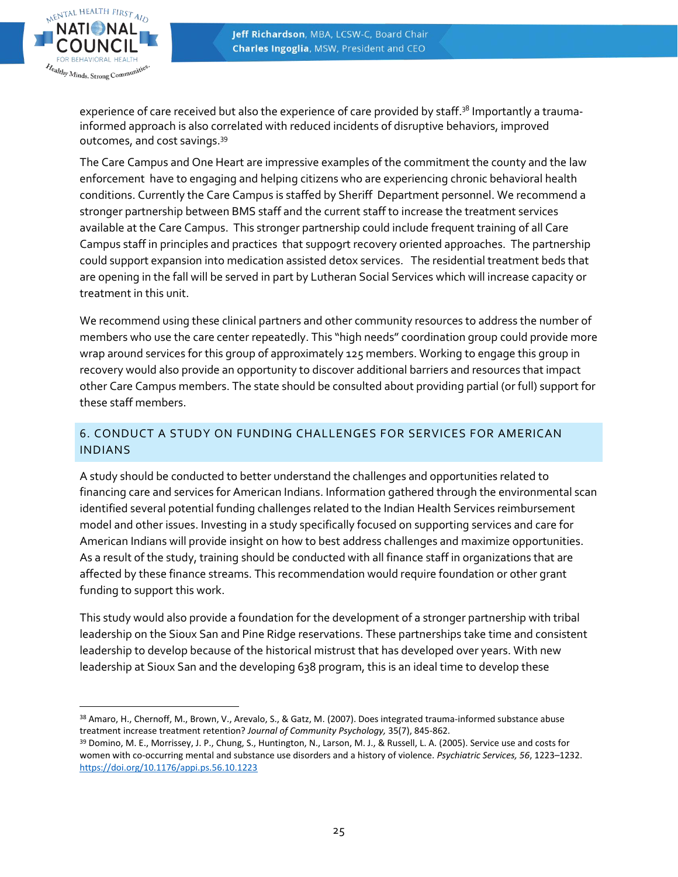

experience of care received but also the experience of care provided by staff.<sup>38</sup> Importantly a traumainformed approach is also correlated with reduced incidents of disruptive behaviors, improved outcomes, and cost savings.<sup>39</sup>

The Care Campus and One Heart are impressive examples of the commitment the county and the law enforcement have to engaging and helping citizens who are experiencing chronic behavioral health conditions. Currently the Care Campus is staffed by Sheriff Department personnel. We recommend a stronger partnership between BMS staff and the current staff to increase the treatment services available at the Care Campus. This stronger partnership could include frequent training of all Care Campus staff in principles and practices that suppo9rt recovery oriented approaches. The partnership could support expansion into medication assisted detox services. The residential treatment beds that are opening in the fall will be served in part by Lutheran Social Services which will increase capacity or treatment in this unit.

We recommend using these clinical partners and other community resources to address the number of members who use the care center repeatedly. This "high needs" coordination group could provide more wrap around services for this group of approximately 125 members. Working to engage this group in recovery would also provide an opportunity to discover additional barriers and resources that impact other Care Campus members. The state should be consulted about providing partial (or full) support for these staff members.

# 6. CONDUCT A STUDY ON FUNDING CHALLENGES FOR SERVICES FOR AMERICAN INDIANS

A study should be conducted to better understand the challenges and opportunities related to financing care and services for American Indians. Information gathered through the environmental scan identified several potential funding challenges related to the Indian Health Services reimbursement model and other issues. Investing in a study specifically focused on supporting services and care for American Indians will provide insight on how to best address challenges and maximize opportunities. As a result of the study, training should be conducted with all finance staff in organizations that are affected by these finance streams. This recommendation would require foundation or other grant funding to support this work.

This study would also provide a foundation for the development of a stronger partnership with tribal leadership on the Sioux San and Pine Ridge reservations. These partnerships take time and consistent leadership to develop because of the historical mistrust that has developed over years. With new leadership at Sioux San and the developing 638 program, this is an ideal time to develop these

<sup>38</sup> Amaro, H., Chernoff, M., Brown, V., Arevalo, S., & Gatz, M. (2007). Does integrated trauma-informed substance abuse treatment increase treatment retention? *Journal of Community Psychology,* 35(7), 845-862.

<sup>39</sup> Domino, M. E., Morrissey, J. P., Chung, S., Huntington, N., Larson, M. J., & Russell, L. A. (2005). Service use and costs for women with co-occurring mental and substance use disorders and a history of violence. *Psychiatric Services, 56*, 1223–1232. <https://doi.org/10.1176/appi.ps.56.10.1223>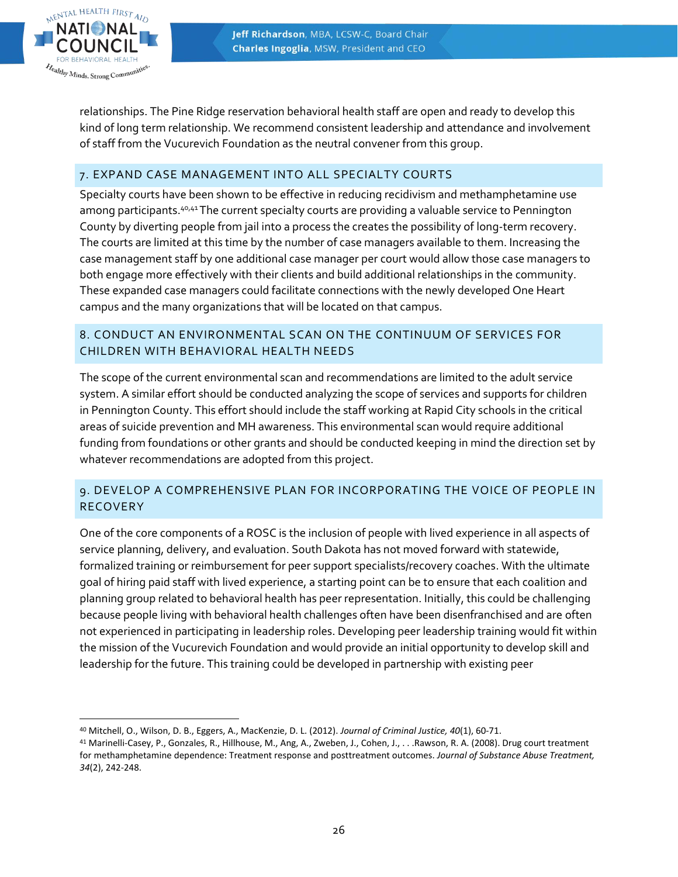

 $\overline{a}$ 

relationships. The Pine Ridge reservation behavioral health staff are open and ready to develop this kind of long term relationship. We recommend consistent leadership and attendance and involvement of staff from the Vucurevich Foundation as the neutral convener from this group.

# 7. EXPAND CASE MANAGEMENT INTO ALL SPECIALTY COURTS

Specialty courts have been shown to be effective in reducing recidivism and methamphetamine use among participants.40,41The current specialty courts are providing a valuable service to Pennington County by diverting people from jail into a process the creates the possibility of long-term recovery. The courts are limited at this time by the number of case managers available to them. Increasing the case management staff by one additional case manager per court would allow those case managers to both engage more effectively with their clients and build additional relationships in the community. These expanded case managers could facilitate connections with the newly developed One Heart campus and the many organizations that will be located on that campus.

# 8. CONDUCT AN ENVIRONMENTAL SCAN ON THE CONTINUUM OF SERVICES FOR CHILDREN WITH BEHAVIORAL HEALTH NEEDS

The scope of the current environmental scan and recommendations are limited to the adult service system. A similar effort should be conducted analyzing the scope of services and supports for children in Pennington County. This effort should include the staff working at Rapid City schools in the critical areas of suicide prevention and MH awareness. This environmental scan would require additional funding from foundations or other grants and should be conducted keeping in mind the direction set by whatever recommendations are adopted from this project.

# 9. DEVELOP A COMPREHENSIVE PLAN FOR INCORPORATING THE VOICE OF PEOPLE IN RECOVERY

One of the core components of a ROSC is the inclusion of people with lived experience in all aspects of service planning, delivery, and evaluation. South Dakota has not moved forward with statewide, formalized training or reimbursement for peer support specialists/recovery coaches. With the ultimate goal of hiring paid staff with lived experience, a starting point can be to ensure that each coalition and planning group related to behavioral health has peer representation. Initially, this could be challenging because people living with behavioral health challenges often have been disenfranchised and are often not experienced in participating in leadership roles. Developing peer leadership training would fit within the mission of the Vucurevich Foundation and would provide an initial opportunity to develop skill and leadership for the future. This training could be developed in partnership with existing peer

<sup>40</sup> Mitchell, O., Wilson, D. B., Eggers, A., MacKenzie, D. L. (2012). *Journal of Criminal Justice, 40*(1), 60-71.

<sup>41</sup> Marinelli-Casey, P., Gonzales, R., Hillhouse, M., Ang, A., Zweben, J., Cohen, J., . . .Rawson, R. A. (2008). Drug court treatment for methamphetamine dependence: Treatment response and posttreatment outcomes. *Journal of Substance Abuse Treatment, 34*(2), 242-248.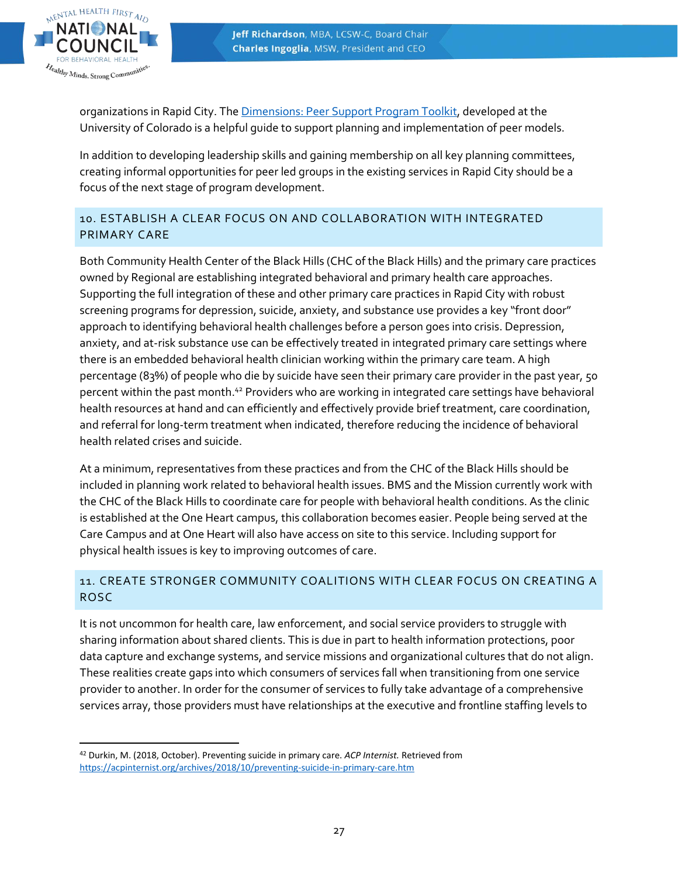

organizations in Rapid City. The [Dimensions: Peer Support Program Toolkit,](https://www.bhwellness.org/resources/toolkits/peer/) developed at the University of Colorado is a helpful guide to support planning and implementation of peer models.

In addition to developing leadership skills and gaining membership on all key planning committees, creating informal opportunities for peer led groups in the existing services in Rapid City should be a focus of the next stage of program development.

# 10. ESTABLISH A CLEAR FOCUS ON AND COLLABORATION WITH INTEGRATED PRIMARY CARE

Both Community Health Center of the Black Hills (CHC of the Black Hills) and the primary care practices owned by Regional are establishing integrated behavioral and primary health care approaches. Supporting the full integration of these and other primary care practices in Rapid City with robust screening programs for depression, suicide, anxiety, and substance use provides a key "front door" approach to identifying behavioral health challenges before a person goes into crisis. Depression, anxiety, and at-risk substance use can be effectively treated in integrated primary care settings where there is an embedded behavioral health clinician working within the primary care team. A high percentage (83%) of people who die by suicide have seen their primary care provider in the past year, 50 percent within the past month.<sup>42</sup> Providers who are working in integrated care settings have behavioral health resources at hand and can efficiently and effectively provide brief treatment, care coordination, and referral for long-term treatment when indicated, therefore reducing the incidence of behavioral health related crises and suicide.

At a minimum, representatives from these practices and from the CHC of the Black Hills should be included in planning work related to behavioral health issues. BMS and the Mission currently work with the CHC of the Black Hills to coordinate care for people with behavioral health conditions. As the clinic is established at the One Heart campus, this collaboration becomes easier. People being served at the Care Campus and at One Heart will also have access on site to this service. Including support for physical health issues is key to improving outcomes of care.

# 11. CREATE STRONGER COMMUNITY COALITIONS WITH CLEAR FOCUS ON CREATING A ROSC

It is not uncommon for health care, law enforcement, and social service providers to struggle with sharing information about shared clients. This is due in part to health information protections, poor data capture and exchange systems, and service missions and organizational cultures that do not align. These realities create gaps into which consumers of services fall when transitioning from one service provider to another. In order for the consumer of services to fully take advantage of a comprehensive services array, those providers must have relationships at the executive and frontline staffing levels to

 <sup>42</sup> Durkin, M. (2018, October). Preventing suicide in primary care. *ACP Internist.* Retrieved from <https://acpinternist.org/archives/2018/10/preventing-suicide-in-primary-care.htm>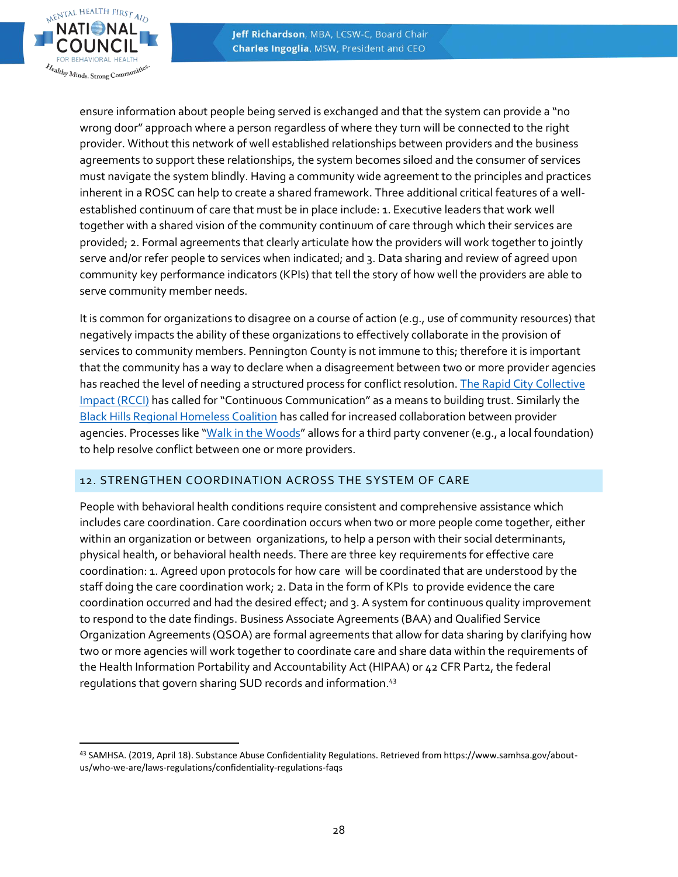

ensure information about people being served is exchanged and that the system can provide a "no wrong door" approach where a person regardless of where they turn will be connected to the right provider. Without this network of well established relationships between providers and the business agreements to support these relationships, the system becomes siloed and the consumer of services must navigate the system blindly. Having a community wide agreement to the principles and practices inherent in a ROSC can help to create a shared framework. Three additional critical features of a wellestablished continuum of care that must be in place include: 1. Executive leaders that work well together with a shared vision of the community continuum of care through which their services are provided; 2. Formal agreements that clearly articulate how the providers will work together to jointly serve and/or refer people to services when indicated; and 3. Data sharing and review of agreed upon community key performance indicators (KPIs) that tell the story of how well the providers are able to serve community member needs.

It is common for organizations to disagree on a course of action (e.g., use of community resources) that negatively impacts the ability of these organizations to effectively collaborate in the provision of services to community members. Pennington County is not immune to this; therefore it is important that the community has a way to declare when a disagreement between two or more provider agencies has reached the level of needing a structured process for conflict resolution. The Rapid City Collective [Impact \(RCCI\)](http://www.rccimpact.org/) has called for "Continuous Communication" as a means to building trust. Similarly the [Black Hills Regional Homeless Coalition](https://docs.wixstatic.com/ugd/cd3f63_87b415eec6334c489ca10a8184ee4287.pdf) has called for increased collaboration between provider agencies. Processes like "[Walk in the Woods](https://npli.sph.harvard.edu/conflict-resolution-negotiation/)" allows for a third party convener (e.g., a local foundation) to help resolve conflict between one or more providers.

#### 12. STRENGTHEN COORDINATION ACROSS THE SYSTEM OF CARE

People with behavioral health conditions require consistent and comprehensive assistance which includes care coordination. Care coordination occurs when two or more people come together, either within an organization or between organizations, to help a person with their social determinants, physical health, or behavioral health needs. There are three key requirements for effective care coordination: 1. Agreed upon protocols for how care will be coordinated that are understood by the staff doing the care coordination work; 2. Data in the form of KPIs to provide evidence the care coordination occurred and had the desired effect; and 3. A system for continuous quality improvement to respond to the date findings. Business Associate Agreements (BAA) and Qualified Service Organization Agreements (QSOA) are formal agreements that allow for data sharing by clarifying how two or more agencies will work together to coordinate care and share data within the requirements of the Health Information Portability and Accountability Act (HIPAA) or 42 CFR Part2, the federal regulations that govern sharing SUD records and information. 43

 <sup>43</sup> SAMHSA. (2019, April 18). Substance Abuse Confidentiality Regulations. Retrieved from https://www.samhsa.gov/aboutus/who-we-are/laws-regulations/confidentiality-regulations-faqs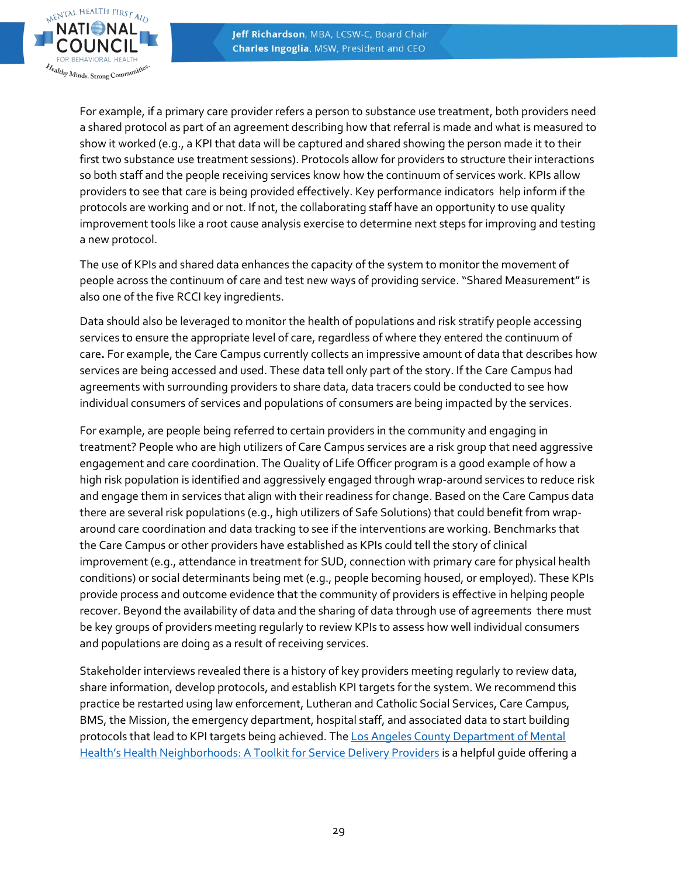

For example, if a primary care provider refers a person to substance use treatment, both providers need a shared protocol as part of an agreement describing how that referral is made and what is measured to show it worked (e.g., a KPI that data will be captured and shared showing the person made it to their first two substance use treatment sessions). Protocols allow for providers to structure their interactions so both staff and the people receiving services know how the continuum of services work. KPIs allow providers to see that care is being provided effectively. Key performance indicators help inform if the protocols are working and or not. If not, the collaborating staff have an opportunity to use quality improvement tools like a root cause analysis exercise to determine next steps for improving and testing a new protocol.

The use of KPIs and shared data enhances the capacity of the system to monitor the movement of people across the continuum of care and test new ways of providing service. "Shared Measurement" is also one of the five RCCI key ingredients.

Data should also be leveraged to monitor the health of populations and risk stratify people accessing services to ensure the appropriate level of care, regardless of where they entered the continuum of care**.** For example, the Care Campus currently collects an impressive amount of data that describes how services are being accessed and used. These data tell only part of the story. If the Care Campus had agreements with surrounding providers to share data, data tracers could be conducted to see how individual consumers of services and populations of consumers are being impacted by the services.

For example, are people being referred to certain providers in the community and engaging in treatment? People who are high utilizers of Care Campus services are a risk group that need aggressive engagement and care coordination. The Quality of Life Officer program is a good example of how a high risk population is identified and aggressively engaged through wrap-around services to reduce risk and engage them in services that align with their readiness for change. Based on the Care Campus data there are several risk populations (e.g., high utilizers of Safe Solutions) that could benefit from wraparound care coordination and data tracking to see if the interventions are working. Benchmarks that the Care Campus or other providers have established as KPIs could tell the story of clinical improvement (e.g., attendance in treatment for SUD, connection with primary care for physical health conditions) or social determinants being met (e.g., people becoming housed, or employed). These KPIs provide process and outcome evidence that the community of providers is effective in helping people recover. Beyond the availability of data and the sharing of data through use of agreements there must be key groups of providers meeting regularly to review KPIs to assess how well individual consumers and populations are doing as a result of receiving services.

Stakeholder interviews revealed there is a history of key providers meeting regularly to review data, share information, develop protocols, and establish KPI targets for the system. We recommend this practice be restarted using law enforcement, Lutheran and Catholic Social Services, Care Campus, BMS, the Mission, the emergency department, hospital staff, and associated data to start building protocols that lead to KPI targets being achieved. The Los Angeles County Department of Mental [Health's Health Neighborhoods: A Tool](http://file.lacounty.gov/SDSInter/dmh/242989_HNToolkit-April2016revision.pdf)kit for Service Delivery Providers is a helpful guide offering a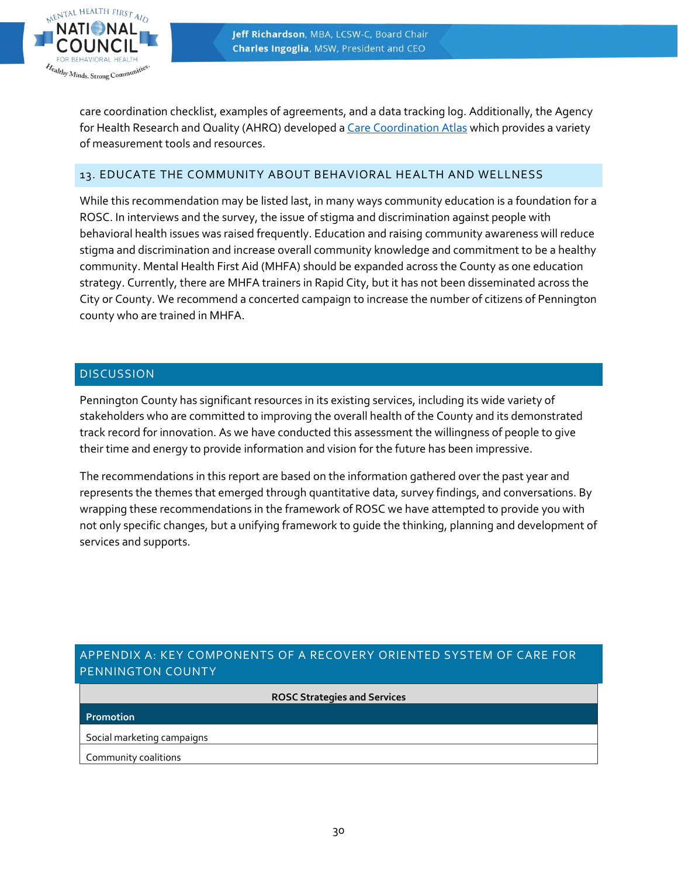

care coordination checklist, examples of agreements, and a data tracking log. Additionally, the Agency for Health Research and Quality (AHRQ) developed [a Care Coordination Atlas](https://www.ahrq.gov/ncepcr/care/coordination/atlas/chapter6.html) which provides a variety of measurement tools and resources.

#### 13. EDUCATE THE COMMUNITY ABOUT BEHAVIORAL HEALTH AND WELLNESS

While this recommendation may be listed last, in many ways community education is a foundation for a ROSC. In interviews and the survey, the issue of stigma and discrimination against people with behavioral health issues was raised frequently. Education and raising community awareness will reduce stigma and discrimination and increase overall community knowledge and commitment to be a healthy community. Mental Health First Aid (MHFA) should be expanded across the County as one education strategy. Currently, there are MHFA trainers in Rapid City, but it has not been disseminated across the City or County. We recommend a concerted campaign to increase the number of citizens of Pennington county who are trained in MHFA.

#### **DISCUSSION**

Pennington County has significant resources in its existing services, including its wide variety of stakeholders who are committed to improving the overall health of the County and its demonstrated track record for innovation. As we have conducted this assessment the willingness of people to give their time and energy to provide information and vision for the future has been impressive.

The recommendations in this report are based on the information gathered over the past year and represents the themes that emerged through quantitative data, survey findings, and conversations. By wrapping these recommendations in the framework of ROSC we have attempted to provide you with not only specific changes, but a unifying framework to guide the thinking, planning and development of services and supports.

# APPENDIX A: KEY COMPONENTS OF A RECOVERY ORIENTED SYSTEM OF CARE FOR PENNINGTON COUNTY

**ROSC Strategies and Services**

**Promotion**

Social marketing campaigns

Community coalitions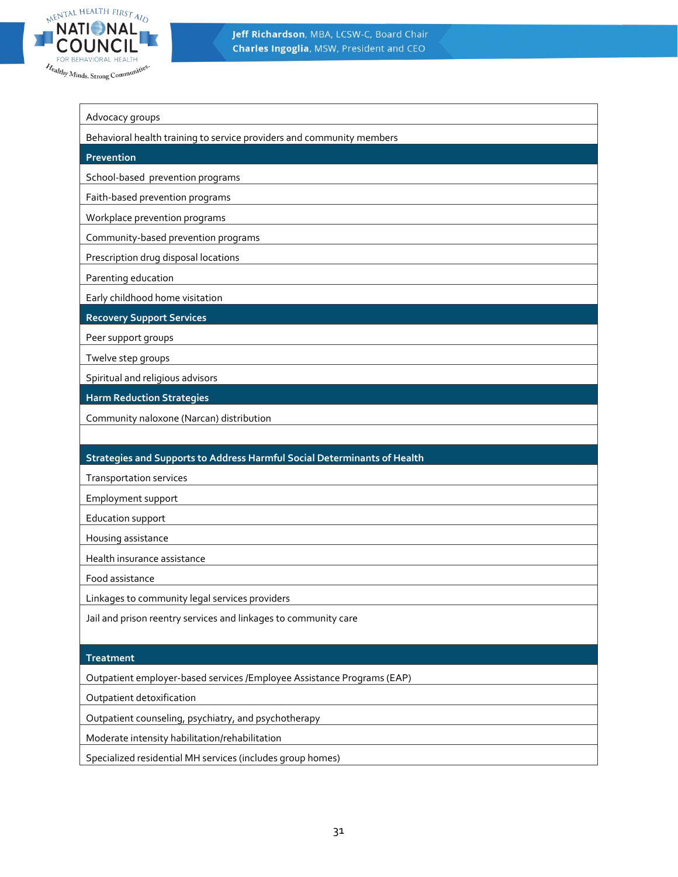

| Advocacy groups                                                          |
|--------------------------------------------------------------------------|
| Behavioral health training to service providers and community members    |
| Prevention                                                               |
| School-based prevention programs                                         |
| Faith-based prevention programs                                          |
| Workplace prevention programs                                            |
| Community-based prevention programs                                      |
| Prescription drug disposal locations                                     |
| Parenting education                                                      |
| Early childhood home visitation                                          |
| <b>Recovery Support Services</b>                                         |
| Peer support groups                                                      |
| Twelve step groups                                                       |
| Spiritual and religious advisors                                         |
| <b>Harm Reduction Strategies</b>                                         |
| Community naloxone (Narcan) distribution                                 |
|                                                                          |
| Strategies and Supports to Address Harmful Social Determinants of Health |
| <b>Transportation services</b>                                           |
| Employment support                                                       |
| Education support                                                        |
| Housing assistance                                                       |
| Health insurance assistance                                              |

Food assistance

Linkages to community legal services providers

Jail and prison reentry services and linkages to community care

#### **Treatment**

Outpatient employer-based services /Employee Assistance Programs (EAP)

Outpatient detoxification

Outpatient counseling, psychiatry, and psychotherapy

Moderate intensity habilitation/rehabilitation

Specialized residential MH services (includes group homes)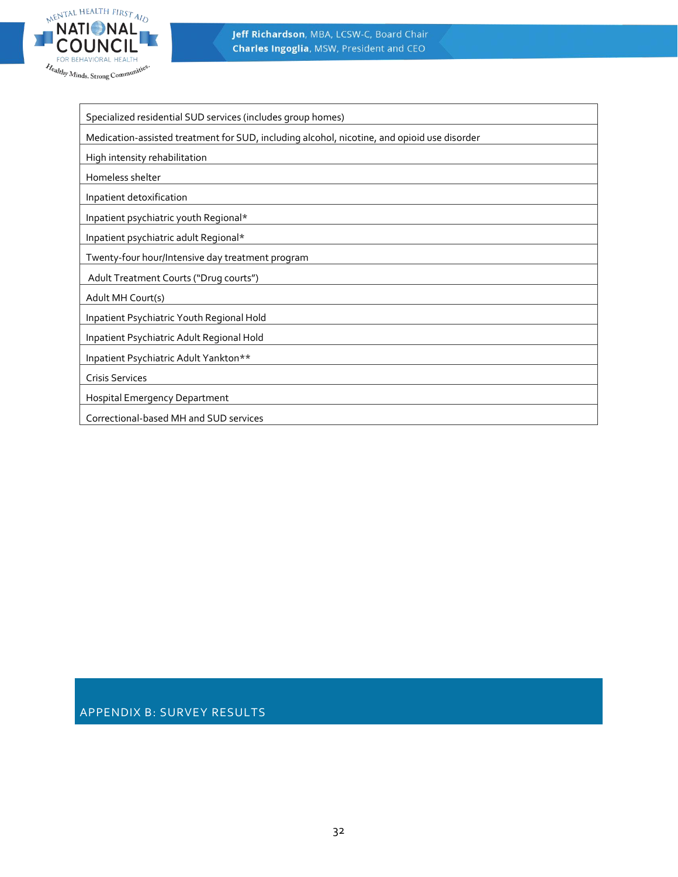

Specialized residential SUD services (includes group homes)

Medication-assisted treatment for SUD, including alcohol, nicotine, and opioid use disorder

High intensity rehabilitation

Homeless shelter

Inpatient detoxification

Inpatient psychiatric youth Regional\*

Inpatient psychiatric adult Regional\*

Twenty-four hour/Intensive day treatment program

Adult Treatment Courts ("Drug courts")

Adult MH Court(s)

Inpatient Psychiatric Youth Regional Hold

Inpatient Psychiatric Adult Regional Hold

Inpatient Psychiatric Adult Yankton\*\*

Crisis Services

Hospital Emergency Department

Correctional-based MH and SUD services

APPENDIX B: SURVEY RESULTS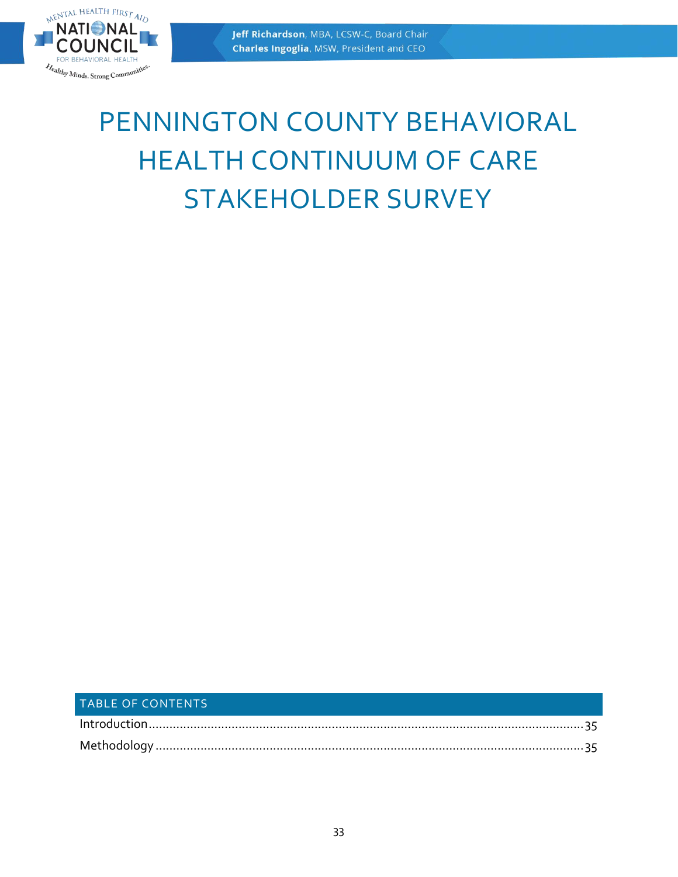

# PENNINGTON COUNTY BEHAVIORAL HEALTH CONTINUUM OF CARE STAKEHOLDER SURVEY

# TABLE OF CONTENTS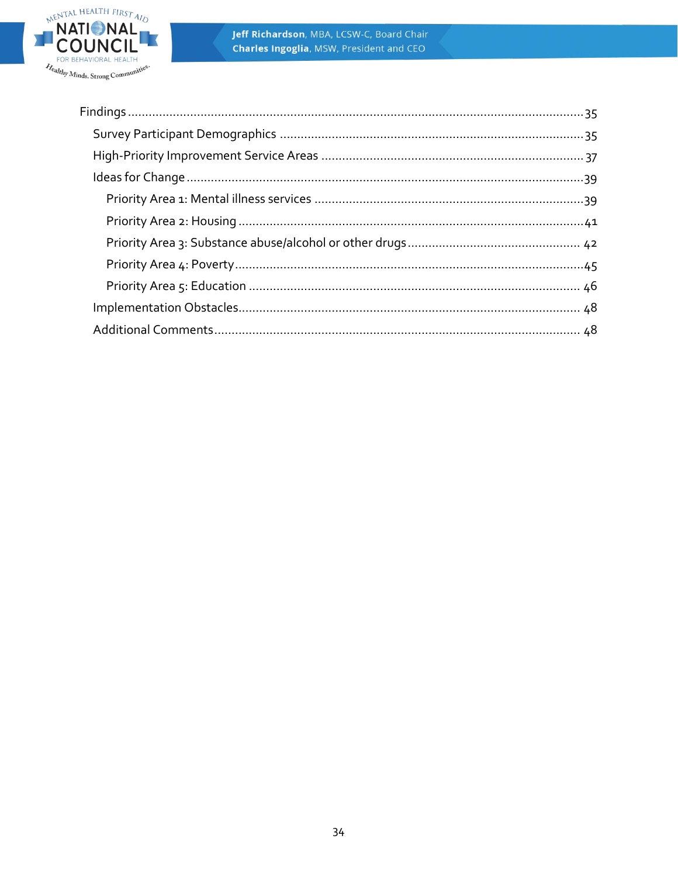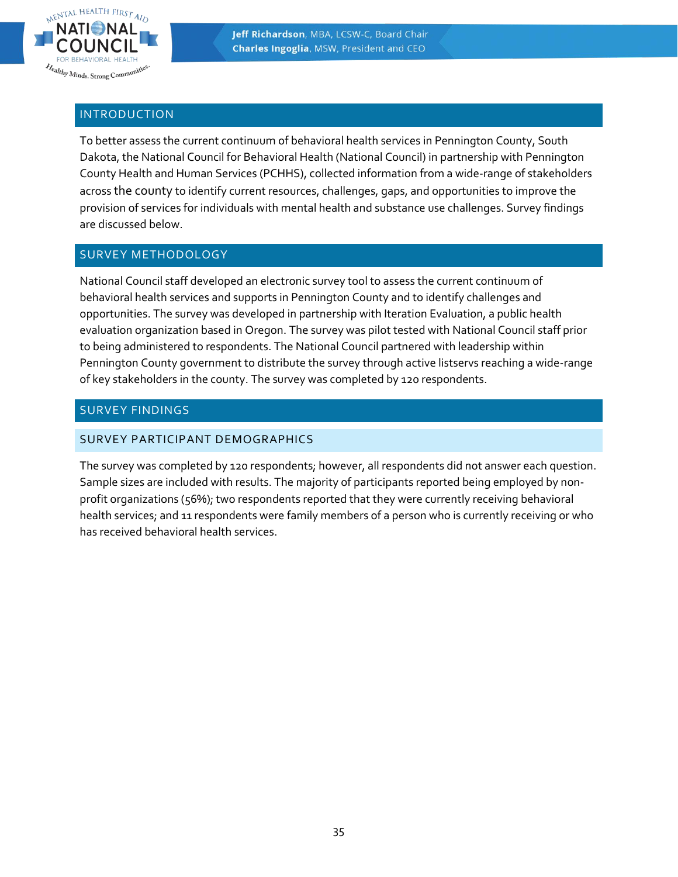

## <span id="page-34-0"></span>INTRODUCTION

To better assess the current continuum of behavioral health services in Pennington County, South Dakota, the National Council for Behavioral Health (National Council) in partnership with Pennington County Health and Human Services (PCHHS), collected information from a wide-range of stakeholders across the county to identify current resources, challenges, gaps, and opportunities to improve the provision of services for individuals with mental health and substance use challenges. Survey findings are discussed below.

# <span id="page-34-1"></span>SURVEY METHODOLOGY

National Council staff developed an electronic survey tool to assess the current continuum of behavioral health services and supports in Pennington County and to identify challenges and opportunities. The survey was developed in partnership with Iteration Evaluation, a public health evaluation organization based in Oregon. The survey was pilot tested with National Council staff prior to being administered to respondents. The National Council partnered with leadership within Pennington County government to distribute the survey through active listservs reaching a wide-range of key stakeholders in the county. The survey was completed by 120 respondents.

# <span id="page-34-2"></span>SURVEY FINDINGS

## <span id="page-34-3"></span>SURVEY PARTICIPANT DEMOGRAPHICS

The survey was completed by 120 respondents; however, all respondents did not answer each question. Sample sizes are included with results. The majority of participants reported being employed by nonprofit organizations (56%); two respondents reported that they were currently receiving behavioral health services; and 11 respondents were family members of a person who is currently receiving or who has received behavioral health services.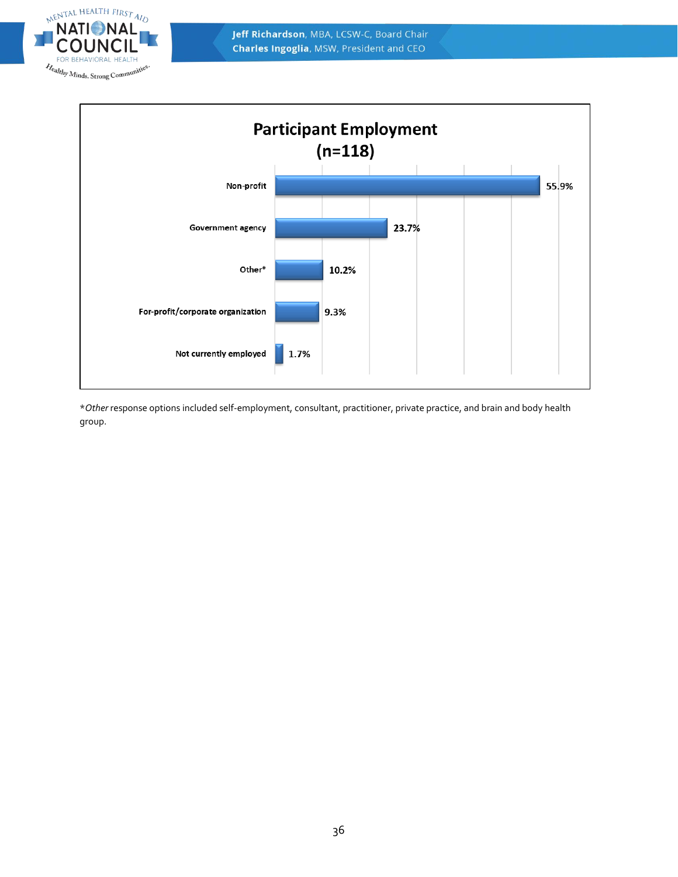



\**Other* response options included self-employment, consultant, practitioner, private practice, and brain and body health group.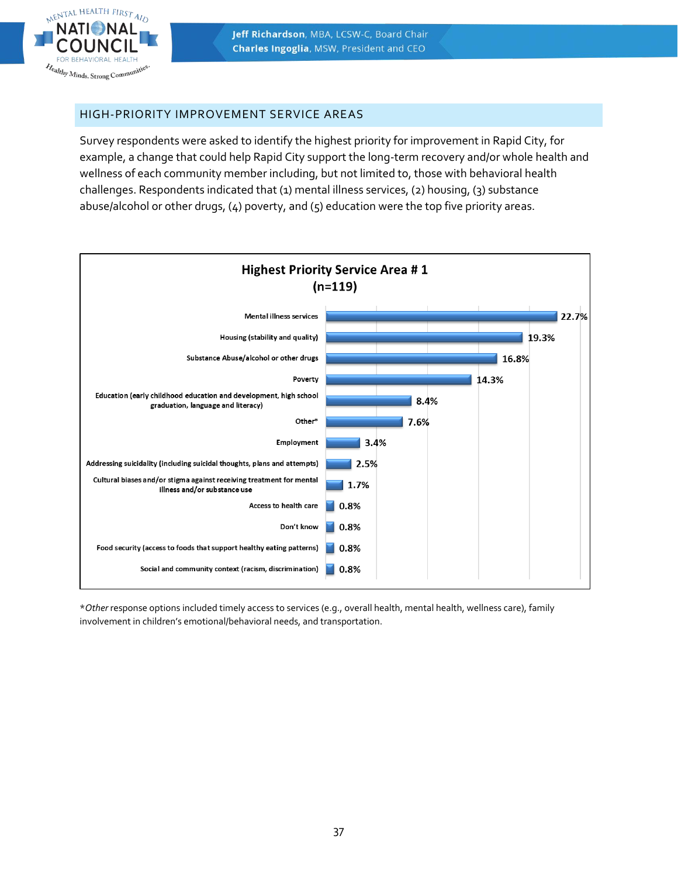

#### <span id="page-36-0"></span>HIGH-PRIORITY IMPROVEMENT SERVICE AREAS

NENTAL HEALTH FIRST AIN

Realthy Minds. Strong Communi

Survey respondents were asked to identify the highest priority for improvement in Rapid City, for example, a change that could help Rapid City support the long-term recovery and/or whole health and wellness of each community member including, but not limited to, those with behavioral health challenges. Respondents indicated that (1) mental illness services, (2) housing, (3) substance abuse/alcohol or other drugs, (4) poverty, and (5) education were the top five priority areas.



\**Other* response options included timely access to services (e.g., overall health, mental health, wellness care), family involvement in children's emotional/behavioral needs, and transportation.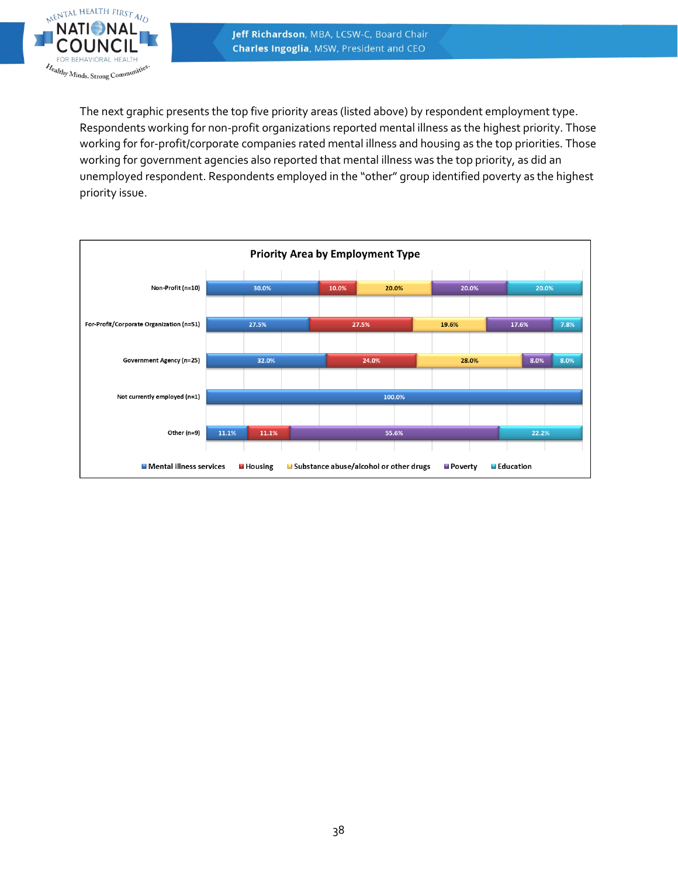

The next graphic presents the top five priority areas (listed above) by respondent employment type. Respondents working for non-profit organizations reported mental illness as the highest priority. Those working for for-profit/corporate companies rated mental illness and housing as the top priorities. Those working for government agencies also reported that mental illness was the top priority, as did an unemployed respondent. Respondents employed in the "other" group identified poverty as the highest priority issue.

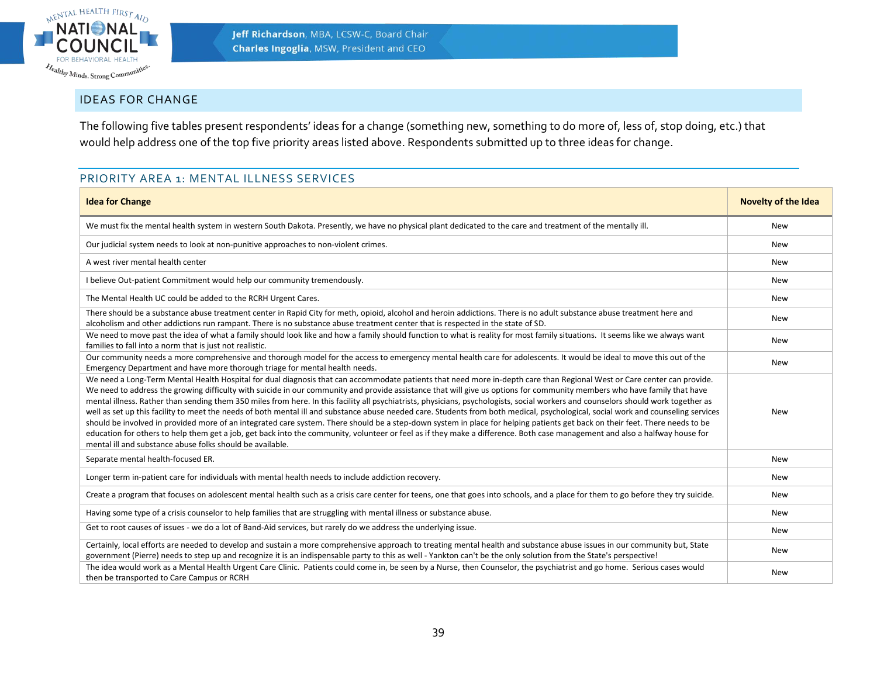

# IDEAS FOR CHANGE

The following five tables present respondents' ideas for a change (something new, something to do more of, less of, stop doing, etc.) that would help address one of the top five priority areas listed above. Respondents submitted up to three ideas for change.

# PRIORITY AREA 1: MENTAL ILLNESS SERVICES

<span id="page-38-1"></span><span id="page-38-0"></span>

| <b>Idea for Change</b>                                                                                                                                                                                                                                                                                                                                                                                                                                                                                                                                                                                                                                                                                                                                                                                                                                                                                                                                                                                                                                                                                                                                     | <b>Novelty of the Idea</b> |
|------------------------------------------------------------------------------------------------------------------------------------------------------------------------------------------------------------------------------------------------------------------------------------------------------------------------------------------------------------------------------------------------------------------------------------------------------------------------------------------------------------------------------------------------------------------------------------------------------------------------------------------------------------------------------------------------------------------------------------------------------------------------------------------------------------------------------------------------------------------------------------------------------------------------------------------------------------------------------------------------------------------------------------------------------------------------------------------------------------------------------------------------------------|----------------------------|
| We must fix the mental health system in western South Dakota. Presently, we have no physical plant dedicated to the care and treatment of the mentally ill.                                                                                                                                                                                                                                                                                                                                                                                                                                                                                                                                                                                                                                                                                                                                                                                                                                                                                                                                                                                                | <b>New</b>                 |
| Our judicial system needs to look at non-punitive approaches to non-violent crimes.                                                                                                                                                                                                                                                                                                                                                                                                                                                                                                                                                                                                                                                                                                                                                                                                                                                                                                                                                                                                                                                                        | <b>New</b>                 |
| A west river mental health center                                                                                                                                                                                                                                                                                                                                                                                                                                                                                                                                                                                                                                                                                                                                                                                                                                                                                                                                                                                                                                                                                                                          | <b>New</b>                 |
| I believe Out-patient Commitment would help our community tremendously.                                                                                                                                                                                                                                                                                                                                                                                                                                                                                                                                                                                                                                                                                                                                                                                                                                                                                                                                                                                                                                                                                    | <b>New</b>                 |
| The Mental Health UC could be added to the RCRH Urgent Cares.                                                                                                                                                                                                                                                                                                                                                                                                                                                                                                                                                                                                                                                                                                                                                                                                                                                                                                                                                                                                                                                                                              | New                        |
| There should be a substance abuse treatment center in Rapid City for meth, opioid, alcohol and heroin addictions. There is no adult substance abuse treatment here and<br>alcoholism and other addictions run rampant. There is no substance abuse treatment center that is respected in the state of SD.                                                                                                                                                                                                                                                                                                                                                                                                                                                                                                                                                                                                                                                                                                                                                                                                                                                  | New                        |
| We need to move past the idea of what a family should look like and how a family should function to what is reality for most family situations. It seems like we always want<br>families to fall into a norm that is just not realistic.                                                                                                                                                                                                                                                                                                                                                                                                                                                                                                                                                                                                                                                                                                                                                                                                                                                                                                                   | New                        |
| Our community needs a more comprehensive and thorough model for the access to emergency mental health care for adolescents. It would be ideal to move this out of the<br>Emergency Department and have more thorough triage for mental health needs.                                                                                                                                                                                                                                                                                                                                                                                                                                                                                                                                                                                                                                                                                                                                                                                                                                                                                                       | New                        |
| We need a Long-Term Mental Health Hospital for dual diagnosis that can accommodate patients that need more in-depth care than Regional West or Care center can provide.<br>We need to address the growing difficulty with suicide in our community and provide assistance that will give us options for community members who have family that have<br>mental illness. Rather than sending them 350 miles from here. In this facility all psychiatrists, physicians, psychologists, social workers and counselors should work together as<br>well as set up this facility to meet the needs of both mental ill and substance abuse needed care. Students from both medical, psychological, social work and counseling services<br>should be involved in provided more of an integrated care system. There should be a step-down system in place for helping patients get back on their feet. There needs to be<br>education for others to help them get a job, get back into the community, volunteer or feel as if they make a difference. Both case management and also a halfway house for<br>mental ill and substance abuse folks should be available. | <b>New</b>                 |
| Separate mental health-focused ER.                                                                                                                                                                                                                                                                                                                                                                                                                                                                                                                                                                                                                                                                                                                                                                                                                                                                                                                                                                                                                                                                                                                         | <b>New</b>                 |
| Longer term in-patient care for individuals with mental health needs to include addiction recovery.                                                                                                                                                                                                                                                                                                                                                                                                                                                                                                                                                                                                                                                                                                                                                                                                                                                                                                                                                                                                                                                        | New                        |
| Create a program that focuses on adolescent mental health such as a crisis care center for teens, one that goes into schools, and a place for them to go before they try suicide.                                                                                                                                                                                                                                                                                                                                                                                                                                                                                                                                                                                                                                                                                                                                                                                                                                                                                                                                                                          | <b>New</b>                 |
| Having some type of a crisis counselor to help families that are struggling with mental illness or substance abuse.                                                                                                                                                                                                                                                                                                                                                                                                                                                                                                                                                                                                                                                                                                                                                                                                                                                                                                                                                                                                                                        | New                        |
| Get to root causes of issues - we do a lot of Band-Aid services, but rarely do we address the underlying issue.                                                                                                                                                                                                                                                                                                                                                                                                                                                                                                                                                                                                                                                                                                                                                                                                                                                                                                                                                                                                                                            | <b>New</b>                 |
| Certainly, local efforts are needed to develop and sustain a more comprehensive approach to treating mental health and substance abuse issues in our community but, State<br>government (Pierre) needs to step up and recognize it is an indispensable party to this as well - Yankton can't be the only solution from the State's perspective!                                                                                                                                                                                                                                                                                                                                                                                                                                                                                                                                                                                                                                                                                                                                                                                                            | <b>New</b>                 |
| The idea would work as a Mental Health Urgent Care Clinic. Patients could come in, be seen by a Nurse, then Counselor, the psychiatrist and go home. Serious cases would<br>then be transported to Care Campus or RCRH                                                                                                                                                                                                                                                                                                                                                                                                                                                                                                                                                                                                                                                                                                                                                                                                                                                                                                                                     | <b>New</b>                 |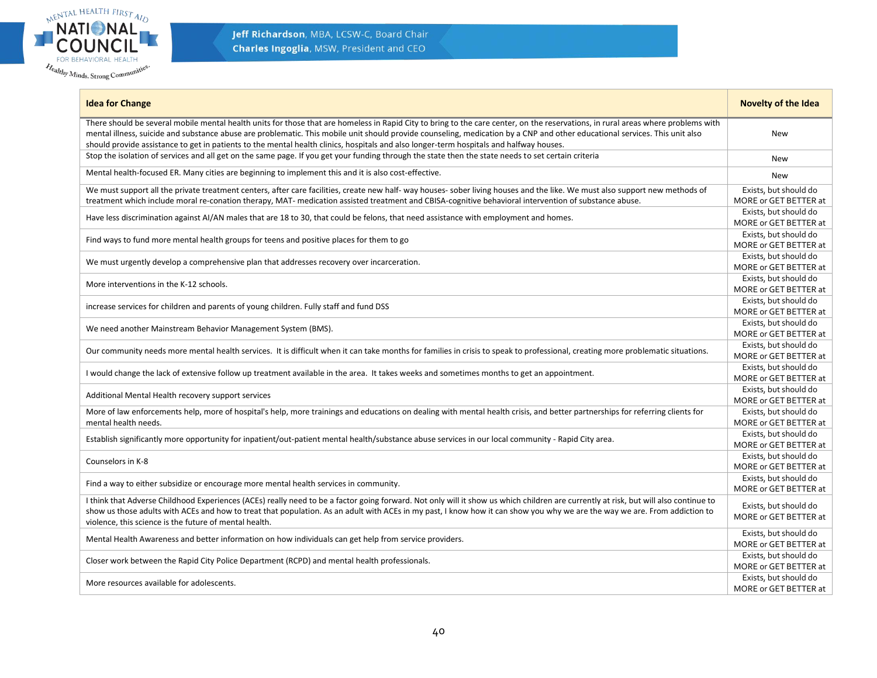

| <b>Idea for Change</b>                                                                                                                                                                                                                                                                                                                                                                                                                                                                                      | <b>Novelty of the Idea</b>                     |
|-------------------------------------------------------------------------------------------------------------------------------------------------------------------------------------------------------------------------------------------------------------------------------------------------------------------------------------------------------------------------------------------------------------------------------------------------------------------------------------------------------------|------------------------------------------------|
| There should be several mobile mental health units for those that are homeless in Rapid City to bring to the care center, on the reservations, in rural areas where problems with<br>mental illness, suicide and substance abuse are problematic. This mobile unit should provide counseling, medication by a CNP and other educational services. This unit also<br>should provide assistance to get in patients to the mental health clinics, hospitals and also longer-term hospitals and halfway houses. | <b>New</b>                                     |
| Stop the isolation of services and all get on the same page. If you get your funding through the state then the state needs to set certain criteria                                                                                                                                                                                                                                                                                                                                                         | <b>New</b>                                     |
| Mental health-focused ER. Many cities are beginning to implement this and it is also cost-effective.                                                                                                                                                                                                                                                                                                                                                                                                        | <b>New</b>                                     |
| We must support all the private treatment centers, after care facilities, create new half- way houses- sober living houses and the like. We must also support new methods of<br>treatment which include moral re-conation therapy, MAT- medication assisted treatment and CBISA-cognitive behavioral intervention of substance abuse.                                                                                                                                                                       | Exists, but should do<br>MORE or GET BETTER at |
| Have less discrimination against AI/AN males that are 18 to 30, that could be felons, that need assistance with employment and homes.                                                                                                                                                                                                                                                                                                                                                                       | Exists, but should do<br>MORE or GET BETTER at |
| Find ways to fund more mental health groups for teens and positive places for them to go                                                                                                                                                                                                                                                                                                                                                                                                                    | Exists, but should do<br>MORE or GET BETTER at |
| We must urgently develop a comprehensive plan that addresses recovery over incarceration.                                                                                                                                                                                                                                                                                                                                                                                                                   | Exists, but should do<br>MORE or GET BETTER at |
| More interventions in the K-12 schools.                                                                                                                                                                                                                                                                                                                                                                                                                                                                     | Exists, but should do<br>MORE or GET BETTER at |
| increase services for children and parents of young children. Fully staff and fund DSS                                                                                                                                                                                                                                                                                                                                                                                                                      | Exists, but should do<br>MORE or GET BETTER at |
| We need another Mainstream Behavior Management System (BMS).                                                                                                                                                                                                                                                                                                                                                                                                                                                | Exists, but should do<br>MORE or GET BETTER at |
| Our community needs more mental health services. It is difficult when it can take months for families in crisis to speak to professional, creating more problematic situations.                                                                                                                                                                                                                                                                                                                             | Exists, but should do<br>MORE or GET BETTER at |
| I would change the lack of extensive follow up treatment available in the area. It takes weeks and sometimes months to get an appointment.                                                                                                                                                                                                                                                                                                                                                                  | Exists, but should do<br>MORE or GET BETTER at |
| Additional Mental Health recovery support services                                                                                                                                                                                                                                                                                                                                                                                                                                                          | Exists, but should do<br>MORE or GET BETTER at |
| More of law enforcements help, more of hospital's help, more trainings and educations on dealing with mental health crisis, and better partnerships for referring clients for<br>mental health needs.                                                                                                                                                                                                                                                                                                       | Exists, but should do<br>MORE or GET BETTER at |
| Establish significantly more opportunity for inpatient/out-patient mental health/substance abuse services in our local community - Rapid City area.                                                                                                                                                                                                                                                                                                                                                         | Exists, but should do<br>MORE or GET BETTER at |
| Counselors in K-8                                                                                                                                                                                                                                                                                                                                                                                                                                                                                           | Exists, but should do<br>MORE or GET BETTER at |
| Find a way to either subsidize or encourage more mental health services in community.                                                                                                                                                                                                                                                                                                                                                                                                                       | Exists, but should do<br>MORE or GET BETTER at |
| I think that Adverse Childhood Experiences (ACEs) really need to be a factor going forward. Not only will it show us which children are currently at risk, but will also continue to<br>show us those adults with ACEs and how to treat that population. As an adult with ACEs in my past, I know how it can show you why we are the way we are. From addiction to<br>violence, this science is the future of mental health.                                                                                | Exists, but should do<br>MORE or GET BETTER at |
| Mental Health Awareness and better information on how individuals can get help from service providers.                                                                                                                                                                                                                                                                                                                                                                                                      | Exists, but should do<br>MORE or GET BETTER at |
| Closer work between the Rapid City Police Department (RCPD) and mental health professionals.                                                                                                                                                                                                                                                                                                                                                                                                                | Exists, but should do<br>MORE or GET BETTER at |
| More resources available for adolescents.                                                                                                                                                                                                                                                                                                                                                                                                                                                                   | Exists, but should do<br>MORE or GET BETTER at |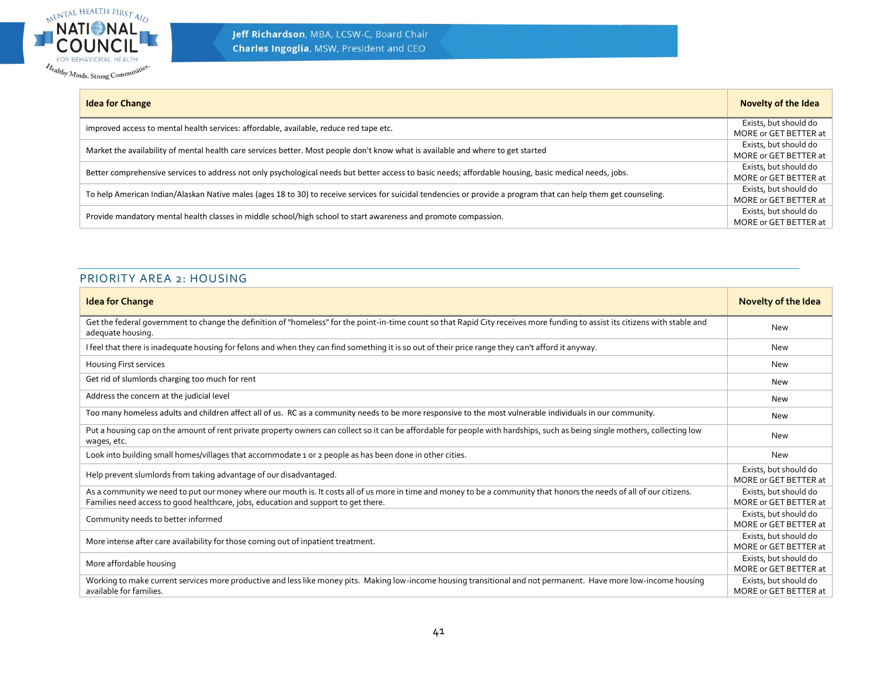

| <b>Idea for Change</b>                                                                                                                                           | Novelty of the Idea   |
|------------------------------------------------------------------------------------------------------------------------------------------------------------------|-----------------------|
| improved access to mental health services: affordable, available, reduce red tape etc.                                                                           | Exists, but should do |
|                                                                                                                                                                  | MORE or GET BETTER at |
| Market the availability of mental health care services better. Most people don't know what is available and where to get started                                 | Exists, but should do |
|                                                                                                                                                                  | MORE or GET BETTER at |
| Better comprehensive services to address not only psychological needs but better access to basic needs; affordable housing, basic medical needs, jobs.           | Exists, but should do |
|                                                                                                                                                                  | MORE or GET BETTER at |
| To help American Indian/Alaskan Native males (ages 18 to 30) to receive services for suicidal tendencies or provide a program that can help them get counseling. | Exists, but should do |
|                                                                                                                                                                  | MORE or GET BETTER at |
|                                                                                                                                                                  | Exists, but should do |
| Provide mandatory mental health classes in middle school/high school to start awareness and promote compassion.                                                  | MORE or GET BETTER at |

#### PRIORITY AREA 2: HOUSING

<span id="page-40-0"></span>

| <b>Idea for Change</b>                                                                                                                                                                                                                                      | <b>Novelty of the Idea</b>                     |
|-------------------------------------------------------------------------------------------------------------------------------------------------------------------------------------------------------------------------------------------------------------|------------------------------------------------|
| Get the federal government to change the definition of "homeless" for the point-in-time count so that Rapid City receives more funding to assist its citizens with stable and<br>adequate housing.                                                          | <b>New</b>                                     |
| I feel that there is inadequate housing for felons and when they can find something it is so out of their price range they can't afford it anyway.                                                                                                          | <b>New</b>                                     |
| Housing First services                                                                                                                                                                                                                                      | New                                            |
| Get rid of slumlords charging too much for rent                                                                                                                                                                                                             | New                                            |
| Address the concern at the judicial level                                                                                                                                                                                                                   | New                                            |
| Too many homeless adults and children affect all of us. RC as a community needs to be more responsive to the most vulnerable individuals in our community.                                                                                                  | <b>New</b>                                     |
| Put a housing cap on the amount of rent private property owners can collect so it can be affordable for people with hardships, such as being single mothers, collecting low<br>wages, etc.                                                                  | New                                            |
| Look into building small homes/villages that accommodate 1 or 2 people as has been done in other cities.                                                                                                                                                    | <b>New</b>                                     |
| Help prevent slumlords from taking advantage of our disadvantaged.                                                                                                                                                                                          | Exists, but should do<br>MORE or GET BETTER at |
| As a community we need to put our money where our mouth is. It costs all of us more in time and money to be a community that honors the needs of all of our citizens.<br>Families need access to good healthcare, jobs, education and support to get there. | Exists, but should do<br>MORE or GET BETTER at |
| Community needs to better informed                                                                                                                                                                                                                          | Exists, but should do<br>MORE or GET BETTER at |
| More intense after care availability for those coming out of inpatient treatment.                                                                                                                                                                           | Exists, but should do<br>MORE or GET BETTER at |
| More affordable housing                                                                                                                                                                                                                                     | Exists, but should do<br>MORE or GET BETTER at |
| Working to make current services more productive and less like money pits. Making low-income housing transitional and not permanent. Have more low-income housing<br>available for families.                                                                | Exists, but should do<br>MORE or GET BETTER at |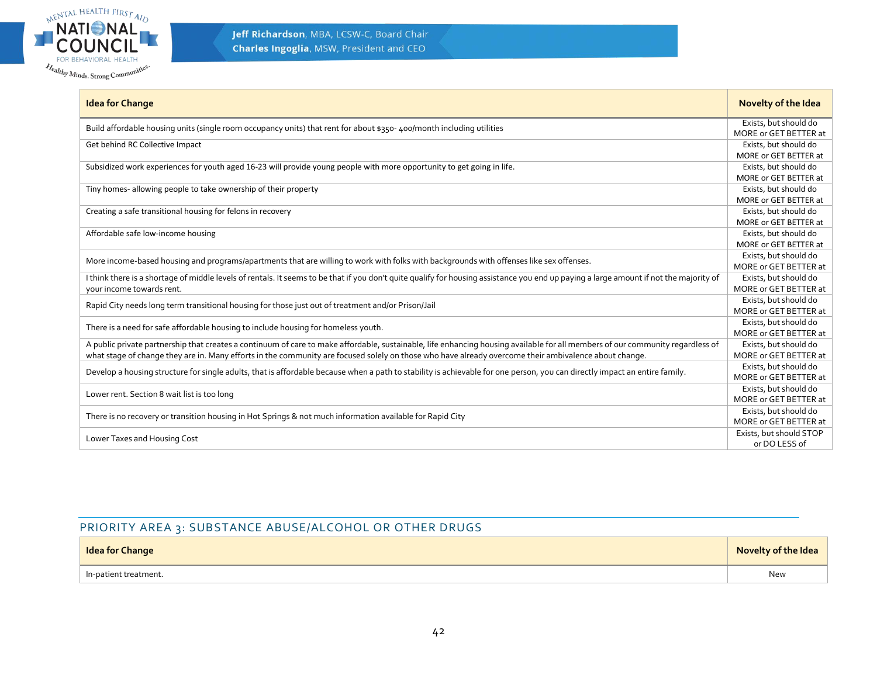

| <b>Idea for Change</b>                                                                                                                                                                 | Novelty of the Idea     |
|----------------------------------------------------------------------------------------------------------------------------------------------------------------------------------------|-------------------------|
| Build affordable housing units (single room occupancy units) that rent for about \$350-400/month including utilities                                                                   | Exists, but should do   |
|                                                                                                                                                                                        | MORE or GET BETTER at   |
| Get behind RC Collective Impact                                                                                                                                                        | Exists, but should do   |
|                                                                                                                                                                                        | MORE or GET BETTER at   |
| Subsidized work experiences for youth aged 16-23 will provide young people with more opportunity to get going in life.                                                                 | Exists, but should do   |
|                                                                                                                                                                                        | MORE or GET BETTER at   |
| Tiny homes- allowing people to take ownership of their property                                                                                                                        | Exists, but should do   |
|                                                                                                                                                                                        | MORE or GET BETTER at   |
| Creating a safe transitional housing for felons in recovery                                                                                                                            | Exists, but should do   |
|                                                                                                                                                                                        | MORE or GET BETTER at   |
| Affordable safe low-income housing                                                                                                                                                     | Exists, but should do   |
|                                                                                                                                                                                        | MORE or GET BETTER at   |
| More income-based housing and programs/apartments that are willing to work with folks with backgrounds with offenses like sex offenses.                                                | Exists, but should do   |
|                                                                                                                                                                                        | MORE or GET BETTER at   |
| I think there is a shortage of middle levels of rentals. It seems to be that if you don't quite qualify for housing assistance you end up paying a large amount if not the majority of | Exists, but should do   |
| your income towards rent.                                                                                                                                                              | MORE or GET BETTER at   |
| Rapid City needs long term transitional housing for those just out of treatment and/or Prison/Jail                                                                                     | Exists, but should do   |
|                                                                                                                                                                                        | MORE or GET BETTER at   |
| There is a need for safe affordable housing to include housing for homeless youth.                                                                                                     | Exists, but should do   |
|                                                                                                                                                                                        | MORE or GET BETTER at   |
| A public private partnership that creates a continuum of care to make affordable, sustainable, life enhancing housing available for all members of our community regardless of         | Exists, but should do   |
| what stage of change they are in. Many efforts in the community are focused solely on those who have already overcome their ambivalence about change.                                  | MORE or GET BETTER at   |
|                                                                                                                                                                                        | Exists, but should do   |
| Develop a housing structure for single adults, that is affordable because when a path to stability is achievable for one person, you can directly impact an entire family.             | MORE or GET BETTER at   |
|                                                                                                                                                                                        | Exists, but should do   |
| Lower rent. Section 8 wait list is too long                                                                                                                                            | MORE or GET BETTER at   |
|                                                                                                                                                                                        | Exists, but should do   |
| There is no recovery or transition housing in Hot Springs & not much information available for Rapid City                                                                              | MORE or GET BETTER at   |
|                                                                                                                                                                                        | Exists, but should STOP |
| Lower Taxes and Housing Cost                                                                                                                                                           | or DO LESS of           |

#### PRIORITY AREA 3: SUBSTANCE ABUSE/ALCOHOL OR OTHER DRUGS

<span id="page-41-0"></span>

| <b>Idea for Change</b> | <b>Novelty of the Idea</b> |
|------------------------|----------------------------|
| ln-patient treatment.  | New                        |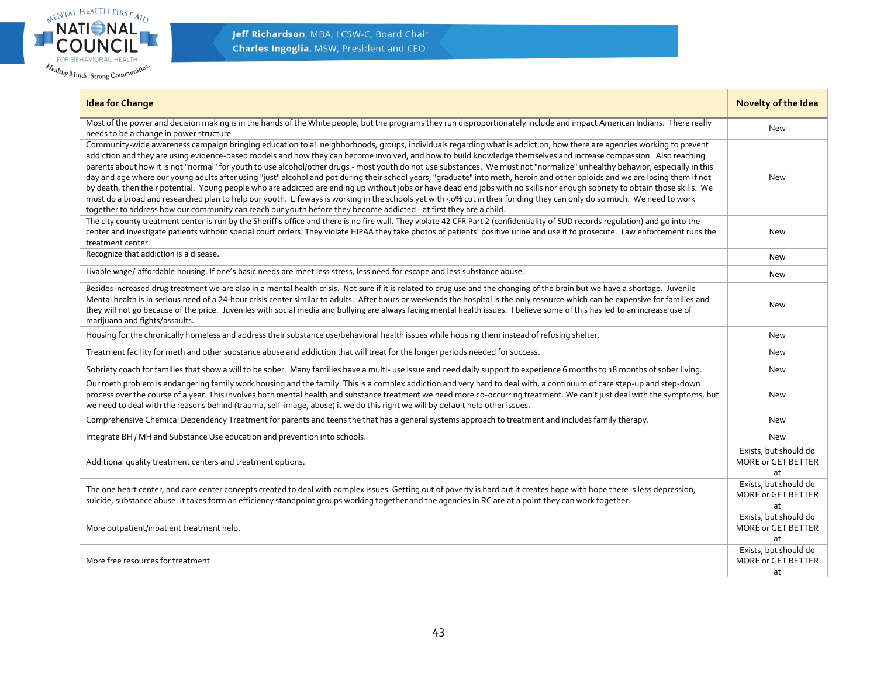

Jeff Richardson, MBA, LCSW-C, Board Chair **Charles Ingoglia, MSW, President and CEO** 

| <b>Idea for Change</b>                                                                                                                                                                                                                                                                                                                                                                                                                                                                                                                                                                                                                                                                                                                                                                                                                                                                                                                                                                                                                                                                                                                                                                     | Novelty of the Idea                                      |
|--------------------------------------------------------------------------------------------------------------------------------------------------------------------------------------------------------------------------------------------------------------------------------------------------------------------------------------------------------------------------------------------------------------------------------------------------------------------------------------------------------------------------------------------------------------------------------------------------------------------------------------------------------------------------------------------------------------------------------------------------------------------------------------------------------------------------------------------------------------------------------------------------------------------------------------------------------------------------------------------------------------------------------------------------------------------------------------------------------------------------------------------------------------------------------------------|----------------------------------------------------------|
| Most of the power and decision making is in the hands of the White people, but the programs they run disproportionately include and impact American Indians. There really<br>needs to be a change in power structure                                                                                                                                                                                                                                                                                                                                                                                                                                                                                                                                                                                                                                                                                                                                                                                                                                                                                                                                                                       | <b>New</b>                                               |
| Community-wide awareness campaign bringing education to all neighborhoods, groups, individuals regarding what is addiction, how there are agencies working to prevent<br>addiction and they are using evidence-based models and how they can become involved, and how to build knowledge themselves and increase compassion. Also reaching<br>parents about how it is not "normal" for youth to use alcohol/other drugs - most youth do not use substances. We must not "normalize" unhealthy behavior, especially in this<br>day and age where our young adults after using "just" alcohol and pot during their school years, "graduate" into meth, heroin and other opioids and we are losing them if not<br>by death, then their potential. Young people who are addicted are ending up without jobs or have dead end jobs with no skills nor enough sobriety to obtain those skills. We<br>must do a broad and researched plan to help our youth. Lifeways is working in the schools yet with 50% cut in their funding they can only do so much. We need to work<br>together to address how our community can reach our youth before they become addicted - at first they are a child. | New                                                      |
| The city county treatment center is run by the Sheriff's office and there is no fire wall. They violate 42 CFR Part 2 (confidentiality of SUD records regulation) and go into the<br>center and investigate patients without special court orders. They violate HIPAA they take photos of patients' positive urine and use it to prosecute. Law enforcement runs the<br>treatment center.                                                                                                                                                                                                                                                                                                                                                                                                                                                                                                                                                                                                                                                                                                                                                                                                  | <b>New</b>                                               |
| Recognize that addiction is a disease.                                                                                                                                                                                                                                                                                                                                                                                                                                                                                                                                                                                                                                                                                                                                                                                                                                                                                                                                                                                                                                                                                                                                                     | New                                                      |
| Livable wage/affordable housing. If one's basic needs are meet less stress, less need for escape and less substance abuse.                                                                                                                                                                                                                                                                                                                                                                                                                                                                                                                                                                                                                                                                                                                                                                                                                                                                                                                                                                                                                                                                 | <b>New</b>                                               |
| Besides increased drug treatment we are also in a mental health crisis. Not sure if it is related to drug use and the changing of the brain but we have a shortage. Juvenile<br>Mental health is in serious need of a 24-hour crisis center similar to adults. After hours or weekends the hospital is the only resource which can be expensive for families and<br>they will not go because of the price. Juveniles with social media and bullying are always facing mental health issues. I believe some of this has led to an increase use of<br>marijuana and fights/assaults.                                                                                                                                                                                                                                                                                                                                                                                                                                                                                                                                                                                                         | <b>New</b>                                               |
| Housing for the chronically homeless and address their substance use/behavioral health issues while housing them instead of refusing shelter.                                                                                                                                                                                                                                                                                                                                                                                                                                                                                                                                                                                                                                                                                                                                                                                                                                                                                                                                                                                                                                              | New                                                      |
| Treatment facility for meth and other substance abuse and addiction that will treat for the longer periods needed for success.                                                                                                                                                                                                                                                                                                                                                                                                                                                                                                                                                                                                                                                                                                                                                                                                                                                                                                                                                                                                                                                             | New                                                      |
| Sobriety coach for families that show a will to be sober. Many families have a multi- use issue and need daily support to experience 6 months to 18 months of sober living.                                                                                                                                                                                                                                                                                                                                                                                                                                                                                                                                                                                                                                                                                                                                                                                                                                                                                                                                                                                                                | <b>New</b>                                               |
| Our meth problem is endangering family work housing and the family. This is a complex addiction and very hard to deal with, a continuum of care step-up and step-down<br>process over the course of a year. This involves both mental health and substance treatment we need more co-occurring treatment. We can't just deal with the symptoms, but<br>we need to deal with the reasons behind (trauma, self-image, abuse) it we do this right we will by default help other issues.                                                                                                                                                                                                                                                                                                                                                                                                                                                                                                                                                                                                                                                                                                       | New                                                      |
| Comprehensive Chemical Dependency Treatment for parents and teens the that has a general systems approach to treatment and includes family therapy.                                                                                                                                                                                                                                                                                                                                                                                                                                                                                                                                                                                                                                                                                                                                                                                                                                                                                                                                                                                                                                        | New                                                      |
| Integrate BH / MH and Substance Use education and prevention into schools.                                                                                                                                                                                                                                                                                                                                                                                                                                                                                                                                                                                                                                                                                                                                                                                                                                                                                                                                                                                                                                                                                                                 | <b>New</b>                                               |
| Additional quality treatment centers and treatment options.                                                                                                                                                                                                                                                                                                                                                                                                                                                                                                                                                                                                                                                                                                                                                                                                                                                                                                                                                                                                                                                                                                                                | Exists, but should do<br>MORE or GET BETTER<br>at        |
| The one heart center, and care center concepts created to deal with complex issues. Getting out of poverty is hard but it creates hope with hope there is less depression,<br>suicide, substance abuse. it takes form an efficiency standpoint groups working together and the agencies in RC are at a point they can work together.                                                                                                                                                                                                                                                                                                                                                                                                                                                                                                                                                                                                                                                                                                                                                                                                                                                       | Exists, but should do<br>MORE or GET BETTER<br>at        |
| More outpatient/inpatient treatment help.                                                                                                                                                                                                                                                                                                                                                                                                                                                                                                                                                                                                                                                                                                                                                                                                                                                                                                                                                                                                                                                                                                                                                  | Exists, but should do<br><b>MORE or GET BETTER</b><br>at |
| More free resources for treatment                                                                                                                                                                                                                                                                                                                                                                                                                                                                                                                                                                                                                                                                                                                                                                                                                                                                                                                                                                                                                                                                                                                                                          | Exists, but should do<br>MORE or GET BETTER<br>at        |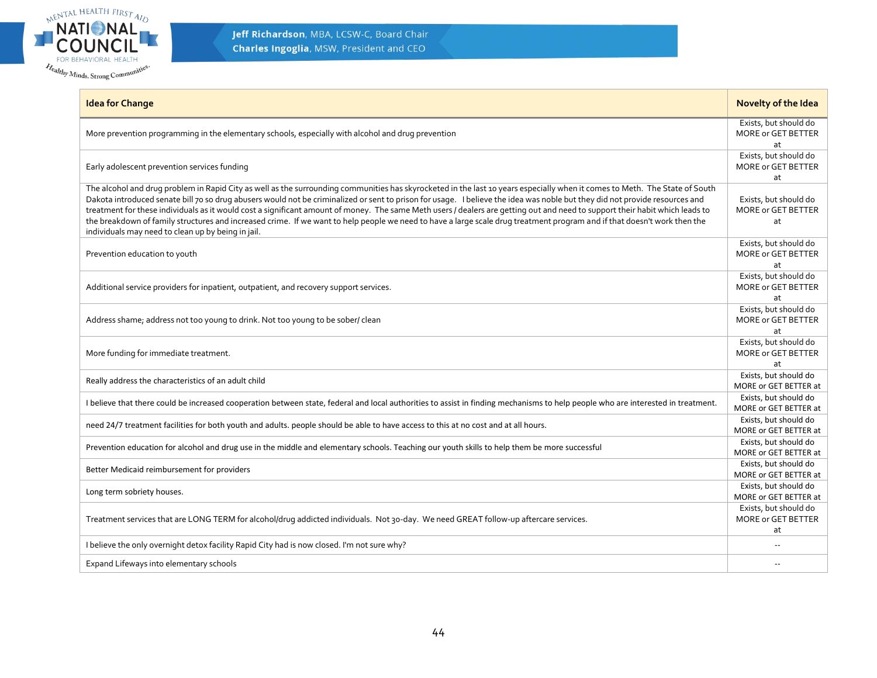

| <b>Idea for Change</b>                                                                                                                                                                                                                                                                                                                                                                                                                                                                                                                                                                                                                                                                                                                                                       | Novelty of the Idea                                      |
|------------------------------------------------------------------------------------------------------------------------------------------------------------------------------------------------------------------------------------------------------------------------------------------------------------------------------------------------------------------------------------------------------------------------------------------------------------------------------------------------------------------------------------------------------------------------------------------------------------------------------------------------------------------------------------------------------------------------------------------------------------------------------|----------------------------------------------------------|
| More prevention programming in the elementary schools, especially with alcohol and drug prevention                                                                                                                                                                                                                                                                                                                                                                                                                                                                                                                                                                                                                                                                           | Exists, but should do<br>MORE or GET BETTER<br>at        |
| Early adolescent prevention services funding                                                                                                                                                                                                                                                                                                                                                                                                                                                                                                                                                                                                                                                                                                                                 | Exists, but should do<br><b>MORE or GET BETTER</b><br>at |
| The alcohol and drug problem in Rapid City as well as the surrounding communities has skyrocketed in the last 10 years especially when it comes to Meth. The State of South<br>Dakota introduced senate bill 70 so drug abusers would not be criminalized or sent to prison for usage. I believe the idea was noble but they did not provide resources and<br>treatment for these individuals as it would cost a significant amount of money. The same Meth users / dealers are getting out and need to support their habit which leads to<br>the breakdown of family structures and increased crime. If we want to help people we need to have a large scale drug treatment program and if that doesn't work then the<br>individuals may need to clean up by being in jail. | Exists, but should do<br>MORE or GET BETTER<br>at        |
| Prevention education to youth                                                                                                                                                                                                                                                                                                                                                                                                                                                                                                                                                                                                                                                                                                                                                | Exists, but should do<br><b>MORE or GET BETTER</b><br>at |
| Additional service providers for inpatient, outpatient, and recovery support services.                                                                                                                                                                                                                                                                                                                                                                                                                                                                                                                                                                                                                                                                                       | Exists, but should do<br>MORE or GET BETTER<br>at        |
| Address shame; address not too young to drink. Not too young to be sober/ clean                                                                                                                                                                                                                                                                                                                                                                                                                                                                                                                                                                                                                                                                                              | Exists, but should do<br>MORE or GET BETTER<br>at        |
| More funding for immediate treatment.                                                                                                                                                                                                                                                                                                                                                                                                                                                                                                                                                                                                                                                                                                                                        | Exists, but should do<br>MORE or GET BETTER<br>at        |
| Really address the characteristics of an adult child                                                                                                                                                                                                                                                                                                                                                                                                                                                                                                                                                                                                                                                                                                                         | Exists, but should do<br>MORE or GET BETTER at           |
| I believe that there could be increased cooperation between state, federal and local authorities to assist in finding mechanisms to help people who are interested in treatment.                                                                                                                                                                                                                                                                                                                                                                                                                                                                                                                                                                                             | Exists, but should do<br>MORE or GET BETTER at           |
| need 24/7 treatment facilities for both youth and adults. people should be able to have access to this at no cost and at all hours.                                                                                                                                                                                                                                                                                                                                                                                                                                                                                                                                                                                                                                          | Exists, but should do<br>MORE or GET BETTER at           |
| Prevention education for alcohol and drug use in the middle and elementary schools. Teaching our youth skills to help them be more successful                                                                                                                                                                                                                                                                                                                                                                                                                                                                                                                                                                                                                                | Exists, but should do<br>MORE or GET BETTER at           |
| Better Medicaid reimbursement for providers                                                                                                                                                                                                                                                                                                                                                                                                                                                                                                                                                                                                                                                                                                                                  | Exists, but should do<br>MORE or GET BETTER at           |
| Long term sobriety houses.                                                                                                                                                                                                                                                                                                                                                                                                                                                                                                                                                                                                                                                                                                                                                   | Exists, but should do<br>MORE or GET BETTER at           |
| Treatment services that are LONG TERM for alcohol/drug addicted individuals. Not 30-day. We need GREAT follow-up aftercare services.                                                                                                                                                                                                                                                                                                                                                                                                                                                                                                                                                                                                                                         | Exists, but should do<br>MORE or GET BETTER<br>at        |
| I believe the only overnight detox facility Rapid City had is now closed. I'm not sure why?                                                                                                                                                                                                                                                                                                                                                                                                                                                                                                                                                                                                                                                                                  |                                                          |
| Expand Lifeways into elementary schools                                                                                                                                                                                                                                                                                                                                                                                                                                                                                                                                                                                                                                                                                                                                      |                                                          |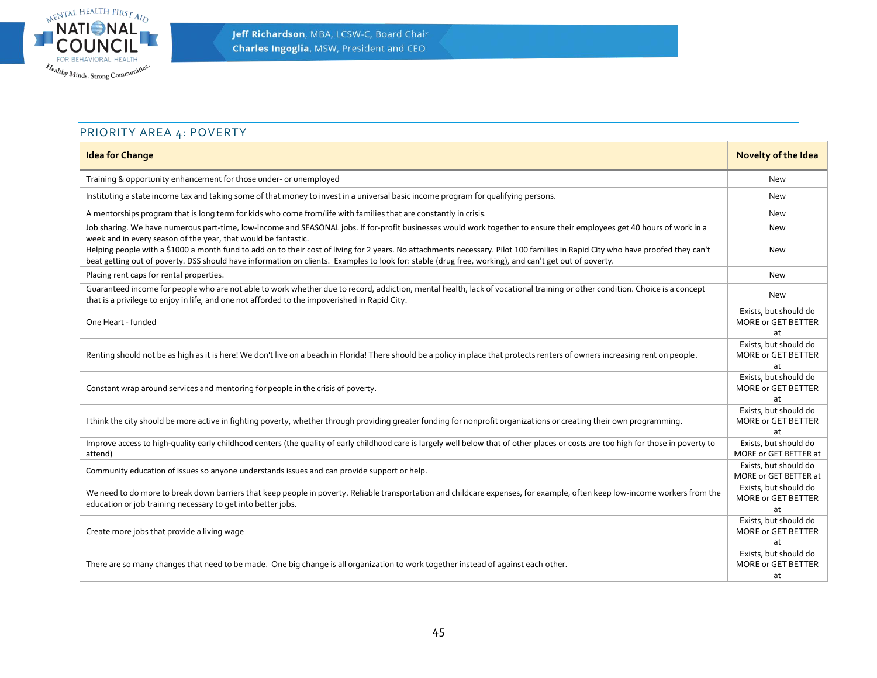

# PRIORITY AREA 4: POVERTY

<span id="page-44-0"></span>

| <b>Idea for Change</b>                                                                                                                                                                                                                                                                                                                   | <b>Novelty of the Idea</b>                        |
|------------------------------------------------------------------------------------------------------------------------------------------------------------------------------------------------------------------------------------------------------------------------------------------------------------------------------------------|---------------------------------------------------|
| Training & opportunity enhancement for those under- or unemployed                                                                                                                                                                                                                                                                        | New                                               |
| Instituting a state income tax and taking some of that money to invest in a universal basic income program for qualifying persons.                                                                                                                                                                                                       | New                                               |
| A mentorships program that is long term for kids who come from/life with families that are constantly in crisis.                                                                                                                                                                                                                         | New                                               |
| Job sharing. We have numerous part-time, low-income and SEASONAL jobs. If for-profit businesses would work together to ensure their employees get 40 hours of work in a<br>week and in every season of the year, that would be fantastic.                                                                                                | New                                               |
| Helping people with a \$1000 a month fund to add on to their cost of living for 2 years. No attachments necessary. Pilot 100 families in Rapid City who have proofed they can't<br>beat getting out of poverty. DSS should have information on clients. Examples to look for: stable (drug free, working), and can't get out of poverty. | New                                               |
| Placing rent caps for rental properties.                                                                                                                                                                                                                                                                                                 | New                                               |
| Guaranteed income for people who are not able to work whether due to record, addiction, mental health, lack of vocational training or other condition. Choice is a concept<br>that is a privilege to enjoy in life, and one not afforded to the impoverished in Rapid City.                                                              | New                                               |
| One Heart - funded                                                                                                                                                                                                                                                                                                                       | Exists, but should do<br>MORE or GET BETTER<br>at |
| Renting should not be as high as it is here! We don't live on a beach in Florida! There should be a policy in place that protects renters of owners increasing rent on people.                                                                                                                                                           | Exists, but should do<br>MORE or GET BETTER<br>at |
| Constant wrap around services and mentoring for people in the crisis of poverty.                                                                                                                                                                                                                                                         | Exists, but should do<br>MORE or GET BETTER<br>at |
| I think the city should be more active in fighting poverty, whether through providing greater funding for nonprofit organizations or creating their own programming.                                                                                                                                                                     | Exists, but should do<br>MORE or GET BETTER<br>at |
| Improve access to high-quality early childhood centers (the quality of early childhood care is largely well below that of other places or costs are too high for those in poverty to<br>attend)                                                                                                                                          | Exists, but should do<br>MORE or GET BETTER at    |
| Community education of issues so anyone understands issues and can provide support or help.                                                                                                                                                                                                                                              | Exists, but should do<br>MORE or GET BETTER at    |
| We need to do more to break down barriers that keep people in poverty. Reliable transportation and childcare expenses, for example, often keep low-income workers from the<br>education or job training necessary to get into better jobs.                                                                                               | Exists, but should do<br>MORE or GET BETTER<br>at |
| Create more jobs that provide a living wage                                                                                                                                                                                                                                                                                              | Exists, but should do<br>MORE or GET BETTER<br>at |
| There are so many changes that need to be made. One big change is all organization to work together instead of against each other.                                                                                                                                                                                                       | Exists, but should do<br>MORE or GET BETTER<br>at |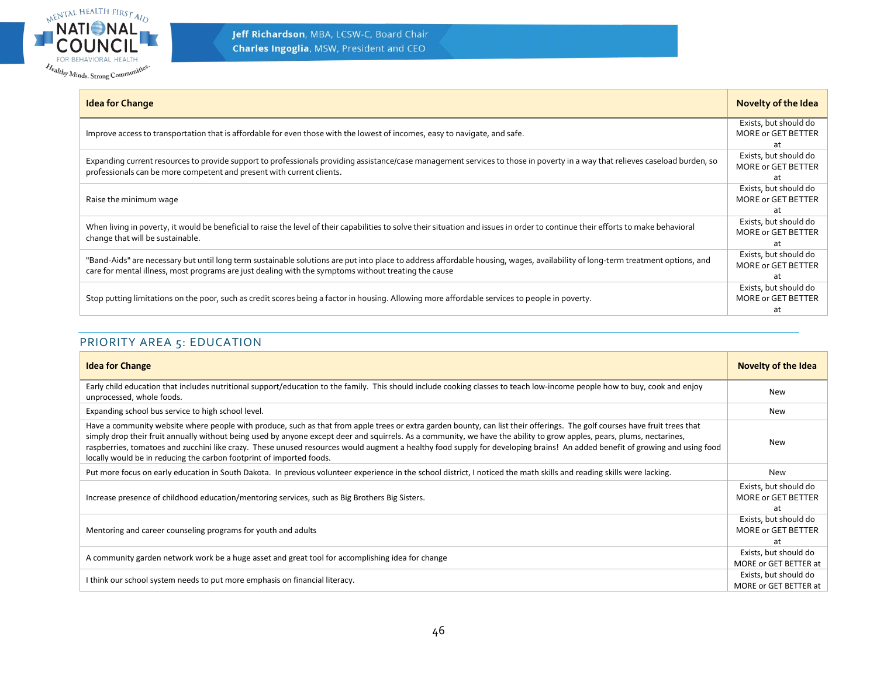

| <b>Idea for Change</b>                                                                                                                                                                                                                                                                | <b>Novelty of the Idea</b>                               |
|---------------------------------------------------------------------------------------------------------------------------------------------------------------------------------------------------------------------------------------------------------------------------------------|----------------------------------------------------------|
| Improve access to transportation that is affordable for even those with the lowest of incomes, easy to navigate, and safe.                                                                                                                                                            | Exists, but should do<br>MORE or GET BETTER<br>at        |
| Expanding current resources to provide support to professionals providing assistance/case management services to those in poverty in a way that relieves caseload burden, so<br>professionals can be more competent and present with current clients.                                 | Exists, but should do<br>MORE or GET BETTER<br>at        |
| Raise the minimum wage                                                                                                                                                                                                                                                                | Exists, but should do<br>MORE or GET BETTER<br>at        |
| When living in poverty, it would be beneficial to raise the level of their capabilities to solve their situation and issues in order to continue their efforts to make behavioral<br>change that will be sustainable.                                                                 | Exists, but should do<br><b>MORE or GET BETTER</b><br>at |
| "Band-Aids" are necessary but until long term sustainable solutions are put into place to address affordable housing, wages, availability of long-term treatment options, and<br>care for mental illness, most programs are just dealing with the symptoms without treating the cause | Exists, but should do<br>MORE or GET BETTER<br>at        |
| Stop putting limitations on the poor, such as credit scores being a factor in housing. Allowing more affordable services to people in poverty.                                                                                                                                        | Exists, but should do<br>MORE or GET BETTER<br>at        |

# PRIORITY AREA 5: EDUCATION

<span id="page-45-0"></span>

| <b>Idea for Change</b>                                                                                                                                                                                                                                                                                                                                                                                                                                                                                                                                                                                      | Novelty of the Idea                               |
|-------------------------------------------------------------------------------------------------------------------------------------------------------------------------------------------------------------------------------------------------------------------------------------------------------------------------------------------------------------------------------------------------------------------------------------------------------------------------------------------------------------------------------------------------------------------------------------------------------------|---------------------------------------------------|
| Early child education that includes nutritional support/education to the family. This should include cooking classes to teach low-income people how to buy, cook and enjoy<br>unprocessed, whole foods.                                                                                                                                                                                                                                                                                                                                                                                                     | <b>New</b>                                        |
| Expanding school bus service to high school level.                                                                                                                                                                                                                                                                                                                                                                                                                                                                                                                                                          | New                                               |
| Have a community website where people with produce, such as that from apple trees or extra garden bounty, can list their offerings. The golf courses have fruit trees that<br>simply drop their fruit annually without being used by anyone except deer and squirrels. As a community, we have the ability to grow apples, pears, plums, nectarines,<br>raspberries, tomatoes and zucchini like crazy. These unused resources would augment a healthy food supply for developing brains! An added benefit of growing and using food<br>locally would be in reducing the carbon footprint of imported foods. | New                                               |
| Put more focus on early education in South Dakota. In previous volunteer experience in the school district, I noticed the math skills and reading skills were lacking.                                                                                                                                                                                                                                                                                                                                                                                                                                      | New                                               |
| Increase presence of childhood education/mentoring services, such as Big Brothers Big Sisters.                                                                                                                                                                                                                                                                                                                                                                                                                                                                                                              | Exists, but should do<br>MORE or GET BETTER<br>at |
| Mentoring and career counseling programs for youth and adults                                                                                                                                                                                                                                                                                                                                                                                                                                                                                                                                               | Exists, but should do<br>MORE or GET BETTER<br>at |
| A community garden network work be a huge asset and great tool for accomplishing idea for change                                                                                                                                                                                                                                                                                                                                                                                                                                                                                                            | Exists, but should do<br>MORE or GET BETTER at    |
| I think our school system needs to put more emphasis on financial literacy.                                                                                                                                                                                                                                                                                                                                                                                                                                                                                                                                 | Exists, but should do<br>MORE or GET BETTER at    |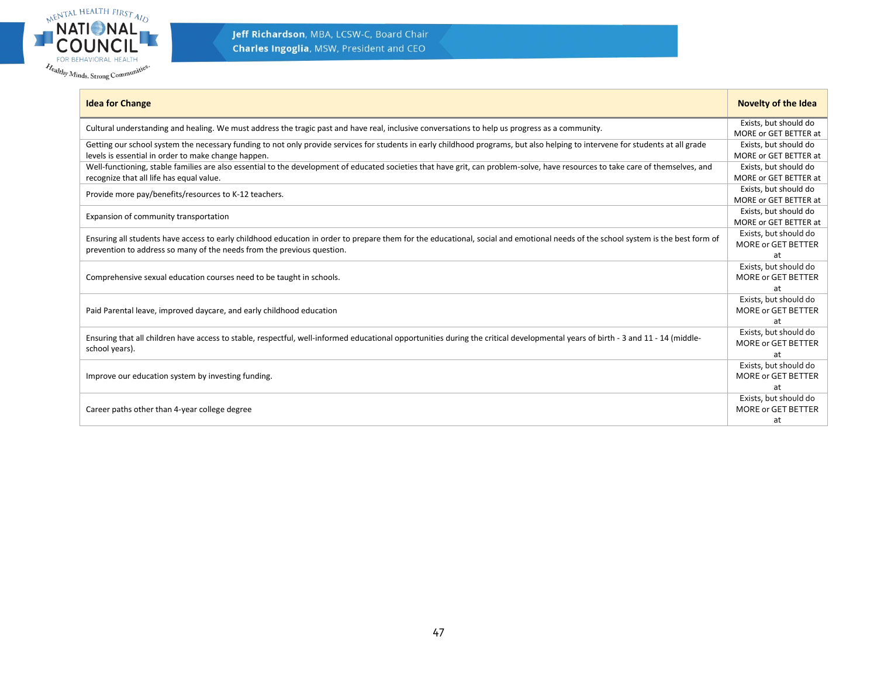

| <b>Idea for Change</b>                                                                                                                                                           | <b>Novelty of the Idea</b> |
|----------------------------------------------------------------------------------------------------------------------------------------------------------------------------------|----------------------------|
| Cultural understanding and healing. We must address the tragic past and have real, inclusive conversations to help us progress as a community.                                   | Exists, but should do      |
|                                                                                                                                                                                  | MORE or GET BETTER at      |
| Getting our school system the necessary funding to not only provide services for students in early childhood programs, but also helping to intervene for students at all grade   | Exists, but should do      |
| levels is essential in order to make change happen.                                                                                                                              | MORE or GET BETTER at      |
| Well-functioning, stable families are also essential to the development of educated societies that have grit, can problem-solve, have resources to take care of themselves, and  | Exists, but should do      |
| recognize that all life has equal value.                                                                                                                                         | MORE or GET BETTER at      |
| Provide more pay/benefits/resources to K-12 teachers.                                                                                                                            | Exists, but should do      |
|                                                                                                                                                                                  | MORE or GET BETTER at      |
| Expansion of community transportation                                                                                                                                            | Exists, but should do      |
|                                                                                                                                                                                  | MORE or GET BETTER at      |
| Ensuring all students have access to early childhood education in order to prepare them for the educational, social and emotional needs of the school system is the best form of | Exists, but should do      |
| prevention to address so many of the needs from the previous question.                                                                                                           | MORE or GET BETTER         |
|                                                                                                                                                                                  | at                         |
|                                                                                                                                                                                  | Exists, but should do      |
| Comprehensive sexual education courses need to be taught in schools.                                                                                                             | MORE or GET BETTER         |
|                                                                                                                                                                                  | at                         |
|                                                                                                                                                                                  | Exists, but should do      |
| Paid Parental leave, improved daycare, and early childhood education                                                                                                             | MORE or GET BETTER         |
|                                                                                                                                                                                  | at                         |
| Ensuring that all children have access to stable, respectful, well-informed educational opportunities during the critical developmental years of birth - 3 and 11 - 14 (middle-  | Exists, but should do      |
| school years).                                                                                                                                                                   | <b>MORE or GET BETTER</b>  |
|                                                                                                                                                                                  | at                         |
|                                                                                                                                                                                  | Exists, but should do      |
| Improve our education system by investing funding.                                                                                                                               | MORE or GET BETTER         |
|                                                                                                                                                                                  | at                         |
|                                                                                                                                                                                  | Exists, but should do      |
| Career paths other than 4-year college degree                                                                                                                                    | MORE or GET BETTER         |
|                                                                                                                                                                                  | at                         |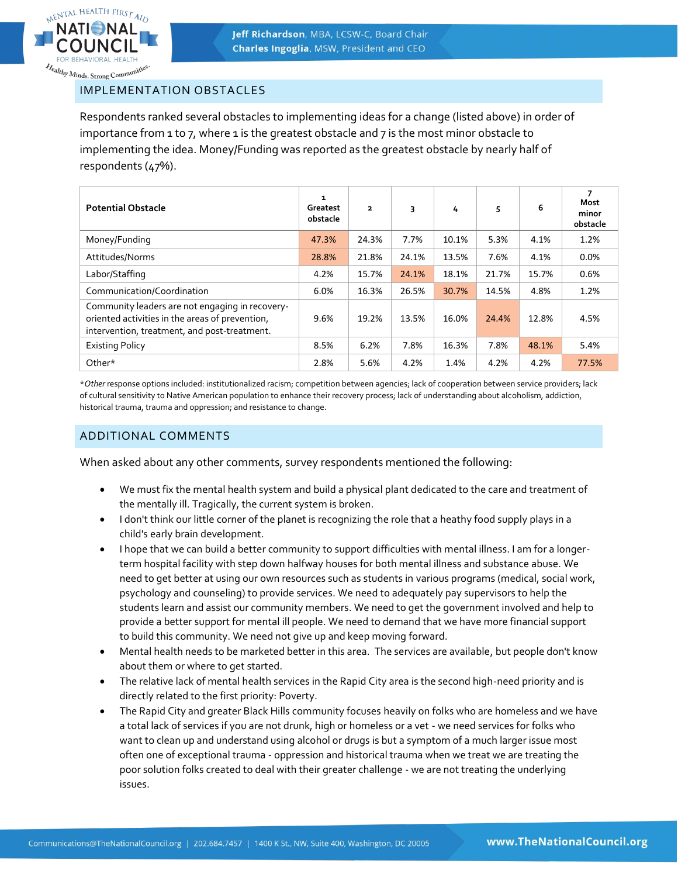

<span id="page-47-0"></span>IMPLEMENTATION OBSTACLES

Respondents ranked several obstacles to implementing ideas for a change (listed above) in order of importance from 1 to 7, where 1 is the greatest obstacle and 7 is the most minor obstacle to implementing the idea. Money/Funding was reported as the greatest obstacle by nearly half of respondents (47%).

| <b>Potential Obstacle</b>                                                                                                                          | 1<br>Greatest<br>obstacle | $\overline{\mathbf{2}}$ | 3     | 4     | 5     | 6     | 7<br><b>Most</b><br>minor<br>obstacle |
|----------------------------------------------------------------------------------------------------------------------------------------------------|---------------------------|-------------------------|-------|-------|-------|-------|---------------------------------------|
| Money/Funding                                                                                                                                      | 47.3%                     | 24.3%                   | 7.7%  | 10.1% | 5.3%  | 4.1%  | 1.2%                                  |
| Attitudes/Norms                                                                                                                                    | 28.8%                     | 21.8%                   | 24.1% | 13.5% | 7.6%  | 4.1%  | 0.0%                                  |
| Labor/Staffing                                                                                                                                     | 4.2%                      | 15.7%                   | 24.1% | 18.1% | 21.7% | 15.7% | 0.6%                                  |
| Communication/Coordination                                                                                                                         | 6.0%                      | 16.3%                   | 26.5% | 30.7% | 14.5% | 4.8%  | 1.2%                                  |
| Community leaders are not engaging in recovery-<br>oriented activities in the areas of prevention,<br>intervention, treatment, and post-treatment. | 9.6%                      | 19.2%                   | 13.5% | 16.0% | 24.4% | 12.8% | 4.5%                                  |
| <b>Existing Policy</b>                                                                                                                             | 8.5%                      | 6.2%                    | 7.8%  | 16.3% | 7.8%  | 48.1% | 5.4%                                  |
| Other*                                                                                                                                             | 2.8%                      | 5.6%                    | 4.2%  | 1.4%  | 4.2%  | 4.2%  | 77.5%                                 |

\**Other* response options included: institutionalized racism; competition between agencies; lack of cooperation between service providers; lack of cultural sensitivity to Native American population to enhance their recovery process; lack of understanding about alcoholism, addiction, historical trauma, trauma and oppression; and resistance to change.

#### <span id="page-47-1"></span>ADDITIONAL COMMENTS

When asked about any other comments, survey respondents mentioned the following:

- We must fix the mental health system and build a physical plant dedicated to the care and treatment of the mentally ill. Tragically, the current system is broken.
- I don't think our little corner of the planet is recognizing the role that a heathy food supply plays in a child's early brain development.
- I hope that we can build a better community to support difficulties with mental illness. I am for a longerterm hospital facility with step down halfway houses for both mental illness and substance abuse. We need to get better at using our own resources such as students in various programs (medical, social work, psychology and counseling) to provide services. We need to adequately pay supervisors to help the students learn and assist our community members. We need to get the government involved and help to provide a better support for mental ill people. We need to demand that we have more financial support to build this community. We need not give up and keep moving forward.
- Mental health needs to be marketed better in this area. The services are available, but people don't know about them or where to get started.
- The relative lack of mental health services in the Rapid City area is the second high-need priority and is directly related to the first priority: Poverty.
- The Rapid City and greater Black Hills community focuses heavily on folks who are homeless and we have a total lack of services if you are not drunk, high or homeless or a vet - we need services for folks who want to clean up and understand using alcohol or drugs is but a symptom of a much larger issue most often one of exceptional trauma - oppression and historical trauma when we treat we are treating the poor solution folks created to deal with their greater challenge - we are not treating the underlying issues.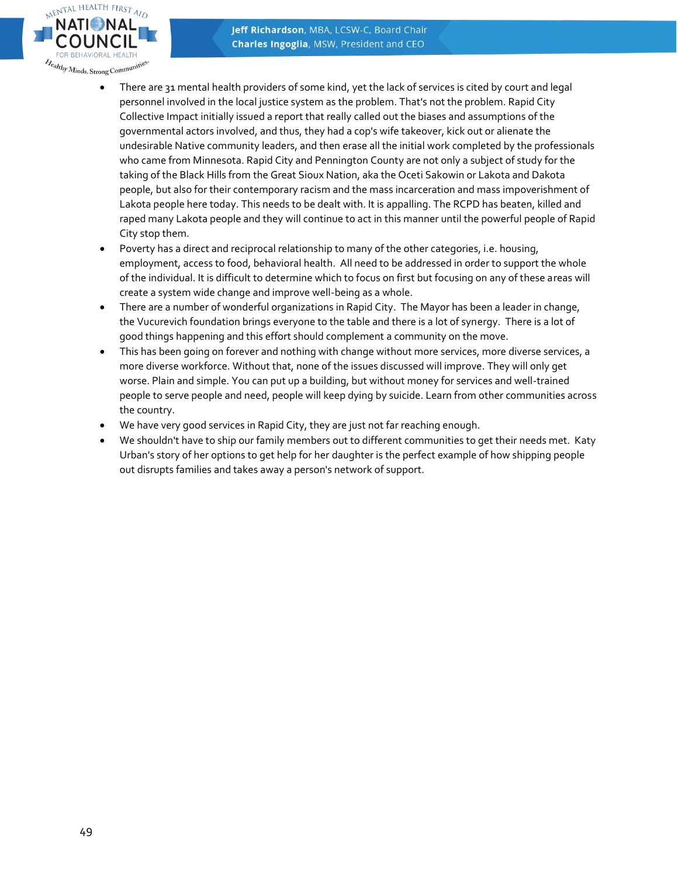

- There are 31 mental health providers of some kind, yet the lack of services is cited by court and legal personnel involved in the local justice system as the problem. That's not the problem. Rapid City Collective Impact initially issued a report that really called out the biases and assumptions of the governmental actors involved, and thus, they had a cop's wife takeover, kick out or alienate the undesirable Native community leaders, and then erase all the initial work completed by the professionals who came from Minnesota. Rapid City and Pennington County are not only a subject of study for the taking of the Black Hills from the Great Sioux Nation, aka the Oceti Sakowin or Lakota and Dakota people, but also for their contemporary racism and the mass incarceration and mass impoverishment of Lakota people here today. This needs to be dealt with. It is appalling. The RCPD has beaten, killed and raped many Lakota people and they will continue to act in this manner until the powerful people of Rapid City stop them.
- Poverty has a direct and reciprocal relationship to many of the other categories, i.e. housing, employment, access to food, behavioral health. All need to be addressed in order to support the whole of the individual. It is difficult to determine which to focus on first but focusing on any of these areas will create a system wide change and improve well-being as a whole.
- There are a number of wonderful organizations in Rapid City. The Mayor has been a leader in change, the Vucurevich foundation brings everyone to the table and there is a lot of synergy. There is a lot of good things happening and this effort should complement a community on the move.
- This has been going on forever and nothing with change without more services, more diverse services, a more diverse workforce. Without that, none of the issues discussed will improve. They will only get worse. Plain and simple. You can put up a building, but without money for services and well-trained people to serve people and need, people will keep dying by suicide. Learn from other communities across the country.
- We have very good services in Rapid City, they are just not far reaching enough.
- We shouldn't have to ship our family members out to different communities to get their needs met. Katy Urban's story of her options to get help for her daughter is the perfect example of how shipping people out disrupts families and takes away a person's network of support.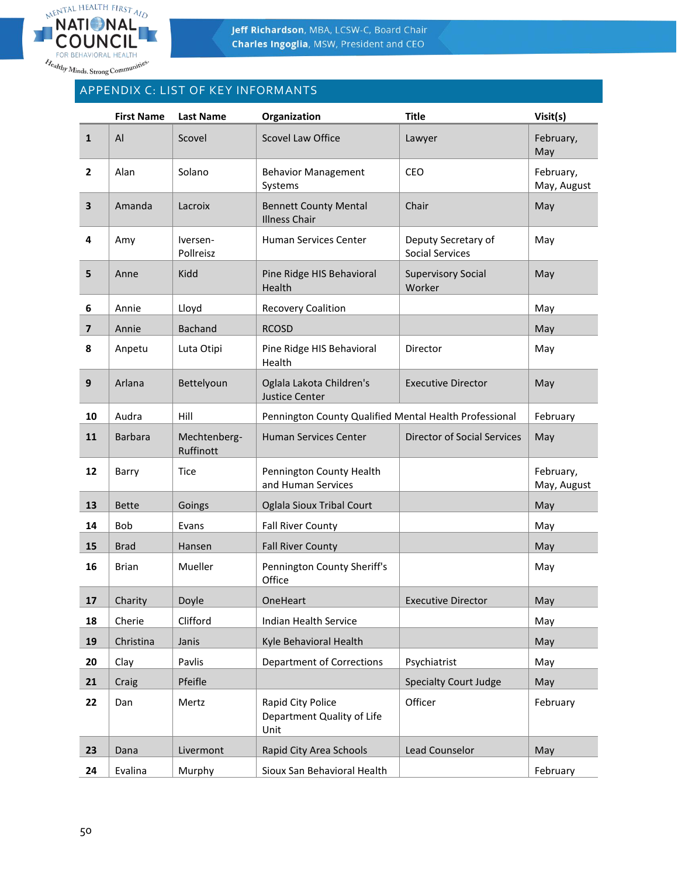

# APPENDIX C: LIST OF KEY INFORMANTS

|                         | <b>First Name</b> | <b>Last Name</b>          | Organization                                            | <b>Title</b>                                  | Visit(s)                 |
|-------------------------|-------------------|---------------------------|---------------------------------------------------------|-----------------------------------------------|--------------------------|
| $\mathbf{1}$            | AI                | Scovel                    | <b>Scovel Law Office</b>                                | Lawyer                                        | February,<br>May         |
| $\overline{2}$          | Alan              | Solano                    | <b>Behavior Management</b><br>Systems                   | CEO                                           | February,<br>May, August |
| 3                       | Amanda            | Lacroix                   | <b>Bennett County Mental</b><br><b>Illness Chair</b>    | Chair                                         | May                      |
| 4                       | Amy               | Iversen-<br>Pollreisz     | Human Services Center                                   | Deputy Secretary of<br><b>Social Services</b> | May                      |
| 5                       | Anne              | Kidd                      | Pine Ridge HIS Behavioral<br>Health                     | <b>Supervisory Social</b><br>Worker           | May                      |
| 6                       | Annie             | Lloyd                     | <b>Recovery Coalition</b>                               |                                               | May                      |
| $\overline{\mathbf{z}}$ | Annie             | <b>Bachand</b>            | <b>RCOSD</b>                                            |                                               | May                      |
| 8                       | Anpetu            | Luta Otipi                | Pine Ridge HIS Behavioral<br>Health                     | Director                                      | May                      |
| 9                       | Arlana            | Bettelyoun                | Oglala Lakota Children's<br><b>Justice Center</b>       | <b>Executive Director</b>                     | May                      |
| 10                      | Audra             | Hill                      | Pennington County Qualified Mental Health Professional  |                                               | February                 |
| 11                      | <b>Barbara</b>    | Mechtenberg-<br>Ruffinott | Human Services Center                                   | <b>Director of Social Services</b>            | May                      |
| 12                      | Barry             | Tice                      | Pennington County Health<br>and Human Services          |                                               | February,<br>May, August |
| 13                      | <b>Bette</b>      | Goings                    | Oglala Sioux Tribal Court                               |                                               | May                      |
| 14                      | Bob               | Evans                     | <b>Fall River County</b>                                |                                               | May                      |
| 15                      | <b>Brad</b>       | Hansen                    | <b>Fall River County</b>                                |                                               | May                      |
| 16                      | <b>Brian</b>      | Mueller                   | Pennington County Sheriff's<br>Office                   |                                               | May                      |
| 17                      | Charity           | Doyle                     | OneHeart                                                | Executive Director                            | May                      |
| 18                      | Cherie            | Clifford                  | <b>Indian Health Service</b>                            |                                               | May                      |
| 19                      | Christina         | Janis                     | Kyle Behavioral Health                                  |                                               | May                      |
| 20                      | Clay              | Pavlis                    | <b>Department of Corrections</b>                        | Psychiatrist                                  | May                      |
| 21                      | Craig             | Pfeifle                   |                                                         | <b>Specialty Court Judge</b>                  | May                      |
| 22                      | Dan               | Mertz                     | Rapid City Police<br>Department Quality of Life<br>Unit | Officer                                       | February                 |
| 23                      | Dana              | Livermont                 | Rapid City Area Schools                                 | Lead Counselor                                | May                      |
| 24                      | Evalina           | Murphy                    | Sioux San Behavioral Health                             |                                               | February                 |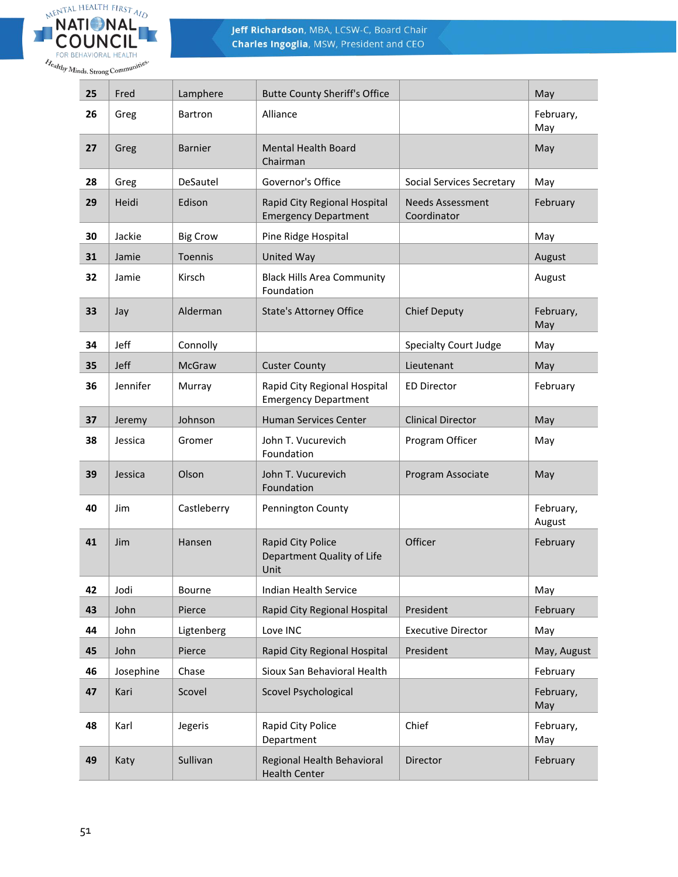

| 25 | Fred      | Lamphere        | <b>Butte County Sheriff's Office</b>                        |                                        | May                 |
|----|-----------|-----------------|-------------------------------------------------------------|----------------------------------------|---------------------|
| 26 | Greg      | <b>Bartron</b>  | Alliance                                                    |                                        | February,<br>May    |
| 27 | Greg      | <b>Barnier</b>  | <b>Mental Health Board</b><br>Chairman                      |                                        | May                 |
| 28 | Greg      | DeSautel        | Governor's Office                                           | Social Services Secretary              | May                 |
| 29 | Heidi     | Edison          | Rapid City Regional Hospital<br><b>Emergency Department</b> | <b>Needs Assessment</b><br>Coordinator | February            |
| 30 | Jackie    | <b>Big Crow</b> | Pine Ridge Hospital                                         |                                        | May                 |
| 31 | Jamie     | Toennis         | United Way                                                  |                                        | August              |
| 32 | Jamie     | Kirsch          | <b>Black Hills Area Community</b><br>Foundation             |                                        | August              |
| 33 | Jay       | Alderman        | <b>State's Attorney Office</b>                              | <b>Chief Deputy</b>                    | February,<br>May    |
| 34 | Jeff      | Connolly        |                                                             | <b>Specialty Court Judge</b>           | May                 |
| 35 | Jeff      | McGraw          | <b>Custer County</b>                                        | Lieutenant                             | May                 |
| 36 | Jennifer  | Murray          | Rapid City Regional Hospital<br><b>Emergency Department</b> | <b>ED Director</b>                     | February            |
| 37 | Jeremy    | Johnson         | Human Services Center                                       | <b>Clinical Director</b>               | May                 |
| 38 | Jessica   | Gromer          | John T. Vucurevich<br>Foundation                            | Program Officer                        | May                 |
| 39 | Jessica   | Olson           | John T. Vucurevich<br>Foundation                            | Program Associate                      | May                 |
| 40 | Jim       | Castleberry     | Pennington County                                           |                                        | February,<br>August |
| 41 | Jim       | Hansen          | Rapid City Police<br>Department Quality of Life<br>Unit     | Officer                                | February            |
| 42 | Jodi      | Bourne          | Indian Health Service                                       |                                        | May                 |
| 43 | John      | Pierce          | Rapid City Regional Hospital                                | President                              | February            |
| 44 | John      | Ligtenberg      | Love INC                                                    | <b>Executive Director</b>              | May                 |
| 45 | John      | Pierce          | Rapid City Regional Hospital                                | President                              | May, August         |
| 46 | Josephine | Chase           | Sioux San Behavioral Health                                 |                                        | February            |
| 47 | Kari      | Scovel          | Scovel Psychological                                        |                                        | February,<br>May    |
| 48 | Karl      | Jegeris         | Rapid City Police<br>Department                             | Chief                                  | February,<br>May    |
| 49 | Katy      | Sullivan        | Regional Health Behavioral<br><b>Health Center</b>          | Director                               | February            |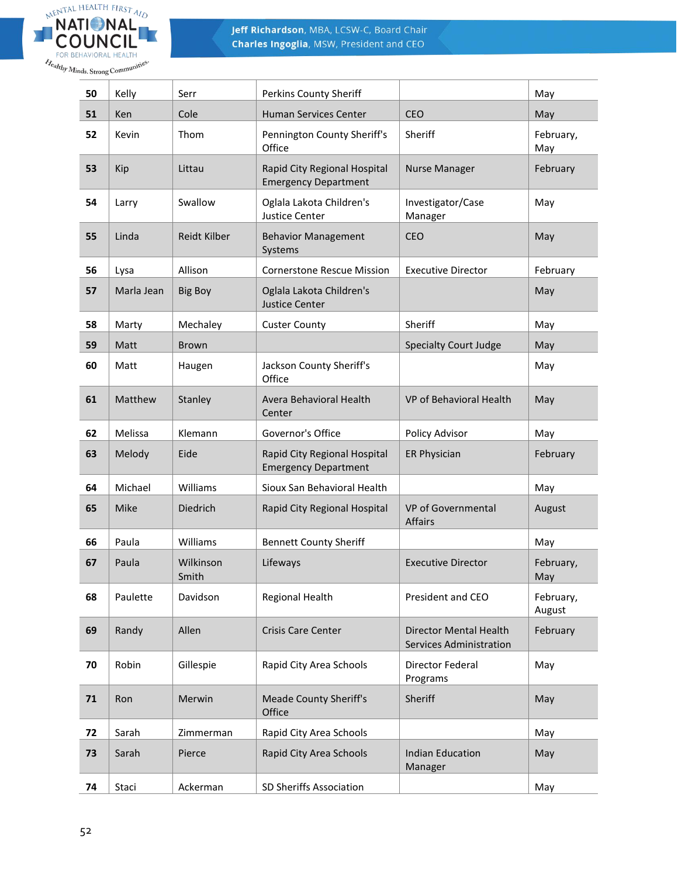

| 50 | Kelly      | Serr               | Perkins County Sheriff                                      |                                                                 | May                 |
|----|------------|--------------------|-------------------------------------------------------------|-----------------------------------------------------------------|---------------------|
| 51 | Ken        | Cole               | Human Services Center                                       | <b>CEO</b>                                                      | May                 |
| 52 | Kevin      | Thom               | Pennington County Sheriff's<br>Office                       | Sheriff                                                         | February,<br>May    |
| 53 | Kip        | Littau             | Rapid City Regional Hospital<br><b>Emergency Department</b> | <b>Nurse Manager</b>                                            | February            |
| 54 | Larry      | Swallow            | Oglala Lakota Children's<br>Justice Center                  | Investigator/Case<br>Manager                                    | May                 |
| 55 | Linda      | Reidt Kilber       | <b>Behavior Management</b><br>Systems                       | <b>CEO</b>                                                      | May                 |
| 56 | Lysa       | Allison            | <b>Cornerstone Rescue Mission</b>                           | <b>Executive Director</b>                                       | February            |
| 57 | Marla Jean | <b>Big Boy</b>     | Oglala Lakota Children's<br><b>Justice Center</b>           |                                                                 | May                 |
| 58 | Marty      | Mechaley           | <b>Custer County</b>                                        | Sheriff                                                         | May                 |
| 59 | Matt       | <b>Brown</b>       |                                                             | <b>Specialty Court Judge</b>                                    | May                 |
| 60 | Matt       | Haugen             | Jackson County Sheriff's<br>Office                          |                                                                 | May                 |
| 61 | Matthew    | Stanley            | Avera Behavioral Health<br>Center                           | VP of Behavioral Health                                         | May                 |
| 62 | Melissa    | Klemann            | Governor's Office                                           | Policy Advisor                                                  | May                 |
| 63 | Melody     | Eide               | Rapid City Regional Hospital<br><b>Emergency Department</b> | ER Physician                                                    | February            |
| 64 | Michael    | Williams           | Sioux San Behavioral Health                                 |                                                                 | May                 |
| 65 | Mike       | Diedrich           | Rapid City Regional Hospital                                | VP of Governmental<br><b>Affairs</b>                            | August              |
| 66 | Paula      | Williams           | <b>Bennett County Sheriff</b>                               |                                                                 | May                 |
| 67 | Paula      | Wilkinson<br>Smith | Lifeways                                                    | <b>Executive Director</b>                                       | February,<br>May    |
| 68 | Paulette   | Davidson           | Regional Health                                             | President and CEO                                               | February,<br>August |
| 69 | Randy      | Allen              | <b>Crisis Care Center</b>                                   | <b>Director Mental Health</b><br><b>Services Administration</b> | February            |
| 70 | Robin      | Gillespie          | Rapid City Area Schools                                     | Director Federal<br>Programs                                    | May                 |
| 71 | Ron        | Merwin             | <b>Meade County Sheriff's</b><br>Office                     | Sheriff                                                         | May                 |
| 72 | Sarah      | Zimmerman          | Rapid City Area Schools                                     |                                                                 | May                 |
| 73 | Sarah      | Pierce             | Rapid City Area Schools                                     | <b>Indian Education</b><br>Manager                              | May                 |
| 74 | Staci      | Ackerman           | SD Sheriffs Association                                     |                                                                 | May                 |